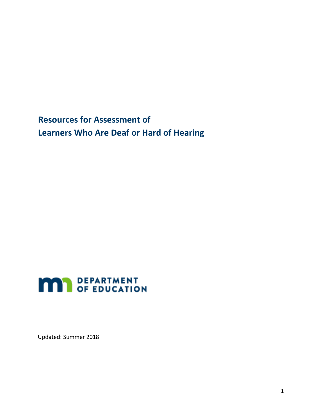<span id="page-0-0"></span>**Resources for Assessment of Learners Who Are Deaf or Hard of Hearing** 



Updated: Summer 2018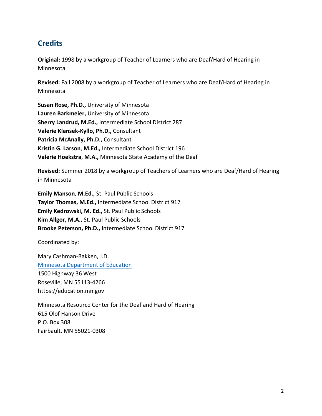## <span id="page-1-0"></span>**Credits**

**Original:** 1998 by a workgroup of Teacher of Learners who are Deaf/Hard of Hearing in Minnesota

**Revised:** Fall 2008 by a workgroup of Teacher of Learners who are Deaf/Hard of Hearing in Minnesota

**Susan Rose, Ph.D.,** University of Minnesota **Lauren Barkmeier,** University of Minnesota **Sherry Landrud, M.Ed.,** Intermediate School District 287 **Valerie Klansek-Kyllo, Ph.D.,** Consultant **Patricia McAnally, Ph.D.,** Consultant **Kristin G. Larson**, **M.Ed.,** Intermediate School District 196 **Valerie Hoekstra**, **M.A.,** Minnesota State Academy of the Deaf

**Revised:** Summer 2018 by a workgroup of Teachers of Learners who are Deaf/Hard of Hearing in Minnesota

**Emily Manson**, **M.Ed.,** St. Paul Public Schools **Taylor Thomas, M.Ed.,** Intermediate School District 917 **Emily Kedrowski, M. Ed.,** St. Paul Public Schools **Kim Allgor, M.A.,** St. Paul Public Schools **Brooke Peterson, Ph.D.,** Intermediate School District 917

Coordinated by:

Mary Cashman-Bakken, J.D. [Minnesota Department of Education](http://education.mn.gov/) 1500 Highway 36 West Roseville, MN 55113-4266 https://education.mn.gov

Minnesota Resource Center for the Deaf and Hard of Hearing 615 Olof Hanson Drive P.O. Box 308 Fairbault, MN 55021-0308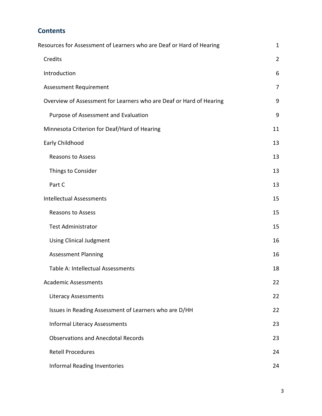## **Contents**

| Resources for Assessment of Learners who are Deaf or Hard of Hearing | $\mathbf{1}$   |
|----------------------------------------------------------------------|----------------|
| Credits                                                              | $\overline{2}$ |
| Introduction                                                         | 6              |
| <b>Assessment Requirement</b>                                        | $\overline{7}$ |
| Overview of Assessment for Learners who are Deaf or Hard of Hearing  | 9              |
| Purpose of Assessment and Evaluation                                 | 9              |
| Minnesota Criterion for Deaf/Hard of Hearing                         | 11             |
| Early Childhood                                                      | 13             |
| <b>Reasons to Assess</b>                                             | 13             |
| Things to Consider                                                   | 13             |
| Part C                                                               | 13             |
| <b>Intellectual Assessments</b>                                      | 15             |
| <b>Reasons to Assess</b>                                             | 15             |
| <b>Test Administrator</b>                                            | 15             |
| <b>Using Clinical Judgment</b>                                       | 16             |
| <b>Assessment Planning</b>                                           | 16             |
| Table A: Intellectual Assessments                                    | 18             |
| <b>Academic Assessments</b>                                          | 22             |
| Literacy Assessments                                                 | 22             |
| Issues in Reading Assessment of Learners who are D/HH                | 22             |
| <b>Informal Literacy Assessments</b>                                 | 23             |
| <b>Observations and Anecdotal Records</b>                            | 23             |
| <b>Retell Procedures</b>                                             | 24             |
| <b>Informal Reading Inventories</b>                                  | 24             |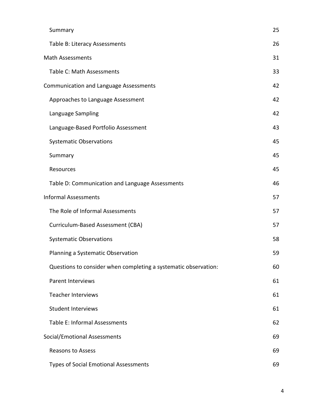| Summary                                                         | 25 |
|-----------------------------------------------------------------|----|
| Table B: Literacy Assessments                                   | 26 |
| <b>Math Assessments</b>                                         | 31 |
| Table C: Math Assessments                                       | 33 |
| <b>Communication and Language Assessments</b>                   | 42 |
| Approaches to Language Assessment                               | 42 |
| Language Sampling                                               | 42 |
| Language-Based Portfolio Assessment                             | 43 |
| <b>Systematic Observations</b>                                  | 45 |
| Summary                                                         | 45 |
| Resources                                                       | 45 |
| Table D: Communication and Language Assessments                 | 46 |
| <b>Informal Assessments</b>                                     | 57 |
| The Role of Informal Assessments                                | 57 |
| Curriculum-Based Assessment (CBA)                               | 57 |
| <b>Systematic Observations</b>                                  | 58 |
| Planning a Systematic Observation                               | 59 |
| Questions to consider when completing a systematic observation: | 60 |
| <b>Parent Interviews</b>                                        | 61 |
| <b>Teacher Interviews</b>                                       | 61 |
| <b>Student Interviews</b>                                       | 61 |
| Table E: Informal Assessments                                   | 62 |
| Social/Emotional Assessments                                    | 69 |
| <b>Reasons to Assess</b>                                        | 69 |
| <b>Types of Social Emotional Assessments</b>                    | 69 |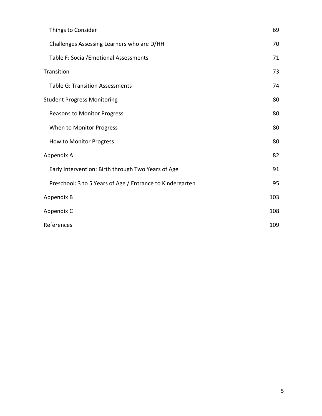| Things to Consider                                        | 69  |
|-----------------------------------------------------------|-----|
| Challenges Assessing Learners who are D/HH                | 70  |
| Table F: Social/Emotional Assessments                     | 71  |
| Transition                                                | 73  |
| <b>Table G: Transition Assessments</b>                    | 74  |
| <b>Student Progress Monitoring</b>                        | 80  |
| <b>Reasons to Monitor Progress</b>                        | 80  |
| When to Monitor Progress                                  | 80  |
| How to Monitor Progress                                   | 80  |
| Appendix A                                                | 82  |
| Early Intervention: Birth through Two Years of Age        | 91  |
| Preschool: 3 to 5 Years of Age / Entrance to Kindergarten | 95  |
| Appendix B                                                | 103 |
| Appendix C                                                | 108 |
| References                                                | 109 |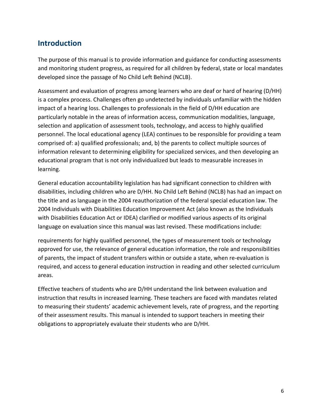## <span id="page-5-0"></span>**Introduction**

The purpose of this manual is to provide information and guidance for conducting assessments and monitoring student progress, as required for all children by federal, state or local mandates developed since the passage of No Child Left Behind (NCLB).

Assessment and evaluation of progress among learners who are deaf or hard of hearing (D/HH) is a complex process. Challenges often go undetected by individuals unfamiliar with the hidden impact of a hearing loss. Challenges to professionals in the field of D/HH education are particularly notable in the areas of information access, communication modalities, language, selection and application of assessment tools, technology, and access to highly qualified personnel. The local educational agency (LEA) continues to be responsible for providing a team comprised of: a) qualified professionals; and, b) the parents to collect multiple sources of information relevant to determining eligibility for specialized services, and then developing an educational program that is not only individualized but leads to measurable increases in learning.

General education accountability legislation has had significant connection to children with disabilities, including children who are D/HH. No Child Left Behind (NCLB) has had an impact on the title and as language in the 2004 reauthorization of the federal special education law. The 2004 Individuals with Disabilities Education Improvement Act (also known as the Individuals with Disabilities Education Act or IDEA) clarified or modified various aspects of its original language on evaluation since this manual was last revised. These modifications include:

requirements for highly qualified personnel, the types of measurement tools or technology approved for use, the relevance of general education information, the role and responsibilities of parents, the impact of student transfers within or outside a state, when re-evaluation is required, and access to general education instruction in reading and other selected curriculum areas.

Effective teachers of students who are D/HH understand the link between evaluation and instruction that results in increased learning. These teachers are faced with mandates related to measuring their students' academic achievement levels, rate of progress, and the reporting of their assessment results. This manual is intended to support teachers in meeting their obligations to appropriately evaluate their students who are D/HH.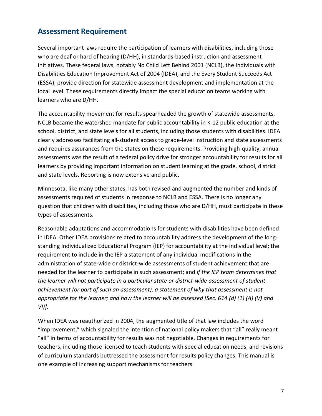## <span id="page-6-0"></span>**Assessment Requirement**

Several important laws require the participation of learners with disabilities, including those who are deaf or hard of hearing (D/HH), in standards-based instruction and assessment initiatives. These federal laws, notably No Child Left Behind 2001 (NCLB), the Individuals with Disabilities Education Improvement Act of 2004 (IDEA), and the Every Student Succeeds Act (ESSA), provide direction for statewide assessment development and implementation at the local level. These requirements directly impact the special education teams working with learners who are D/HH.

The accountability movement for results spearheaded the growth of statewide assessments. NCLB became the watershed mandate for public accountability in K-12 public education at the school, district, and state levels for all students, including those students with disabilities. IDEA clearly addresses facilitating all-student access to grade-level instruction and state assessments and requires assurances from the states on these requirements. Providing high-quality, annual assessments was the result of a federal policy drive for stronger accountability for results for all learners by providing important information on student learning at the grade, school, district and state levels. Reporting is now extensive and public.

Minnesota, like many other states, has both revised and augmented the number and kinds of assessments required of students in response to NCLB and ESSA. There is no longer any question that children with disabilities, including those who are D/HH, must participate in these types of assessments.

Reasonable adaptations and accommodations for students with disabilities have been defined in IDEA. Other IDEA provisions related to accountability address the development of the longstanding Individualized Educational Program (IEP) for accountability at the individual level; the requirement to include in the IEP a statement of any individual modifications in the administration of state-wide or district-wide assessments of student achievement that are needed for the learner to participate in such assessment; and *if the IEP team determines that the learner will not participate in a particular state or district-wide assessment of student achievement (or part of such an assessment), a statement of why that assessment is not appropriate for the learner; and how the learner will be assessed [Sec. 614 (d) (1) (A) (V) and VI)].*

When IDEA was reauthorized in 2004, the augmented title of that law includes the word "improvement," which signaled the intention of national policy makers that "all" really meant "all" in terms of accountability for results was not negotiable. Changes in requirements for teachers, including those licensed to teach students with special education needs, and revisions of curriculum standards buttressed the assessment for results policy changes. This manual is one example of increasing support mechanisms for teachers.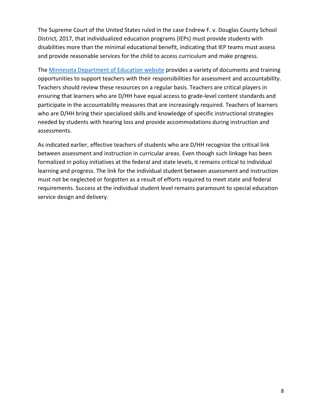The Supreme Court of the United States ruled in the case Endrew F. v. Douglas County School District, 2017, that individualized education programs (IEPs) must provide students with disabilities more than the minimal educational benefit, indicating that IEP teams must assess and provide reasonable services for the child to access curriculum and make progress.

The [Minnesota Department of Education website](http://education.mn.gov/) provides a variety of documents and training opportunities to support teachers with their responsibilities for assessment and accountability. Teachers should review these resources on a regular basis. Teachers are critical players in ensuring that learners who are D/HH have equal access to grade-level content standards and participate in the accountability measures that are increasingly required. Teachers of learners who are D/HH bring their specialized skills and knowledge of specific instructional strategies needed by students with hearing loss and provide accommodations during instruction and assessments.

As indicated earlier, effective teachers of students who are D/HH recognize the critical link between assessment and instruction in curricular areas. Even though such linkage has been formalized in policy initiatives at the federal and state levels, it remains critical to individual learning and progress. The link for the individual student between assessment and instruction must not be neglected or forgotten as a result of efforts required to meet state and federal requirements. Success at the individual student level remains paramount to special education service design and delivery.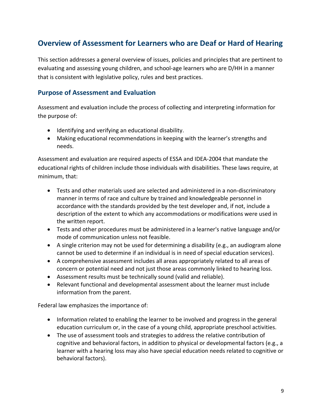# <span id="page-8-0"></span>**Overview of Assessment for Learners who are Deaf or Hard of Hearing**

This section addresses a general overview of issues, policies and principles that are pertinent to evaluating and assessing young children, and school-age learners who are D/HH in a manner that is consistent with legislative policy, rules and best practices.

#### **Purpose of Assessment and Evaluation**

Assessment and evaluation include the process of collecting and interpreting information for the purpose of:

- Identifying and verifying an educational disability.
- Making educational recommendations in keeping with the learner's strengths and needs.

Assessment and evaluation are required aspects of ESSA and IDEA-2004 that mandate the educational rights of children include those individuals with disabilities. These laws require, at minimum, that:

- Tests and other materials used are selected and administered in a non-discriminatory manner in terms of race and culture by trained and knowledgeable personnel in accordance with the standards provided by the test developer and, if not, include a description of the extent to which any accommodations or modifications were used in the written report.
- Tests and other procedures must be administered in a learner's native language and/or mode of communication unless not feasible.
- A single criterion may not be used for determining a disability (e.g., an audiogram alone cannot be used to determine if an individual is in need of special education services).
- A comprehensive assessment includes all areas appropriately related to all areas of concern or potential need and not just those areas commonly linked to hearing loss.
- Assessment results must be technically sound (valid and reliable).
- Relevant functional and developmental assessment about the learner must include information from the parent.

Federal law emphasizes the importance of:

- Information related to enabling the learner to be involved and progress in the general education curriculum or, in the case of a young child, appropriate preschool activities.
- The use of assessment tools and strategies to address the relative contribution of cognitive and behavioral factors, in addition to physical or developmental factors (e.g., a learner with a hearing loss may also have special education needs related to cognitive or behavioral factors).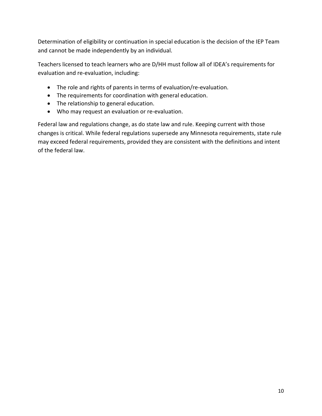Determination of eligibility or continuation in special education is the decision of the IEP Team and cannot be made independently by an individual.

Teachers licensed to teach learners who are D/HH must follow all of IDEA's requirements for evaluation and re-evaluation, including:

- The role and rights of parents in terms of evaluation/re-evaluation.
- The requirements for coordination with general education.
- The relationship to general education.
- Who may request an evaluation or re-evaluation.

Federal law and regulations change, as do state law and rule. Keeping current with those changes is critical. While federal regulations supersede any Minnesota requirements, state rule may exceed federal requirements, provided they are consistent with the definitions and intent of the federal law.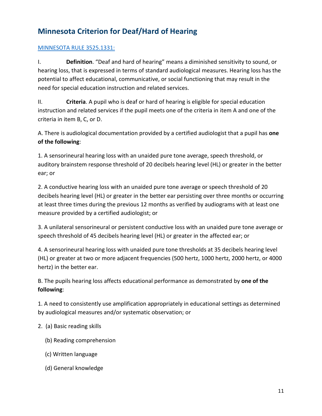# <span id="page-10-0"></span>**Minnesota Criterion for Deaf/Hard of Hearing**

#### [MINNESOTA RULE 3525.1331:](https://www.revisor.mn.gov/rules/?id=3525.1331)

I. **Definition**. "Deaf and hard of hearing" means a diminished sensitivity to sound, or hearing loss, that is expressed in terms of standard audiological measures. Hearing loss has the potential to affect educational, communicative, or social functioning that may result in the need for special education instruction and related services.

II. **Criteria**. A pupil who is deaf or hard of hearing is eligible for special education instruction and related services if the pupil meets one of the criteria in item A and one of the criteria in item B, C, or D.

A. There is audiological documentation provided by a certified audiologist that a pupil has **one of the following**:

1. A sensorineural hearing loss with an unaided pure tone average, speech threshold, or auditory brainstem response threshold of 20 decibels hearing level (HL) or greater in the better ear; or

2. A conductive hearing loss with an unaided pure tone average or speech threshold of 20 decibels hearing level (HL) or greater in the better ear persisting over three months or occurring at least three times during the previous 12 months as verified by audiograms with at least one measure provided by a certified audiologist; or

3. A unilateral sensorineural or persistent conductive loss with an unaided pure tone average or speech threshold of 45 decibels hearing level (HL) or greater in the affected ear; or

4. A sensorineural hearing loss with unaided pure tone thresholds at 35 decibels hearing level (HL) or greater at two or more adjacent frequencies (500 hertz, 1000 hertz, 2000 hertz, or 4000 hertz) in the better ear.

B. The pupils hearing loss affects educational performance as demonstrated by **one of the following**:

1. A need to consistently use amplification appropriately in educational settings as determined by audiological measures and/or systematic observation; or

- 2. (a) Basic reading skills
	- (b) Reading comprehension
	- (c) Written language
	- (d) General knowledge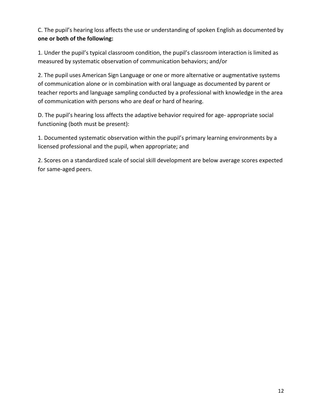C. The pupil's hearing loss affects the use or understanding of spoken English as documented by **one or both of the following:**

1. Under the pupil's typical classroom condition, the pupil's classroom interaction is limited as measured by systematic observation of communication behaviors; and/or

2. The pupil uses American Sign Language or one or more alternative or augmentative systems of communication alone or in combination with oral language as documented by parent or teacher reports and language sampling conducted by a professional with knowledge in the area of communication with persons who are deaf or hard of hearing.

D. The pupil's hearing loss affects the adaptive behavior required for age- appropriate social functioning (both must be present):

1. Documented systematic observation within the pupil's primary learning environments by a licensed professional and the pupil, when appropriate; and

2. Scores on a standardized scale of social skill development are below average scores expected for same-aged peers.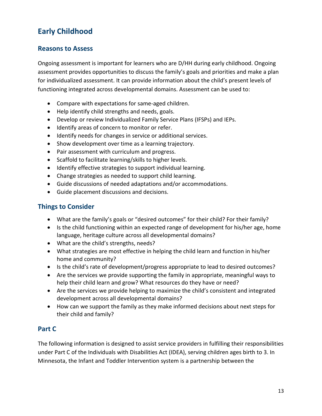# <span id="page-12-0"></span>**Early Childhood**

### **Reasons to Assess**

Ongoing assessment is important for learners who are D/HH during early childhood. Ongoing assessment provides opportunities to discuss the family's goals and priorities and make a plan for individualized assessment. It can provide information about the child's present levels of functioning integrated across developmental domains. Assessment can be used to:

- Compare with expectations for same-aged children.
- Help identify child strengths and needs, goals.
- Develop or review Individualized Family Service Plans (IFSPs) and IEPs.
- Identify areas of concern to monitor or refer.
- Identify needs for changes in service or additional services.
- Show development over time as a learning trajectory.
- Pair assessment with curriculum and progress.
- Scaffold to facilitate learning/skills to higher levels.
- Identify effective strategies to support individual learning.
- Change strategies as needed to support child learning.
- Guide discussions of needed adaptations and/or accommodations.
- Guide placement discussions and decisions.

### **Things to Consider**

- What are the family's goals or "desired outcomes" for their child? For their family?
- Is the child functioning within an expected range of development for his/her age, home language, heritage culture across all developmental domains?
- What are the child's strengths, needs?
- What strategies are most effective in helping the child learn and function in his/her home and community?
- Is the child's rate of development/progress appropriate to lead to desired outcomes?
- Are the services we provide supporting the family in appropriate, meaningful ways to help their child learn and grow? What resources do they have or need?
- Are the services we provide helping to maximize the child's consistent and integrated development across all developmental domains?
- How can we support the family as they make informed decisions about next steps for their child and family?

### **Part C**

The following information is designed to assist service providers in fulfilling their responsibilities under Part C of the Individuals with Disabilities Act (IDEA), serving children ages birth to 3. In Minnesota, the Infant and Toddler Intervention system is a partnership between the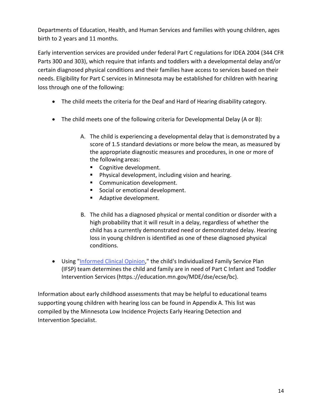Departments of Education, Health, and Human Services and families with young children, ages birth to 2 years and 11 months.

Early intervention services are provided under federal Part C regulations for IDEA 2004 (344 CFR Parts 300 and 303), which require that infants and toddlers with a developmental delay and/or certain diagnosed physical conditions and their families have access to services based on their needs. Eligibility for Part C services in Minnesota may be established for children with hearing loss through one of the following:

- The child meets the criteria for the Deaf and Hard of Hearing disability category.
- The child meets one of the following criteria for Developmental Delay (A or B):
	- A. The child is experiencing a developmental delay that is demonstrated by a score of 1.5 standard deviations or more below the mean, as measured by the appropriate diagnostic measures and procedures, in one or more of the following areas:
		- Cognitive development.
		- Physical development, including vision and hearing.
		- **Communication development.**
		- Social or emotional development.
		- Adaptive development.
	- B. The child has a diagnosed physical or mental condition or disorder with a high probability that it will result in a delay, regardless of whether the child has a currently demonstrated need or demonstrated delay. Hearing loss in young children is identified as one of these diagnosed physical conditions.
- Using ["Informed Clinical Opinion,](https://education.mn.gov/MDE/dse/ecse/bc/)" the child's Individualized Family Service Plan (IFSP) team determines the child and family are in need of Part C Infant and Toddler Intervention Services(https.://education.mn.gov/MDE/dse/ecse/bc).

Information about early childhood assessments that may be helpful to educational teams supporting young children with hearing loss can be found in Appendix A. This list was compiled by the Minnesota Low Incidence Projects Early Hearing Detection and Intervention Specialist.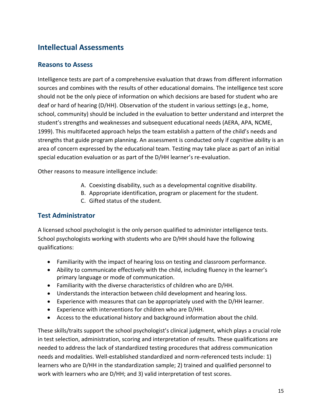# <span id="page-14-1"></span><span id="page-14-0"></span>**Intellectual Assessments**

### **Reasons to Assess**

Intelligence tests are part of a comprehensive evaluation that draws from different information sources and combines with the results of other educational domains. The intelligence test score should not be the only piece of information on which decisions are based for student who are deaf or hard of hearing (D/HH). Observation of the student in various settings (e.g., home, school, community) should be included in the evaluation to better understand and interpret the student's strengths and weaknesses and subsequent educational needs (AERA, APA, NCME, 1999). This multifaceted approach helps the team establish a pattern of the child's needs and strengths that guide program planning. An assessment is conducted only if cognitive ability is an area of concern expressed by the educational team. Testing may take place as part of an initial special education evaluation or as part of the D/HH learner's re-evaluation.

Other reasons to measure intelligence include:

- A. Coexisting disability, such as a developmental cognitive disability.
- B. Appropriate identification, program or placement for the student.
- C. Gifted status of the student.

#### **Test Administrator**

A licensed school psychologist is the only person qualified to administer intelligence tests. School psychologists working with students who are D/HH should have the following qualifications:

- Familiarity with the impact of hearing loss on testing and classroom performance.
- Ability to communicate effectively with the child, including fluency in the learner's primary language or mode of communication.
- Familiarity with the diverse characteristics of children who are D/HH.
- Understands the interaction between child development and hearing loss.
- Experience with measures that can be appropriately used with the D/HH learner.
- Experience with interventions for children who are D/HH.
- Access to the educational history and background information about the child.

These skills/traits support the school psychologist's clinical judgment, which plays a crucial role in test selection, administration, scoring and interpretation of results. These qualifications are needed to address the lack of standardized testing procedures that address communication needs and modalities. Well-established standardized and norm-referenced tests include: 1) learners who are D/HH in the standardization sample; 2) trained and qualified personnel to work with learners who are D/HH; and 3) valid interpretation of test scores.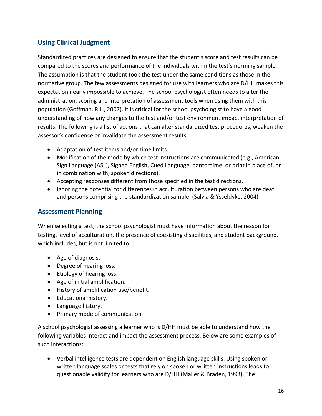## <span id="page-15-0"></span>**Using Clinical Judgment**

Standardized practices are designed to ensure that the student's score and test results can be compared to the scores and performance of the individuals within the test's norming sample. The assumption is that the student took the test under the same conditions as those in the normative group. The few assessments designed for use with learners who are D/HH makes this expectation nearly impossible to achieve. The school psychologist often needs to alter the administration, scoring and interpretation of assessment tools when using them with this population (Goffman, R.L., 2007). It is critical for the school psychologist to have a good understanding of how any changes to the test and/or test environment impact interpretation of results. The following is a list of actions that can alter standardized test procedures, weaken the assessor's confidence or invalidate the assessment results:

- Adaptation of test items and/or time limits.
- Modification of the mode by which test instructions are communicated (e.g., American Sign Language (ASL), Signed English, Cued Language, pantomime, or print in place of, or in combination with, spoken directions).
- Accepting responses different from those specified in the test directions.
- Ignoring the potential for differences in acculturation between persons who are deaf and persons comprising the standardization sample. (Salvia & Ysseldyke, 2004)

#### **Assessment Planning**

When selecting a test, the school psychologist must have information about the reason for testing, level of acculturation, the presence of coexisting disabilities, and student background, which includes, but is not limited to:

- Age of diagnosis.
- Degree of hearing loss.
- Etiology of hearing loss.
- Age of initial amplification.
- History of amplification use/benefit.
- Educational history.
- Language history.
- Primary mode of communication.

A school psychologist assessing a learner who is D/HH must be able to understand how the following variables interact and impact the assessment process. Below are some examples of such interactions:

• Verbal intelligence tests are dependent on English language skills. Using spoken or written language scales or tests that rely on spoken or written instructions leads to questionable validity for learners who are D/HH (Maller & Braden, 1993). The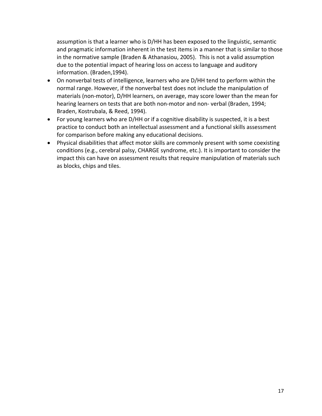assumption is that a learner who is D/HH has been exposed to the linguistic, semantic and pragmatic information inherent in the test items in a manner that is similar to those in the normative sample (Braden & Athanasiou, 2005). This is not a valid assumption due to the potential impact of hearing loss on access to language and auditory information. (Braden,1994).

- On nonverbal tests of intelligence, learners who are D/HH tend to perform within the normal range. However, if the nonverbal test does not include the manipulation of materials (non-motor), D/HH learners, on average, may score lower than the mean for hearing learners on tests that are both non-motor and non- verbal (Braden, 1994; Braden, Kostrubala, & Reed, 1994).
- For young learners who are D/HH or if a cognitive disability is suspected, it is a best practice to conduct both an intellectual assessment and a functional skills assessment for comparison before making any educational decisions.
- Physical disabilities that affect motor skills are commonly present with some coexisting conditions (e.g., cerebral palsy, CHARGE syndrome, etc.). It is important to consider the impact this can have on assessment results that require manipulation of materials such as blocks, chips and tiles.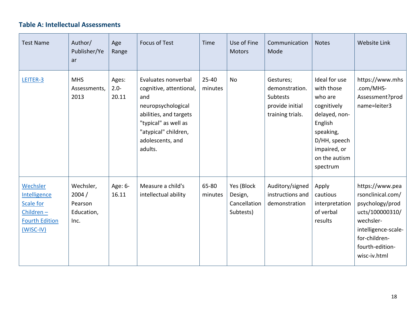## **Table A: Intellectual Assessments**

<span id="page-17-0"></span>

| <b>Test Name</b>                                                                           | Author/<br>Publisher/Ye<br>ar                       | Age<br>Range              | <b>Focus of Test</b>                                                                                                                                                                 | Time                 | Use of Fine<br><b>Motors</b>                       | Communication<br>Mode                                                          | <b>Notes</b>                                                                                                                                                | <b>Website Link</b>                                                                                                                                                |
|--------------------------------------------------------------------------------------------|-----------------------------------------------------|---------------------------|--------------------------------------------------------------------------------------------------------------------------------------------------------------------------------------|----------------------|----------------------------------------------------|--------------------------------------------------------------------------------|-------------------------------------------------------------------------------------------------------------------------------------------------------------|--------------------------------------------------------------------------------------------------------------------------------------------------------------------|
| LEITER-3                                                                                   | <b>MHS</b><br>Assessments,<br>2013                  | Ages:<br>$2.0 -$<br>20.11 | Evaluates nonverbal<br>cognitive, attentional,<br>and<br>neuropsychological<br>abilities, and targets<br>"typical" as well as<br>"atypical" children,<br>adolescents, and<br>adults. | $25 - 40$<br>minutes | <b>No</b>                                          | Gestures;<br>demonstration.<br>Subtests<br>provide initial<br>training trials. | Ideal for use<br>with those<br>who are<br>cognitively<br>delayed, non-<br>English<br>speaking,<br>D/HH, speech<br>impaired, or<br>on the autism<br>spectrum | https://www.mhs<br>.com/MHS-<br>Assessment?prod<br>name=leiter3                                                                                                    |
| Wechsler<br>Intelligence<br>Scale for<br>Children-<br><b>Fourth Edition</b><br>$(WISC-IV)$ | Wechsler,<br>2004/<br>Pearson<br>Education,<br>Inc. | Age: 6-<br>16.11          | Measure a child's<br>intellectual ability                                                                                                                                            | 65-80<br>minutes     | Yes (Block<br>Design,<br>Cancellation<br>Subtests) | Auditory/signed<br>instructions and<br>demonstration                           | Apply<br>cautious<br>interpretation<br>of verbal<br>results                                                                                                 | https://www.pea<br>rsonclinical.com/<br>psychology/prod<br>ucts/100000310/<br>wechsler-<br>intelligence-scale-<br>for-children-<br>fourth-edition-<br>wisc-iv.html |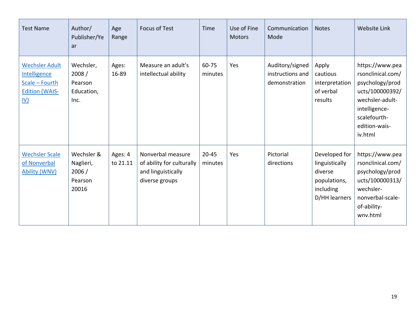| <b>Test Name</b>                                                                               | Author/<br>Publisher/Ye<br>ar                        | Age<br>Range        | <b>Focus of Test</b>                                                                   | Time                 | Use of Fine<br><b>Motors</b> | Communication<br>Mode                                | <b>Notes</b>                                                                             | <b>Website Link</b>                                                                                                                                        |
|------------------------------------------------------------------------------------------------|------------------------------------------------------|---------------------|----------------------------------------------------------------------------------------|----------------------|------------------------------|------------------------------------------------------|------------------------------------------------------------------------------------------|------------------------------------------------------------------------------------------------------------------------------------------------------------|
| <b>Wechsler Adult</b><br>Intelligence<br>Scale - Fourth<br><b>Edition (WAIS-</b><br><u>IV)</u> | Wechsler,<br>2008/<br>Pearson<br>Education,<br>Inc.  | Ages:<br>16-89      | Measure an adult's<br>intellectual ability                                             | 60-75<br>minutes     | Yes                          | Auditory/signed<br>instructions and<br>demonstration | Apply<br>cautious<br>interpretation<br>of verbal<br>results                              | https://www.pea<br>rsonclinical.com/<br>psychology/prod<br>ucts/100000392/<br>wechsler-adult-<br>intelligence-<br>scalefourth-<br>edition-wais-<br>iv.html |
| <b>Wechsler Scale</b><br>of Nonverbal<br><b>Ability (WNV)</b>                                  | Wechsler &<br>Naglieri,<br>2006/<br>Pearson<br>20016 | Ages: 4<br>to 21.11 | Nonverbal measure<br>of ability for culturally<br>and linguistically<br>diverse groups | $20 - 45$<br>minutes | Yes                          | Pictorial<br>directions                              | Developed for<br>linguistically<br>diverse<br>populations,<br>including<br>D/HH learners | https://www.pea<br>rsonclinical.com/<br>psychology/prod<br>ucts/100000313/<br>wechsler-<br>nonverbal-scale-<br>of-ability-<br>wnv.html                     |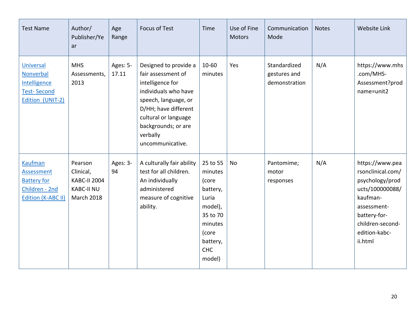| <b>Test Name</b>                                                                           | Author/<br>Publisher/Ye<br>ar                                                         | Age<br>Range      | <b>Focus of Test</b>                                                                                                                                                                                                   | Time                                                                                                                             | Use of Fine<br>Motors | Communication<br>Mode                         | <b>Notes</b> | Website Link                                                                                                                                                          |
|--------------------------------------------------------------------------------------------|---------------------------------------------------------------------------------------|-------------------|------------------------------------------------------------------------------------------------------------------------------------------------------------------------------------------------------------------------|----------------------------------------------------------------------------------------------------------------------------------|-----------------------|-----------------------------------------------|--------------|-----------------------------------------------------------------------------------------------------------------------------------------------------------------------|
| Universal<br>Nonverbal<br>Intelligence<br><b>Test-Second</b><br>Edition (UNIT-2)           | <b>MHS</b><br>Assessments,<br>2013                                                    | Ages: 5-<br>17.11 | Designed to provide a<br>fair assessment of<br>intelligence for<br>individuals who have<br>speech, language, or<br>D/HH; have different<br>cultural or language<br>backgrounds; or are<br>verbally<br>uncommunicative. | 10-60<br>minutes                                                                                                                 | Yes                   | Standardized<br>gestures and<br>demonstration | N/A          | https://www.mhs<br>.com/MHS-<br>Assessment?prod<br>name=unit2                                                                                                         |
| <b>Kaufman</b><br>Assessment<br><b>Battery for</b><br>Children - 2nd<br>Edition (K-ABC II) | Pearson<br>Clinical,<br><b>KABC-II 2004</b><br><b>KABC-II NU</b><br><b>March 2018</b> | Ages: 3-<br>94    | A culturally fair ability<br>test for all children.<br>An individually<br>administered<br>measure of cognitive<br>ability.                                                                                             | 25 to 55<br>minutes<br>(core<br>battery,<br>Luria<br>model),<br>35 to 70<br>minutes<br>(core<br>battery,<br><b>CHC</b><br>model) | No                    | Pantomime;<br>motor<br>responses              | N/A          | https://www.pea<br>rsonclinical.com/<br>psychology/prod<br>ucts/100000088/<br>kaufman-<br>assessment-<br>battery-for-<br>children-second-<br>edition-kabc-<br>ii.html |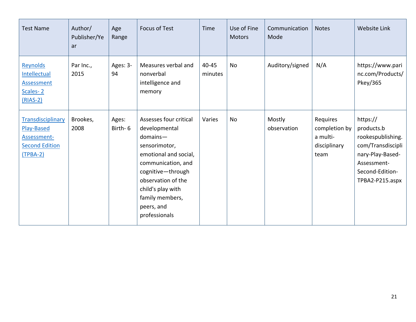| <b>Test Name</b>                                                                      | Author/<br>Publisher/Ye<br>ar | Age<br>Range     | <b>Focus of Test</b>                                                                                                                                                                                                                    | <b>Time</b>      | Use of Fine<br><b>Motors</b> | Communication<br>Mode | <b>Notes</b>                                                  | Website Link                                                                                                                              |
|---------------------------------------------------------------------------------------|-------------------------------|------------------|-----------------------------------------------------------------------------------------------------------------------------------------------------------------------------------------------------------------------------------------|------------------|------------------------------|-----------------------|---------------------------------------------------------------|-------------------------------------------------------------------------------------------------------------------------------------------|
| Reynolds<br>Intellectual<br><b>Assessment</b><br>Scales-2<br>$(RIAS-2)$               | Par Inc.,<br>2015             | Ages: 3-<br>94   | Measures verbal and<br>nonverbal<br>intelligence and<br>memory                                                                                                                                                                          | 40-45<br>minutes | No                           | Auditory/signed       | N/A                                                           | https://www.pari<br>nc.com/Products/<br>Pkey/365                                                                                          |
| Transdisciplinary<br>Play-Based<br>Assessment-<br><b>Second Edition</b><br>$(TPBA-2)$ | Brookes,<br>2008              | Ages:<br>Birth-6 | Assesses four critical<br>developmental<br>$domains-$<br>sensorimotor,<br>emotional and social,<br>communication, and<br>cognitive-through<br>observation of the<br>child's play with<br>family members,<br>peers, and<br>professionals | Varies           | <b>No</b>                    | Mostly<br>observation | Requires<br>completion by<br>a multi-<br>disciplinary<br>team | https://<br>products.b<br>rookespublishing.<br>com/Transdiscipli<br>nary-Play-Based-<br>Assessment-<br>Second-Edition-<br>TPBA2-P215.aspx |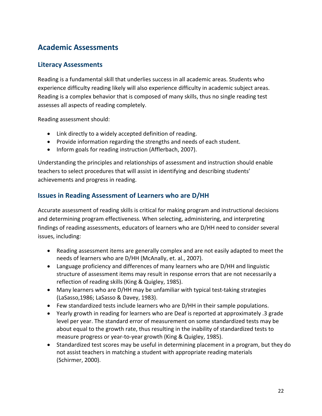# <span id="page-21-0"></span>**Academic Assessments**

#### **Literacy Assessments**

Reading is a fundamental skill that underlies success in all academic areas. Students who experience difficulty reading likely will also experience difficulty in academic subject areas. Reading is a complex behavior that is composed of many skills, thus no single reading test assesses all aspects of reading completely.

Reading assessment should:

- Link directly to a widely accepted definition of reading.
- Provide information regarding the strengths and needs of each student.
- Inform goals for reading instruction (Afflerbach, 2007).

Understanding the principles and relationships of assessment and instruction should enable teachers to select procedures that will assist in identifying and describing students' achievements and progress in reading.

### **Issues in Reading Assessment of Learners who are D/HH**

Accurate assessment of reading skills is critical for making program and instructional decisions and determining program effectiveness. When selecting, administering, and interpreting findings of reading assessments, educators of learners who are D/HH need to consider several issues, including:

- Reading assessment items are generally complex and are not easily adapted to meet the needs of learners who are D/HH (McAnally, et. al., 2007).
- Language proficiency and differences of many learners who are D/HH and linguistic structure of assessment items may result in response errors that are not necessarily a reflection of reading skills (King & Quigley, 1985).
- Many learners who are D/HH may be unfamiliar with typical test-taking strategies (LaSasso,1986; LaSasso & Davey, 1983).
- Few standardized tests include learners who are D/HH in their sample populations.
- Yearly growth in reading for learners who are Deaf is reported at approximately .3 grade level per year. The standard error of measurement on some standardized tests may be about equal to the growth rate, thus resulting in the inability of standardized tests to measure progress or year-to-year growth (King & Quigley, 1985).
- Standardized test scores may be useful in determining placement in a program, but they do not assist teachers in matching a student with appropriate reading materials (Schirmer, 2000).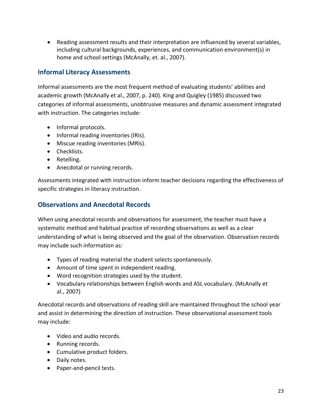<span id="page-22-0"></span>• Reading assessment results and their interpretation are influenced by several variables, including cultural backgrounds, experiences, and communication environment(s) in home and school settings (McAnally, et. al., 2007).

### **Informal Literacy Assessments**

Informal assessments are the most frequent method of evaluating students' abilities and academic growth (McAnally et al., 2007, p. 240). King and Quigley (1985) discussed two categories of informal assessments, unobtrusive measures and dynamic assessment integrated with instruction. The categories include:

- Informal protocols.
- Informal reading inventories (IRIs).
- Miscue reading inventories (MRIs).
- Checklists.
- Retelling.
- Anecdotal or running records.

Assessments integrated with instruction inform teacher decisions regarding the effectiveness of specific strategies in literacy instruction.

### **Observations and Anecdotal Records**

When using anecdotal records and observations for assessment, the teacher must have a systematic method and habitual practice of recording observations as well as a clear understanding of what is being observed and the goal of the observation. Observation records may include such information as:

- Types of reading material the student selects spontaneously.
- Amount of time spent in independent reading.
- Word recognition strategies used by the student.
- Vocabulary relationships between English words and ASL vocabulary. (McAnally et al., 2007)

Anecdotal records and observations of reading skill are maintained throughout the school year and assist in determining the direction of instruction. These observational assessment tools may include:

- Video and audio records.
- Running records.
- Cumulative product folders.
- Daily notes.
- Paper-and-pencil tests.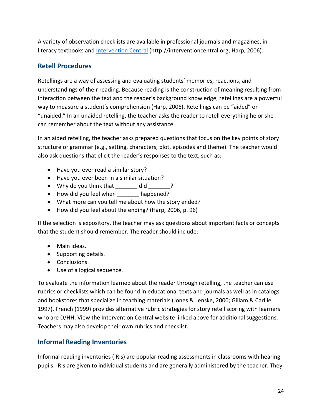<span id="page-23-0"></span>A variety of observation checklists are available in professional journals and magazines, in literacy textbooks and [Intervention Central](http://interventioncentral.org/) (http://interventioncentral.org; Harp, 2006).

### **Retell Procedures**

Retellings are a way of assessing and evaluating students' memories, reactions, and understandings of their reading. Because reading is the construction of meaning resulting from interaction between the text and the reader's background knowledge, retellings are a powerful way to measure a student's comprehension (Harp, 2006). Retellings can be "aided" or "unaided." In an unaided retelling, the teacher asks the reader to retell everything he or she can remember about the text without any assistance.

In an aided retelling, the teacher asks prepared questions that focus on the key points of story structure or grammar (e.g., setting, characters, plot, episodes and theme). The teacher would also ask questions that elicit the reader's responses to the text, such as:

- Have you ever read a similar story?
- Have you ever been in a similar situation?
- Why do you think that \_\_\_\_\_\_\_ did \_\_\_\_\_\_?
- How did you feel when \_\_\_\_\_\_\_ happened?
- What more can you tell me about how the story ended?
- How did you feel about the ending? (Harp, 2006, p. 96)

If the selection is expository, the teacher may ask questions about important facts or concepts that the student should remember. The reader should include:

- Main ideas.
- Supporting details.
- Conclusions.
- Use of a logical sequence.

To evaluate the information learned about the reader through retelling, the teacher can use rubrics or checklists which can be found in educational texts and journals as well as in catalogs and bookstores that specialize in teaching materials (Jones & Lenske, 2000; Gillam & Carlile, 1997). French (1999) provides alternative rubric strategies for story retell scoring with learners who are D/HH. View the Intervention Central website linked above for additional suggestions. Teachers may also develop their own rubrics and checklist.

### **Informal Reading Inventories**

Informal reading inventories (IRIs) are popular reading assessments in classrooms with hearing pupils. IRIs are given to individual students and are generally administered by the teacher. They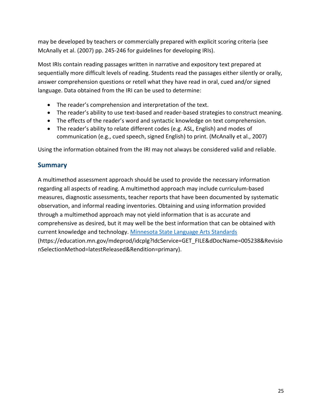<span id="page-24-0"></span>may be developed by teachers or commercially prepared with explicit scoring criteria (see McAnally et al. (2007) pp. 245-246 for guidelines for developing IRIs).

Most IRIs contain reading passages written in narrative and expository text prepared at sequentially more difficult levels of reading. Students read the passages either silently or orally, answer comprehension questions or retell what they have read in oral, cued and/or signed language. Data obtained from the IRI can be used to determine:

- The reader's comprehension and interpretation of the text.
- The reader's ability to use text-based and reader-based strategies to construct meaning.
- The effects of the reader's word and syntactic knowledge on text comprehension.
- The reader's ability to relate different codes (e.g. ASL, English) and modes of communication (e.g., cued speech, signed English) to print. (McAnally et al., 2007)

Using the information obtained from the IRI may not always be considered valid and reliable.

#### **Summary**

A multimethod assessment approach should be used to provide the necessary information regarding all aspects of reading. A multimethod approach may include curriculum-based measures, diagnostic assessments, teacher reports that have been documented by systematic observation, and informal reading inventories. Obtaining and using information provided through a multimethod approach may not yield information that is as accurate and comprehensive as desired, but it may well be the best information that can be obtained with current knowledge and technology. [Minnesota State Language Arts Standards](https://education.mn.gov/mdeprod/idcplg?IdcService=GET_FILE&dDocName=005238&RevisionSelectionMethod=latestReleased&Rendition=primary) (https://education.mn.gov/mdeprod/idcplg?IdcService=GET\_FILE&dDocName=005238&Revisio nSelectionMethod=latestReleased&Rendition=primary).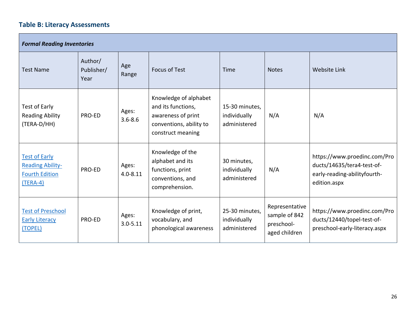## **Table B: Literacy Assessments**

<span id="page-25-0"></span>

| <b>Formal Reading Inventories</b>                                                      |                               |                       |                                                                                                                   |                                                |                                                                |                                                                                                            |  |
|----------------------------------------------------------------------------------------|-------------------------------|-----------------------|-------------------------------------------------------------------------------------------------------------------|------------------------------------------------|----------------------------------------------------------------|------------------------------------------------------------------------------------------------------------|--|
| <b>Test Name</b>                                                                       | Author/<br>Publisher/<br>Year | Age<br>Range          | <b>Focus of Test</b>                                                                                              | Time                                           | <b>Notes</b>                                                   | <b>Website Link</b>                                                                                        |  |
| Test of Early<br><b>Reading Ability</b><br>(TERA-D/HH)                                 | PRO-ED                        | Ages:<br>$3.6 - 8.6$  | Knowledge of alphabet<br>and its functions,<br>awareness of print<br>conventions, ability to<br>construct meaning | 15-30 minutes,<br>individually<br>administered | N/A                                                            | N/A                                                                                                        |  |
| <b>Test of Early</b><br><b>Reading Ability-</b><br><b>Fourth Edition</b><br>$(TERA-4)$ | PRO-ED                        | Ages:<br>$4.0 - 8.11$ | Knowledge of the<br>alphabet and its<br>functions, print<br>conventions, and<br>comprehension.                    | 30 minutes,<br>individually<br>administered    | N/A                                                            | https://www.proedinc.com/Pro<br>ducts/14635/tera4-test-of-<br>early-reading-abilityfourth-<br>edition.aspx |  |
| <b>Test of Preschool</b><br><b>Early Literacy</b><br>(TOPEL)                           | PRO-ED                        | Ages:<br>$3.0 - 5.11$ | Knowledge of print,<br>vocabulary, and<br>phonological awareness                                                  | 25-30 minutes,<br>individually<br>administered | Representative<br>sample of 842<br>preschool-<br>aged children | https://www.proedinc.com/Pro<br>ducts/12440/topel-test-of-<br>preschool-early-literacy.aspx                |  |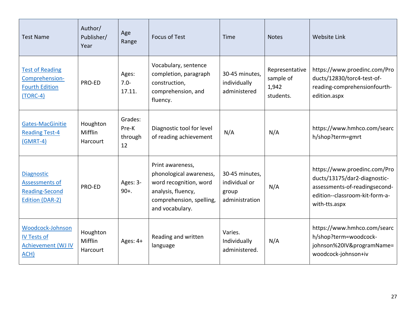| <b>Test Name</b>                                                                       | Author/<br>Publisher/<br>Year          | Age<br>Range                      | <b>Focus of Test</b>                                                                                                                       | Time                                                       | <b>Notes</b>                                      | <b>Website Link</b>                                                                                                                              |
|----------------------------------------------------------------------------------------|----------------------------------------|-----------------------------------|--------------------------------------------------------------------------------------------------------------------------------------------|------------------------------------------------------------|---------------------------------------------------|--------------------------------------------------------------------------------------------------------------------------------------------------|
| <b>Test of Reading</b><br>Comprehension-<br><b>Fourth Edition</b><br>$(TORC-4)$        | PRO-ED                                 | Ages:<br>$7.0 -$<br>17.11.        | Vocabulary, sentence<br>completion, paragraph<br>construction,<br>comprehension, and<br>fluency.                                           | 30-45 minutes.<br>individually<br>administered             | Representative<br>sample of<br>1,942<br>students. | https://www.proedinc.com/Pro<br>ducts/12830/torc4-test-of-<br>reading-comprehensionfourth-<br>edition.aspx                                       |
| Gates-MacGinitie<br><b>Reading Test-4</b><br>$(GMRT-4)$                                | Houghton<br>Mifflin<br><b>Harcourt</b> | Grades:<br>Pre-K<br>through<br>12 | Diagnostic tool for level<br>of reading achievement                                                                                        | N/A                                                        | N/A                                               | https://www.hmhco.com/searc<br>h/shop?term=gmrt                                                                                                  |
| <b>Diagnostic</b><br>Assessments of<br><b>Reading-Second</b><br><b>Edition (DAR-2)</b> | PRO-ED                                 | Ages: 3-<br>$90+.$                | Print awareness,<br>phonological awareness,<br>word recognition, word<br>analysis, fluency,<br>comprehension, spelling,<br>and vocabulary. | 30-45 minutes,<br>individual or<br>group<br>administration | N/A                                               | https://www.proedinc.com/Pro<br>ducts/13175/dar2-diagnostic-<br>assessments-of-readingsecond-<br>edition--classroom-kit-form-a-<br>with-tts.aspx |
| Woodcock-Johnson<br><b>IV Tests of</b><br><b>Achievement (WJ IV</b><br>ACH)            | Houghton<br>Mifflin<br>Harcourt        | Ages: 4+                          | Reading and written<br>language                                                                                                            | Varies.<br>Individually<br>administered.                   | N/A                                               | https://www.hmhco.com/searc<br>h/shop?term=woodcock-<br>johnson%20IV&programName=<br>woodcock-johnson+iv                                         |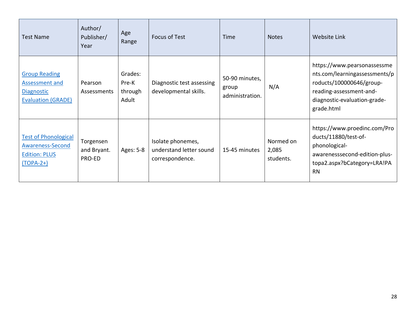| <b>Test Name</b>                                                                                | Author/<br>Publisher/<br>Year      | Age<br>Range                         | <b>Focus of Test</b>                                            | Time                                       | <b>Notes</b>                    | <b>Website Link</b>                                                                                                                                               |
|-------------------------------------------------------------------------------------------------|------------------------------------|--------------------------------------|-----------------------------------------------------------------|--------------------------------------------|---------------------------------|-------------------------------------------------------------------------------------------------------------------------------------------------------------------|
| <b>Group Reading</b><br><b>Assessment and</b><br><b>Diagnostic</b><br><b>Evaluation (GRADE)</b> | Pearson<br>Assessments             | Grades:<br>Pre-K<br>through<br>Adult | Diagnostic test assessing<br>developmental skills.              | 50-90 minutes,<br>group<br>administration. | N/A                             | https://www.pearsonassessme<br>nts.com/learningassessments/p<br>roducts/100000646/group-<br>reading-assessment-and-<br>diagnostic-evaluation-grade-<br>grade.html |
| <b>Test of Phonological</b><br>Awareness-Second<br><b>Edition: PLUS</b><br>$(TOPA-2+)$          | Torgensen<br>and Bryant.<br>PRO-ED | Ages: 5-8                            | Isolate phonemes,<br>understand letter sound<br>correspondence. | 15-45 minutes                              | Normed on<br>2,085<br>students. | https://www.proedinc.com/Pro<br>ducts/11880/test-of-<br>phonological-<br>awarenesssecond-edition-plus-<br>topa2.aspx?bCategory=LRA!PA<br><b>RN</b>                |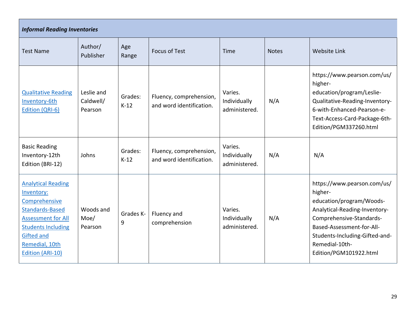| <b>Informal Reading Inventories</b>                                                                                                                                                                            |                                    |                   |                                                     |                                          |              |                                                                                                                                                                                                                                            |  |
|----------------------------------------------------------------------------------------------------------------------------------------------------------------------------------------------------------------|------------------------------------|-------------------|-----------------------------------------------------|------------------------------------------|--------------|--------------------------------------------------------------------------------------------------------------------------------------------------------------------------------------------------------------------------------------------|--|
| <b>Test Name</b>                                                                                                                                                                                               | Author/<br>Publisher               | Age<br>Range      | <b>Focus of Test</b>                                | Time                                     | <b>Notes</b> | <b>Website Link</b>                                                                                                                                                                                                                        |  |
| <b>Qualitative Reading</b><br>Inventory-6th<br>Edition (QRI-6)                                                                                                                                                 | Leslie and<br>Caldwell/<br>Pearson | Grades:<br>$K-12$ | Fluency, comprehension,<br>and word identification. | Varies.<br>Individually<br>administered. | N/A          | https://www.pearson.com/us/<br>higher-<br>education/program/Leslie-<br>Qualitative-Reading-Inventory-<br>6-with-Enhanced-Pearson-e-<br>Text-Access-Card-Package-6th-<br>Edition/PGM337260.html                                             |  |
| <b>Basic Reading</b><br>Inventory-12th<br>Edition (BRI-12)                                                                                                                                                     | Johns                              | Grades:<br>$K-12$ | Fluency, comprehension,<br>and word identification. | Varies.<br>Individually<br>administered. | N/A          | N/A                                                                                                                                                                                                                                        |  |
| <b>Analytical Reading</b><br>Inventory:<br>Comprehensive<br><b>Standards-Based</b><br><b>Assessment for All</b><br><b>Students Including</b><br><b>Gifted and</b><br>Remedial, 10th<br><b>Edition (ARI-10)</b> | Woods and<br>Moe/<br>Pearson       | Grades K-<br>9    | Fluency and<br>comprehension                        | Varies.<br>Individually<br>administered. | N/A          | https://www.pearson.com/us/<br>higher-<br>education/program/Woods-<br>Analytical-Reading-Inventory-<br>Comprehensive-Standards-<br>Based-Assessment-for-All-<br>Students-Including-Gifted-and-<br>Remedial-10th-<br>Edition/PGM101922.html |  |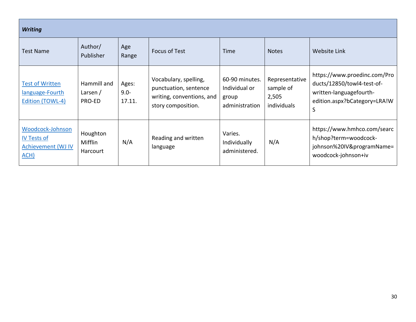| <b>Writing</b>                                                               |                                     |                            |                                                                                                   |                                                            |                                                     |                                                                                                                            |  |
|------------------------------------------------------------------------------|-------------------------------------|----------------------------|---------------------------------------------------------------------------------------------------|------------------------------------------------------------|-----------------------------------------------------|----------------------------------------------------------------------------------------------------------------------------|--|
| <b>Test Name</b>                                                             | Author/<br>Publisher                | Age<br>Range               | <b>Focus of Test</b>                                                                              | Time                                                       | <b>Notes</b>                                        | <b>Website Link</b>                                                                                                        |  |
| <b>Test of Written</b><br>language-Fourth<br>Edition (TOWL-4)                | Hammill and<br>Larsen $/$<br>PRO-ED | Ages:<br>$9.0 -$<br>17.11. | Vocabulary, spelling,<br>punctuation, sentence<br>writing, conventions, and<br>story composition. | 60-90 minutes.<br>Individual or<br>group<br>administration | Representative<br>sample of<br>2,505<br>individuals | https://www.proedinc.com/Pro<br>ducts/12850/towl4-test-of-<br>written-languagefourth-<br>edition.aspx?bCategory=LRA!W<br>S |  |
| Woodcock-Johnson<br><b>IV Tests of</b><br><b>Achievement (WJ IV)</b><br>ACH) | Houghton<br>Mifflin<br>Harcourt     | N/A                        | Reading and written<br>language                                                                   | Varies.<br>Individually<br>administered.                   | N/A                                                 | https://www.hmhco.com/searc<br>h/shop?term=woodcock-<br>johnson%20IV&programName=<br>woodcock-johnson+iv                   |  |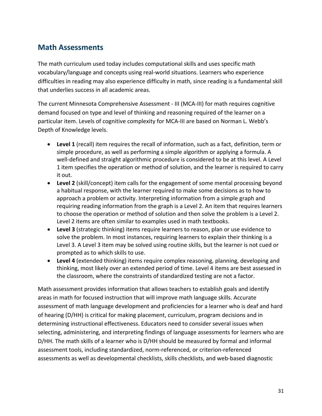## <span id="page-30-0"></span>**Math Assessments**

The math curriculum used today includes computational skills and uses specific math vocabulary/language and concepts using real-world situations. Learners who experience difficulties in reading may also experience difficulty in math, since reading is a fundamental skill that underlies success in all academic areas.

The current Minnesota Comprehensive Assessment - III (MCA-III) for math requires cognitive demand focused on type and level of thinking and reasoning required of the learner on a particular item. Levels of cognitive complexity for MCA-III are based on Norman L. Webb's Depth of Knowledge levels.

- **Level 1** (recall) item requires the recall of information, such as a fact, definition, term or simple procedure, as well as performing a simple algorithm or applying a formula. A well-defined and straight algorithmic procedure is considered to be at this level. A Level 1 item specifies the operation or method of solution, and the learner is required to carry it out.
- **Level 2** (skill/concept) item calls for the engagement of some mental processing beyond a habitual response, with the learner required to make some decisions as to how to approach a problem or activity. Interpreting information from a simple graph and requiring reading information from the graph is a Level 2. An item that requires learners to choose the operation or method of solution and then solve the problem is a Level 2. Level 2 items are often similar to examples used in math textbooks.
- **Level 3** (strategic thinking) items require learners to reason, plan or use evidence to solve the problem. In most instances, requiring learners to explain their thinking is a Level 3. A Level 3 item may be solved using routine skills, but the learner is not cued or prompted as to which skills to use.
- **Level 4** (extended thinking) items require complex reasoning, planning, developing and thinking, most likely over an extended period of time. Level 4 items are best assessed in the classroom, where the constraints of standardized testing are not a factor.

Math assessment provides information that allows teachers to establish goals and identify areas in math for focused instruction that will improve math language skills. Accurate assessment of math language development and proficiencies for a learner who is deaf and hard of hearing (D/HH) is critical for making placement, curriculum, program decisions and in determining instructional effectiveness. Educators need to consider several issues when selecting, administering, and interpreting findings of language assessments for learners who are D/HH. The math skills of a learner who is D/HH should be measured by formal and informal assessment tools, including standardized, norm-referenced, or criterion-referenced assessments as well as developmental checklists, skills checklists, and web-based diagnostic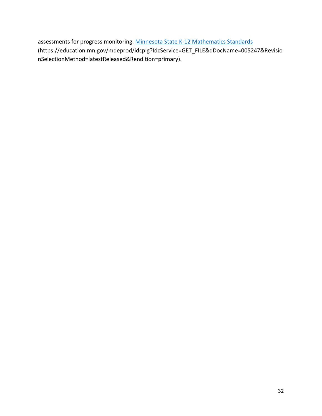assessments for progress monitoring. [Minnesota State K-12 Mathematics Standards](https://education.mn.gov/mdeprod/idcplg?IdcService=GET_FILE&dDocName=005247&RevisionSelectionMethod=latestReleased&Rendition=primary) (https://education.mn.gov/mdeprod/idcplg?IdcService=GET\_FILE&dDocName=005247&Revisio nSelectionMethod=latestReleased&Rendition=primary).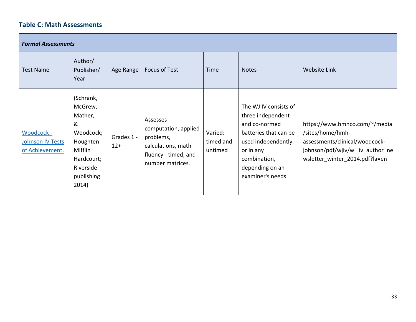## **Table C: Math Assessments**

<span id="page-32-0"></span>

| <b>Formal Assessments</b>                         |                                                                                                                            |                     |                                                                                                                 |                                 |                                                                                                                                                                                 |                                                                                                                                                           |  |
|---------------------------------------------------|----------------------------------------------------------------------------------------------------------------------------|---------------------|-----------------------------------------------------------------------------------------------------------------|---------------------------------|---------------------------------------------------------------------------------------------------------------------------------------------------------------------------------|-----------------------------------------------------------------------------------------------------------------------------------------------------------|--|
| <b>Test Name</b>                                  | Author/<br>Publisher/<br>Year                                                                                              | Age Range           | Focus of Test                                                                                                   | Time                            | <b>Notes</b>                                                                                                                                                                    | <b>Website Link</b>                                                                                                                                       |  |
| Woodcock -<br>Johnson IV Tests<br>of Achievement. | (Schrank,<br>McGrew,<br>Mather,<br>&<br>Woodcock;<br>Houghten<br>Mifflin<br>Hardcourt;<br>Riverside<br>publishing<br>2014) | Grades 1 -<br>$12+$ | Assesses<br>computation, applied<br>problems,<br>calculations, math<br>fluency - timed, and<br>number matrices. | Varied:<br>timed and<br>untimed | The WJ IV consists of<br>three independent<br>and co-normed<br>batteries that can be<br>used independently<br>or in any<br>combination,<br>depending on an<br>examiner's needs. | https://www.hmhco.com/~/media<br>/sites/home/hmh-<br>assessments/clinical/woodcock-<br>johnson/pdf/wjiv/wj_iv_author_ne<br>wsletter winter 2014.pdf?la=en |  |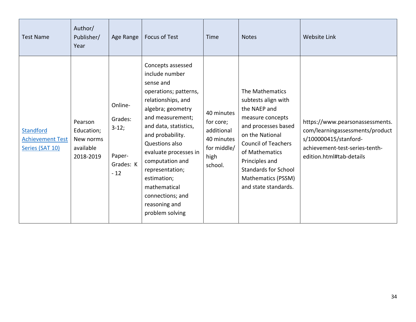| <b>Test Name</b>                                               | Author/<br>Publisher/<br>Year                                | Age Range                                                     | Focus of Test                                                                                                                                                                                                                                                                                                                                                 | Time                                                                                  | <b>Notes</b>                                                                                                                                                                                                                                                        | <b>Website Link</b>                                                                                                                                       |
|----------------------------------------------------------------|--------------------------------------------------------------|---------------------------------------------------------------|---------------------------------------------------------------------------------------------------------------------------------------------------------------------------------------------------------------------------------------------------------------------------------------------------------------------------------------------------------------|---------------------------------------------------------------------------------------|---------------------------------------------------------------------------------------------------------------------------------------------------------------------------------------------------------------------------------------------------------------------|-----------------------------------------------------------------------------------------------------------------------------------------------------------|
| <b>Standford</b><br><b>Achievement Test</b><br>Series (SAT 10) | Pearson<br>Education;<br>New norms<br>available<br>2018-2019 | Online-<br>Grades:<br>$3-12;$<br>Paper-<br>Grades: K<br>$-12$ | Concepts assessed<br>include number<br>sense and<br>operations; patterns,<br>relationships, and<br>algebra; geometry<br>and measurement;<br>and data, statistics,<br>and probability.<br>Questions also<br>evaluate processes in<br>computation and<br>representation;<br>estimation;<br>mathematical<br>connections; and<br>reasoning and<br>problem solving | 40 minutes<br>for core;<br>additional<br>40 minutes<br>for middle/<br>high<br>school. | The Mathematics<br>subtests align with<br>the NAEP and<br>measure concepts<br>and processes based<br>on the National<br><b>Council of Teachers</b><br>of Mathematics<br>Principles and<br><b>Standards for School</b><br>Mathematics (PSSM)<br>and state standards. | https://www.pearsonassessments.<br>com/learningassessments/product<br>s/100000415/stanford-<br>achievement-test-series-tenth-<br>edition.html#tab-details |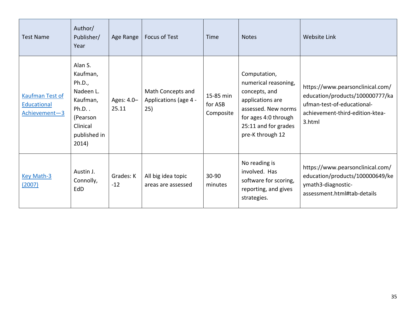| <b>Test Name</b>                                       | Author/<br>Publisher/<br>Year                                                                                        | Age Range           | Focus of Test                                     | Time                              | <b>Notes</b>                                                                                                                                                         | <b>Website Link</b>                                                                                                                            |
|--------------------------------------------------------|----------------------------------------------------------------------------------------------------------------------|---------------------|---------------------------------------------------|-----------------------------------|----------------------------------------------------------------------------------------------------------------------------------------------------------------------|------------------------------------------------------------------------------------------------------------------------------------------------|
| <b>Kaufman Test of</b><br>Educational<br>Achievement-3 | Alan S.<br>Kaufman,<br>Ph.D.,<br>Nadeen L.<br>Kaufman,<br>$Ph.D.$ .<br>(Pearson<br>Clinical<br>published in<br>2014) | Ages: 4.0-<br>25.11 | Math Concepts and<br>Applications (age 4 -<br>25) | 15-85 min<br>for ASB<br>Composite | Computation,<br>numerical reasoning,<br>concepts, and<br>applications are<br>assessed. New norms<br>for ages 4:0 through<br>25:11 and for grades<br>pre-K through 12 | https://www.pearsonclinical.com/<br>education/products/100000777/ka<br>ufman-test-of-educational-<br>achievement-third-edition-ktea-<br>3.html |
| <b>Key Math-3</b><br>(2007)                            | Austin J.<br>Connolly,<br>EdD                                                                                        | Grades: K<br>$-12$  | All big idea topic<br>areas are assessed          | 30-90<br>minutes                  | No reading is<br>involved. Has<br>software for scoring,<br>reporting, and gives<br>strategies.                                                                       | https://www.pearsonclinical.com/<br>education/products/100000649/ke<br>ymath3-diagnostic-<br>assessment.html#tab-details                       |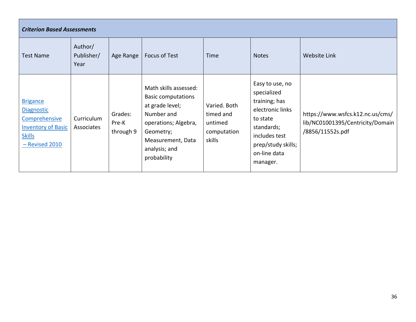| <b>Criterion Based Assessments</b>                                                                                    |                               |                               |                                                                                                                                                                               |                                                               |                                                                                                                                                                  |                                                                                          |  |
|-----------------------------------------------------------------------------------------------------------------------|-------------------------------|-------------------------------|-------------------------------------------------------------------------------------------------------------------------------------------------------------------------------|---------------------------------------------------------------|------------------------------------------------------------------------------------------------------------------------------------------------------------------|------------------------------------------------------------------------------------------|--|
| <b>Test Name</b>                                                                                                      | Author/<br>Publisher/<br>Year | Age Range                     | Focus of Test                                                                                                                                                                 | <b>Time</b>                                                   | <b>Notes</b>                                                                                                                                                     | Website Link                                                                             |  |
| <b>Brigance</b><br><b>Diagnostic</b><br>Comprehensive<br><b>Inventory of Basic</b><br><b>Skills</b><br>- Revised 2010 | Curriculum<br>Associates      | Grades:<br>Pre-K<br>through 9 | Math skills assessed:<br><b>Basic computations</b><br>at grade level;<br>Number and<br>operations; Algebra,<br>Geometry;<br>Measurement, Data<br>analysis; and<br>probability | Varied. Both<br>timed and<br>untimed<br>computation<br>skills | Easy to use, no<br>specialized<br>training; has<br>electronic links<br>to state<br>standards;<br>includes test<br>prep/study skills;<br>on-line data<br>manager. | https://www.wsfcs.k12.nc.us/cms/<br>lib/NC01001395/Centricity/Domain<br>/8856/11552s.pdf |  |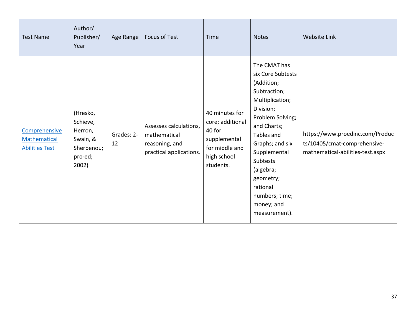| <b>Test Name</b>                                              | Author/<br>Publisher/<br>Year                                                 | Age Range        | Focus of Test                                                                       | Time                                                                                                       | <b>Notes</b>                                                                                                                                                                                                                                                                           | <b>Website Link</b>                                                                                 |
|---------------------------------------------------------------|-------------------------------------------------------------------------------|------------------|-------------------------------------------------------------------------------------|------------------------------------------------------------------------------------------------------------|----------------------------------------------------------------------------------------------------------------------------------------------------------------------------------------------------------------------------------------------------------------------------------------|-----------------------------------------------------------------------------------------------------|
| Comprehensive<br><b>Mathematical</b><br><b>Abilities Test</b> | (Hresko,<br>Schieve,<br>Herron,<br>Swain, &<br>Sherbenou;<br>pro-ed;<br>2002) | Grades: 2-<br>12 | Assesses calculations,<br>mathematical<br>reasoning, and<br>practical applications. | 40 minutes for<br>core; additional<br>40 for<br>supplemental<br>for middle and<br>high school<br>students. | The CMAT has<br>six Core Subtests<br>(Addition;<br>Subtraction;<br>Multiplication;<br>Division;<br>Problem Solving;<br>and Charts;<br>Tables and<br>Graphs; and six<br>Supplemental<br>Subtests<br>(algebra;<br>geometry;<br>rational<br>numbers; time;<br>money; and<br>measurement). | https://www.proedinc.com/Produc<br>ts/10405/cmat-comprehensive-<br>mathematical-abilities-test.aspx |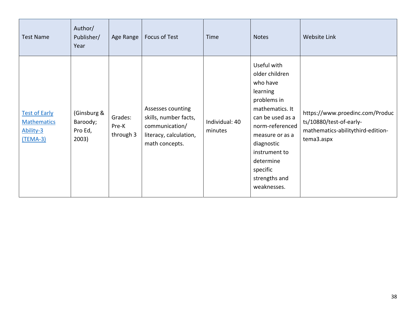| <b>Test Name</b>                                                           | Author/<br>Publisher/<br>Year               | Age Range                     | Focus of Test                                                                                            | Time                      | <b>Notes</b>                                                                                                                                                                                                                              | Website Link                                                                                                  |
|----------------------------------------------------------------------------|---------------------------------------------|-------------------------------|----------------------------------------------------------------------------------------------------------|---------------------------|-------------------------------------------------------------------------------------------------------------------------------------------------------------------------------------------------------------------------------------------|---------------------------------------------------------------------------------------------------------------|
| <b>Test of Early</b><br><b>Mathematics</b><br>Ability-3<br><u>(TEMA-3)</u> | (Ginsburg &<br>Baroody;<br>Pro Ed,<br>2003) | Grades:<br>Pre-K<br>through 3 | Assesses counting<br>skills, number facts,<br>communication/<br>literacy, calculation,<br>math concepts. | Individual: 40<br>minutes | Useful with<br>older children<br>who have<br>learning<br>problems in<br>mathematics. It<br>can be used as a<br>norm-referenced<br>measure or as a<br>diagnostic<br>instrument to<br>determine<br>specific<br>strengths and<br>weaknesses. | https://www.proedinc.com/Produc<br>ts/10880/test-of-early-<br>mathematics-abilitythird-edition-<br>tema3.aspx |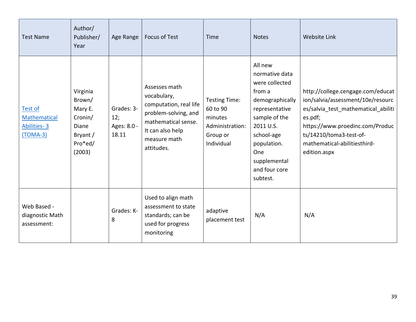| <b>Test Name</b>                                     | Author/<br>Publisher/<br>Year                                                      | Age Range                                 | <b>Focus of Test</b>                                                                                                                                    | Time                                                                              | <b>Notes</b>                                                                                                                                                                                              | <b>Website Link</b>                                                                                                                                                                                                                    |
|------------------------------------------------------|------------------------------------------------------------------------------------|-------------------------------------------|---------------------------------------------------------------------------------------------------------------------------------------------------------|-----------------------------------------------------------------------------------|-----------------------------------------------------------------------------------------------------------------------------------------------------------------------------------------------------------|----------------------------------------------------------------------------------------------------------------------------------------------------------------------------------------------------------------------------------------|
| Test of<br>Mathematical<br>Abilities-3<br>$(TOMA-3)$ | Virginia<br>Brown/<br>Mary E.<br>Cronin/<br>Diane<br>Bryant /<br>Pro*ed/<br>(2003) | Grades: 3-<br>12;<br>Ages: 8.0 -<br>18.11 | Assesses math<br>vocabulary,<br>computation, real life<br>problem-solving, and<br>mathematical sense.<br>It can also help<br>measure math<br>attitudes. | Testing Time:<br>60 to 90<br>minutes<br>Administration:<br>Group or<br>Individual | All new<br>normative data<br>were collected<br>from a<br>demographically<br>representative<br>sample of the<br>2011 U.S.<br>school-age<br>population.<br>One<br>supplemental<br>and four core<br>subtest. | http://college.cengage.com/educat<br>ion/salvia/assessment/10e/resourc<br>es/salvia test mathematical abiliti<br>es.pdf;<br>https://www.proedinc.com/Produc<br>ts/14210/toma3-test-of-<br>mathematical-abilitiesthird-<br>edition.aspx |
| Web Based -<br>diagnostic Math<br>assessment:        |                                                                                    | Grades: K-<br>8                           | Used to align math<br>assessment to state<br>standards; can be<br>used for progress<br>monitoring                                                       | adaptive<br>placement test                                                        | N/A                                                                                                                                                                                                       | N/A                                                                                                                                                                                                                                    |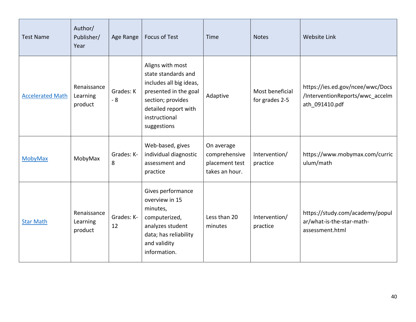| <b>Test Name</b>        | Author/<br>Publisher/<br>Year      | Age Range         | <b>Focus of Test</b>                                                                                                                                                     | Time                                                            | <b>Notes</b>                      | <b>Website Link</b>                                                                   |
|-------------------------|------------------------------------|-------------------|--------------------------------------------------------------------------------------------------------------------------------------------------------------------------|-----------------------------------------------------------------|-----------------------------------|---------------------------------------------------------------------------------------|
| <b>Accelerated Math</b> | Renaissance<br>Learning<br>product | Grades: K<br>$-8$ | Aligns with most<br>state standards and<br>includes all big ideas,<br>presented in the goal<br>section; provides<br>detailed report with<br>instructional<br>suggestions | Adaptive                                                        | Most beneficial<br>for grades 2-5 | https://ies.ed.gov/ncee/wwc/Docs<br>/InterventionReports/wwc_accelm<br>ath_091410.pdf |
| <b>MobyMax</b>          | MobyMax                            | Grades: K-<br>8   | Web-based, gives<br>individual diagnostic<br>assessment and<br>practice                                                                                                  | On average<br>comprehensive<br>placement test<br>takes an hour. | Intervention/<br>practice         | https://www.mobymax.com/curric<br>ulum/math                                           |
| <b>Star Math</b>        | Renaissance<br>Learning<br>product | Grades: K-<br>12  | Gives performance<br>overview in 15<br>minutes,<br>computerized,<br>analyzes student<br>data; has reliability<br>and validity<br>information.                            | Less than 20<br>minutes                                         | Intervention/<br>practice         | https://study.com/academy/popul<br>ar/what-is-the-star-math-<br>assessment.html       |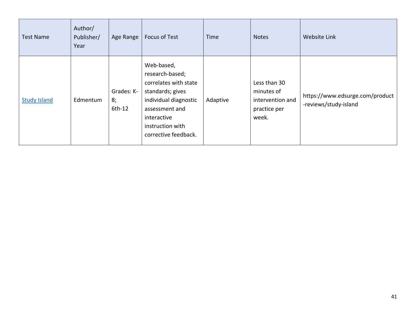| <b>Test Name</b>    | Author/<br>Publisher/<br>Year | Age Range                  | Focus of Test                                                                                                                                                                    | Time     | <b>Notes</b>                                                            | Website Link                                             |
|---------------------|-------------------------------|----------------------------|----------------------------------------------------------------------------------------------------------------------------------------------------------------------------------|----------|-------------------------------------------------------------------------|----------------------------------------------------------|
| <b>Study Island</b> | Edmentum                      | Grades: K-<br>8;<br>6th-12 | Web-based,<br>research-based;<br>correlates with state<br>standards; gives<br>individual diagnostic<br>assessment and<br>interactive<br>instruction with<br>corrective feedback. | Adaptive | Less than 30<br>minutes of<br>intervention and<br>practice per<br>week. | https://www.edsurge.com/product<br>-reviews/study-island |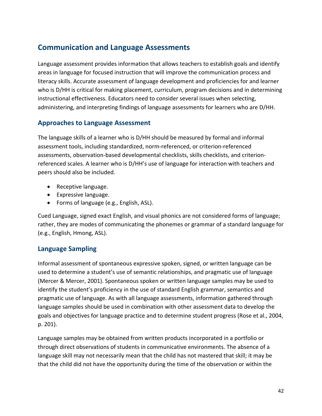# **Communication and Language Assessments**

Language assessment provides information that allows teachers to establish goals and identify areas in language for focused instruction that will improve the communication process and literacy skills. Accurate assessment of language development and proficiencies for and learner who is D/HH is critical for making placement, curriculum, program decisions and in determining instructional effectiveness. Educators need to consider several issues when selecting, administering, and interpreting findings of language assessments for learners who are D/HH.

### **Approaches to Language Assessment**

The language skills of a learner who is D/HH should be measured by formal and informal assessment tools, including standardized, norm-referenced, or criterion-referenced assessments, observation-based developmental checklists, skills checklists, and criterionreferenced scales. A learner who is D/HH's use of language for interaction with teachers and peers should also be included.

- Receptive language.
- Expressive language.
- Forms of language (e.g., English, ASL).

Cued Language, signed exact English, and visual phonics are not considered forms of language; rather, they are modes of communicating the phonemes or grammar of a standard language for (e.g., English, Hmong, ASL).

## **Language Sampling**

Informal assessment of spontaneous expressive spoken, signed, or written language can be used to determine a student's use of semantic relationships, and pragmatic use of language (Mercer & Mercer, 2001). Spontaneous spoken or written language samples may be used to identify the student's proficiency in the use of standard English grammar, semantics and pragmatic use of language. As with all language assessments, information gathered through language samples should be used in combination with other assessment data to develop the goals and objectives for language practice and to determine student progress (Rose et al., 2004, p. 201).

Language samples may be obtained from written products incorporated in a portfolio or through direct observations of students in communicative environments. The absence of a language skill may not necessarily mean that the child has not mastered that skill; it may be that the child did not have the opportunity during the time of the observation or within the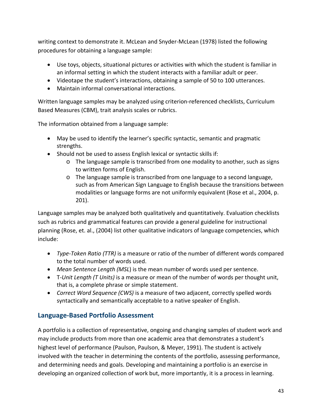writing context to demonstrate it. McLean and Snyder-McLean (1978) listed the following procedures for obtaining a language sample:

- Use toys, objects, situational pictures or activities with which the student is familiar in an informal setting in which the student interacts with a familiar adult or peer.
- Videotape the student's interactions, obtaining a sample of 50 to 100 utterances.
- Maintain informal conversational interactions.

Written language samples may be analyzed using criterion-referenced checklists, Curriculum Based Measures (CBM), trait analysis scales or rubrics.

The information obtained from a language sample:

- May be used to identify the learner's specific syntactic, semantic and pragmatic strengths.
- Should not be used to assess English lexical or syntactic skills if:
	- o The language sample is transcribed from one modality to another, such as signs to written forms of English.
	- o The language sample is transcribed from one language to a second language, such as from American Sign Language to English because the transitions between modalities or language forms are not uniformly equivalent (Rose et al., 2004, p. 201).

Language samples may be analyzed both qualitatively and quantitatively. Evaluation checklists such as rubrics and grammatical features can provide a general guideline for instructional planning (Rose, et. al., (2004) list other qualitative indicators of language competencies, which include:

- *Type-Token Ratio (TTR)* is a measure or ratio of the number of different words compared to the total number of words used.
- *Mean Sentence Length (MSL*) is the mean number of words used per sentence.
- T*-Unit Length (T Units)* is a measure or mean of the number of words per thought unit, that is, a complete phrase or simple statement.
- *Correct Word Sequence (CWS)* is a measure of two adjacent, correctly spelled words syntactically and semantically acceptable to a native speaker of English.

## **Language-Based Portfolio Assessment**

A portfolio is a collection of representative, ongoing and changing samples of student work and may include products from more than one academic area that demonstrates a student's highest level of performance (Paulson, Paulson, & Meyer, 1991). The student is actively involved with the teacher in determining the contents of the portfolio, assessing performance, and determining needs and goals. Developing and maintaining a portfolio is an exercise in developing an organized collection of work but, more importantly, it is a process in learning.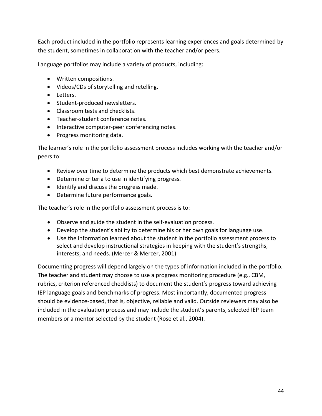Each product included in the portfolio represents learning experiences and goals determined by the student, sometimes in collaboration with the teacher and/or peers.

Language portfolios may include a variety of products, including:

- Written compositions.
- Videos/CDs of storytelling and retelling.
- Letters.
- Student-produced newsletters.
- Classroom tests and checklists.
- Teacher-student conference notes.
- Interactive computer-peer conferencing notes.
- Progress monitoring data.

The learner's role in the portfolio assessment process includes working with the teacher and/or peers to:

- Review over time to determine the products which best demonstrate achievements.
- Determine criteria to use in identifying progress.
- Identify and discuss the progress made.
- Determine future performance goals.

The teacher's role in the portfolio assessment process is to:

- Observe and guide the student in the self-evaluation process.
- Develop the student's ability to determine his or her own goals for language use.
- Use the information learned about the student in the portfolio assessment process to select and develop instructional strategies in keeping with the student's strengths, interests, and needs. (Mercer & Mercer, 2001)

Documenting progress will depend largely on the types of information included in the portfolio. The teacher and student may choose to use a progress monitoring procedure (e.g., CBM, rubrics, criterion referenced checklists) to document the student's progress toward achieving IEP language goals and benchmarks of progress. Most importantly, documented progress should be evidence-based, that is, objective, reliable and valid. Outside reviewers may also be included in the evaluation process and may include the student's parents, selected IEP team members or a mentor selected by the student (Rose et al., 2004).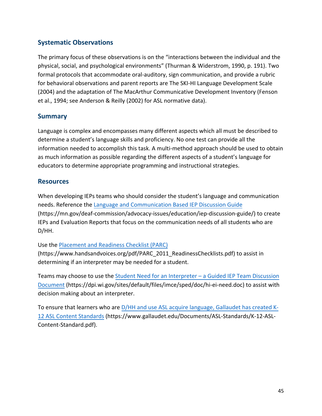## **Systematic Observations**

The primary focus of these observations is on the "interactions between the individual and the physical, social, and psychological environments" (Thurman & Widerstrom, 1990, p. 191). Two formal protocols that accommodate oral-auditory, sign communication, and provide a rubric for behavioral observations and parent reports are The SKI-HI Language Development Scale (2004) and the adaptation of The MacArthur Communicative Development Inventory (Fenson et al., 1994; see Anderson & Reilly (2002) for ASL normative data).

### **Summary**

Language is complex and encompasses many different aspects which all must be described to determine a student's language skills and proficiency. No one test can provide all the information needed to accomplish this task. A multi-method approach should be used to obtain as much information as possible regarding the different aspects of a student's language for educators to determine appropriate programming and instructional strategies.

#### **Resources**

When developing IEPs teams who should consider the student's language and communication needs. Reference the [Language and Communication Based IEP Discussion Guide](https://mn.gov/deaf-commission/advocacy-issues/education/iep-discussion-guide/) (https://mn.gov/deaf-commission/advocacy-issues/education/iep-discussion-guide/) to create IEPs and Evaluation Reports that focus on the communication needs of all students who are D/HH.

#### Use the Placement and [Readiness Checklist \(PARC\)](https://www.handsandvoices.org/pdf/PARC_2011_ReadinessChecklists.pdf)

(https://www.handsandvoices.org/pdf/PARC\_2011\_ReadinessChecklists.pdf) to assist in determining if an interpreter may be needed for a student.

Teams may choose to use the [Student Need for an Interpreter – a Guided IEP Team Discussion](https://dpi.wi.gov/sites/default/files/imce/sped/doc/hi-ei-need.doc)  [Document](https://dpi.wi.gov/sites/default/files/imce/sped/doc/hi-ei-need.doc) (https://dpi.wi.gov/sites/default/files/imce/sped/doc/hi-ei-need.doc) to assist with decision making about an interpreter.

To ensure that learners who are D/HH and use ASL acquire [language, Gallaudet has created K-](https://www.gallaudet.edu/Documents/ASL-Standards/K-12-ASL-Content-Standard.pdf)[12 ASL Content Standards](https://www.gallaudet.edu/Documents/ASL-Standards/K-12-ASL-Content-Standard.pdf) (https://www.gallaudet.edu/Documents/ASL-Standards/K-12-ASL-Content-Standard.pdf).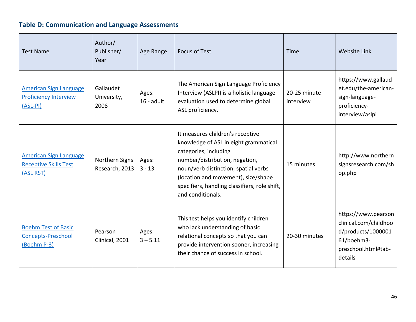# **Table D: Communication and Language Assessments**

| <b>Test Name</b>                                                            | Author/<br>Publisher/<br>Year    | Age Range             | <b>Focus of Test</b>                                                                                                                                                                                                                                                                      | Time                      | <b>Website Link</b>                                                                                                |
|-----------------------------------------------------------------------------|----------------------------------|-----------------------|-------------------------------------------------------------------------------------------------------------------------------------------------------------------------------------------------------------------------------------------------------------------------------------------|---------------------------|--------------------------------------------------------------------------------------------------------------------|
| <b>American Sign Language</b><br><b>Proficiency Interview</b><br>$(ASL-PI)$ | Gallaudet<br>University,<br>2008 | Ages:<br>$16$ - adult | The American Sign Language Proficiency<br>Interview (ASLPI) is a holistic language<br>evaluation used to determine global<br>ASL proficiency.                                                                                                                                             | 20-25 minute<br>interview | https://www.gallaud<br>et.edu/the-american-<br>sign-language-<br>proficiency-<br>interview/aslpi                   |
| <b>American Sign Language</b><br><b>Receptive Skills Test</b><br>(ASL RST)  | Northern Signs<br>Research, 2013 | Ages:<br>$3 - 13$     | It measures children's receptive<br>knowledge of ASL in eight grammatical<br>categories, including<br>number/distribution, negation,<br>noun/verb distinction, spatial verbs<br>(location and movement), size/shape<br>specifiers, handling classifiers, role shift,<br>and conditionals. | 15 minutes                | http://www.northern<br>signsresearch.com/sh<br>op.php                                                              |
| <b>Boehm Test of Basic</b><br><b>Concepts-Preschool</b><br>(Boehm P-3)      | Pearson<br>Clinical, 2001        | Ages:<br>$3 - 5.11$   | This test helps you identify children<br>who lack understanding of basic<br>relational concepts so that you can<br>provide intervention sooner, increasing<br>their chance of success in school.                                                                                          | 20-30 minutes             | https://www.pearson<br>clinical.com/childhoo<br>d/products/1000001<br>61/boehm3-<br>preschool.html#tab-<br>details |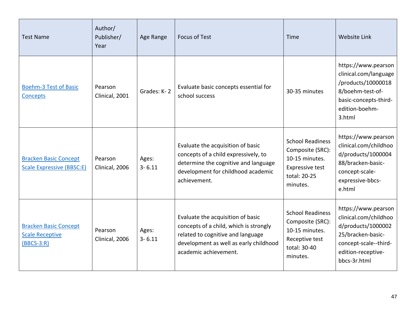| <b>Test Name</b>                                                       | Author/<br>Publisher/<br>Year | Age Range           | <b>Focus of Test</b>                                                                                                                                                                | Time                                                                                                                | Website Link                                                                                                                                           |
|------------------------------------------------------------------------|-------------------------------|---------------------|-------------------------------------------------------------------------------------------------------------------------------------------------------------------------------------|---------------------------------------------------------------------------------------------------------------------|--------------------------------------------------------------------------------------------------------------------------------------------------------|
| <b>Boehm-3 Test of Basic</b><br><b>Concepts</b>                        | Pearson<br>Clinical, 2001     | Grades: K-2         | Evaluate basic concepts essential for<br>school success                                                                                                                             | 30-35 minutes                                                                                                       | https://www.pearson<br>clinical.com/language<br>/products/10000018<br>8/boehm-test-of-<br>basic-concepts-third-<br>edition-boehm-<br>3.html            |
| <b>Bracken Basic Concept</b><br><b>Scale Expressive (BBSC:E)</b>       | Pearson<br>Clinical, 2006     | Ages:<br>$3 - 6.11$ | Evaluate the acquisition of basic<br>concepts of a child expressively, to<br>determine the cognitive and language<br>development for childhood academic<br>achievement.             | <b>School Readiness</b><br>Composite (SRC):<br>10-15 minutes.<br><b>Expressive test</b><br>total: 20-25<br>minutes. | https://www.pearson<br>clinical.com/childhoo<br>d/products/1000004<br>88/bracken-basic-<br>concept-scale-<br>expressive-bbcs-<br>e.html                |
| <b>Bracken Basic Concept</b><br><b>Scale Receptive</b><br>$(BBCS-3:R)$ | Pearson<br>Clinical, 2006     | Ages:<br>$3 - 6.11$ | Evaluate the acquisition of basic<br>concepts of a child, which is strongly<br>related to cognitive and language<br>development as well as early childhood<br>academic achievement. | <b>School Readiness</b><br>Composite (SRC):<br>10-15 minutes.<br>Receptive test<br>total: 30-40<br>minutes.         | https://www.pearson<br>clinical.com/childhoo<br>d/products/1000002<br>25/bracken-basic-<br>concept-scale--third-<br>edition-receptive-<br>bbcs-3r.html |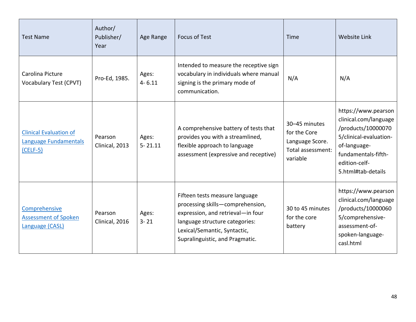| <b>Test Name</b>                                                     | Author/<br>Publisher/<br>Year | Age Range            | <b>Focus of Test</b>                                                                                                                                                                                         | Time                                                                              | Website Link                                                                                                                                                               |
|----------------------------------------------------------------------|-------------------------------|----------------------|--------------------------------------------------------------------------------------------------------------------------------------------------------------------------------------------------------------|-----------------------------------------------------------------------------------|----------------------------------------------------------------------------------------------------------------------------------------------------------------------------|
| Carolina Picture<br>Vocabulary Test (CPVT)                           | Pro-Ed, 1985.                 | Ages:<br>$4 - 6.11$  | Intended to measure the receptive sign<br>vocabulary in individuals where manual<br>signing is the primary mode of<br>communication.                                                                         | N/A                                                                               | N/A                                                                                                                                                                        |
| <b>Clinical Evaluation of</b><br>Language Fundamentals<br>$(CELF-5)$ | Pearson<br>Clinical, 2013     | Ages:<br>$5 - 21.11$ | A comprehensive battery of tests that<br>provides you with a streamlined,<br>flexible approach to language<br>assessment (expressive and receptive)                                                          | 30-45 minutes<br>for the Core<br>Language Score.<br>Total assessment:<br>variable | https://www.pearson<br>clinical.com/language<br>/products/10000070<br>5/clinical-evaluation-<br>of-language-<br>fundamentals-fifth-<br>edition-celf-<br>5.html#tab-details |
| Comprehensive<br><b>Assessment of Spoken</b><br>Language (CASL)      | Pearson<br>Clinical, 2016     | Ages:<br>$3 - 21$    | Fifteen tests measure language<br>processing skills-comprehension,<br>expression, and retrieval-in four<br>language structure categories:<br>Lexical/Semantic, Syntactic,<br>Supralinguistic, and Pragmatic. | 30 to 45 minutes<br>for the core<br>battery                                       | https://www.pearson<br>clinical.com/language<br>/products/10000060<br>5/comprehensive-<br>assessment-of-<br>spoken-language-<br>casl.html                                  |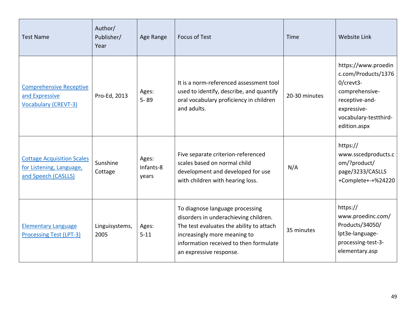| <b>Test Name</b>                                                                     | Author/<br>Publisher/<br>Year | Age Range                   | <b>Focus of Test</b>                                                                                                                                                                                                      | Time          | <b>Website Link</b>                                                                                                                                 |
|--------------------------------------------------------------------------------------|-------------------------------|-----------------------------|---------------------------------------------------------------------------------------------------------------------------------------------------------------------------------------------------------------------------|---------------|-----------------------------------------------------------------------------------------------------------------------------------------------------|
| <b>Comprehensive Receptive</b><br>and Expressive<br><b>Vocabulary (CREVT-3)</b>      | Pro-Ed, 2013                  | Ages:<br>$5 - 89$           | It is a norm-referenced assessment tool<br>used to identify, describe, and quantify<br>oral vocabulary proficiency in children<br>and adults.                                                                             | 20-30 minutes | https://www.proedin<br>c.com/Products/1376<br>0/crevt3-<br>comprehensive-<br>receptive-and-<br>expressive-<br>vocabulary-testthird-<br>edition.aspx |
| <b>Cottage Acquisition Scales</b><br>for Listening, Language,<br>and Speech (CASLLS) | Sunshine<br>Cottage           | Ages:<br>Infants-8<br>years | Five separate criterion-referenced<br>scales based on normal child<br>development and developed for use<br>with children with hearing loss.                                                                               | N/A           | https://<br>www.sscedproducts.c<br>om/?product/<br>page/3233/CASLLS<br>+Complete+-+%24220                                                           |
| <b>Elementary Language</b><br>Processing Test (LPT-3)                                | Linguisystems,<br>2005        | Ages:<br>$5 - 11$           | To diagnose language processing<br>disorders in underachieving children.<br>The test evaluates the ability to attach<br>increasingly more meaning to<br>information received to then formulate<br>an expressive response. | 35 minutes    | https://<br>www.proedinc.com/<br>Products/34050/<br>lpt3e-language-<br>processing-test-3-<br>elementary.asp                                         |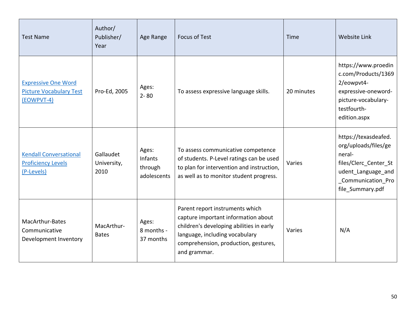| <b>Test Name</b>                                                           | Author/<br>Publisher/<br>Year    | Age Range                                  | <b>Focus of Test</b>                                                                                                                                                                                         | Time       | <b>Website Link</b>                                                                                                                             |
|----------------------------------------------------------------------------|----------------------------------|--------------------------------------------|--------------------------------------------------------------------------------------------------------------------------------------------------------------------------------------------------------------|------------|-------------------------------------------------------------------------------------------------------------------------------------------------|
| <b>Expressive One Word</b><br><b>Picture Vocabulary Test</b><br>(EOWPVT-4) | Pro-Ed, 2005                     | Ages:<br>$2 - 80$                          | To assess expressive language skills.                                                                                                                                                                        | 20 minutes | https://www.proedin<br>c.com/Products/1369<br>2/eowpvt4-<br>expressive-oneword-<br>picture-vocabulary-<br>testfourth-<br>edition.aspx           |
| <b>Kendall Conversational</b><br><b>Proficiency Levels</b><br>(P-Levels)   | Gallaudet<br>University,<br>2010 | Ages:<br>Infants<br>through<br>adolescents | To assess communicative competence<br>of students. P-Level ratings can be used<br>to plan for intervention and instruction,<br>as well as to monitor student progress.                                       | Varies     | https://texasdeafed.<br>org/uploads/files/ge<br>neral-<br>files/Clerc_Center_St<br>udent_Language_and<br>_Communication_Pro<br>file_Summary.pdf |
| MacArthur-Bates<br>Communicative<br>Development Inventory                  | MacArthur-<br><b>Bates</b>       | Ages:<br>8 months -<br>37 months           | Parent report instruments which<br>capture important information about<br>children's developing abilities in early<br>language, including vocabulary<br>comprehension, production, gestures,<br>and grammar. | Varies     | N/A                                                                                                                                             |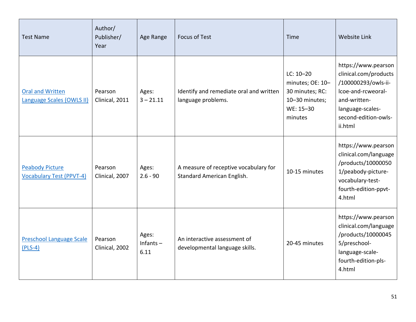| <b>Test Name</b>                                          | Author/<br>Publisher/<br>Year | Age Range                    | <b>Focus of Test</b>                                                | Time                                                                                         | Website Link                                                                                                                                                     |
|-----------------------------------------------------------|-------------------------------|------------------------------|---------------------------------------------------------------------|----------------------------------------------------------------------------------------------|------------------------------------------------------------------------------------------------------------------------------------------------------------------|
| <b>Oral and Written</b><br>Language Scales (OWLS II)      | Pearson<br>Clinical, 2011     | Ages:<br>$3 - 21.11$         | Identify and remediate oral and written<br>language problems.       | $LC: 10-20$<br>minutes; OE: 10-<br>30 minutes; RC:<br>10-30 minutes;<br>WE: 15-30<br>minutes | https://www.pearson<br>clinical.com/products<br>/100000293/owls-ii-<br>Icoe-and-rcweoral-<br>and-written-<br>language-scales-<br>second-edition-owls-<br>ii.html |
| <b>Peabody Picture</b><br><b>Vocabulary Test (PPVT-4)</b> | Pearson<br>Clinical, 2007     | Ages:<br>$2.6 - 90$          | A measure of receptive vocabulary for<br>Standard American English. | 10-15 minutes                                                                                | https://www.pearson<br>clinical.com/language<br>/products/10000050<br>1/peabody-picture-<br>vocabulary-test-<br>fourth-edition-ppvt-<br>4.html                   |
| <b>Preschool Language Scale</b><br>$(PLS-4)$              | Pearson<br>Clinical, 2002     | Ages:<br>Infants $-$<br>6.11 | An interactive assessment of<br>developmental language skills.      | 20-45 minutes                                                                                | https://www.pearson<br>clinical.com/language<br>/products/10000045<br>5/preschool-<br>language-scale-<br>fourth-edition-pls-<br>4.html                           |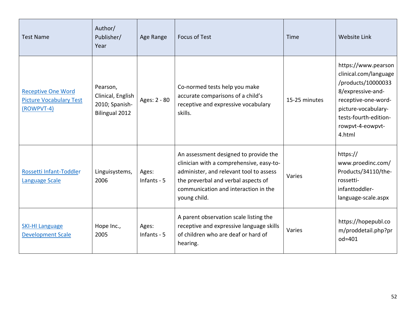| <b>Test Name</b>                                                          | Author/<br>Publisher/<br>Year                                            | Age Range              | <b>Focus of Test</b>                                                                                                                                                                                                        | Time          | <b>Website Link</b>                                                                                                                                                                          |
|---------------------------------------------------------------------------|--------------------------------------------------------------------------|------------------------|-----------------------------------------------------------------------------------------------------------------------------------------------------------------------------------------------------------------------------|---------------|----------------------------------------------------------------------------------------------------------------------------------------------------------------------------------------------|
| <b>Receptive One Word</b><br><b>Picture Vocabulary Test</b><br>(ROWPVT-4) | Pearson,<br>Clinical, English<br>2010; Spanish-<br><b>Bilingual 2012</b> | Ages: 2 - 80           | Co-normed tests help you make<br>accurate comparisons of a child's<br>receptive and expressive vocabulary<br>skills.                                                                                                        | 15-25 minutes | https://www.pearson<br>clinical.com/language<br>/products/10000033<br>8/expressive-and-<br>receptive-one-word-<br>picture-vocabulary-<br>tests-fourth-edition-<br>rowpvt-4-eowpvt-<br>4.html |
| Rossetti Infant-Toddler<br><b>Language Scale</b>                          | Linguisystems,<br>2006                                                   | Ages:<br>Infants - $5$ | An assessment designed to provide the<br>clinician with a comprehensive, easy-to-<br>administer, and relevant tool to assess<br>the preverbal and verbal aspects of<br>communication and interaction in the<br>young child. | Varies        | https://<br>www.proedinc.com/<br>Products/34110/the-<br>rossetti-<br>infanttoddler-<br>language-scale.aspx                                                                                   |
| <b>SKI-HI Language</b><br><b>Development Scale</b>                        | Hope Inc.,<br>2005                                                       | Ages:<br>Infants - 5   | A parent observation scale listing the<br>receptive and expressive language skills<br>of children who are deaf or hard of<br>hearing.                                                                                       | Varies        | https://hopepubl.co<br>m/proddetail.php?pr<br>$od = 401$                                                                                                                                     |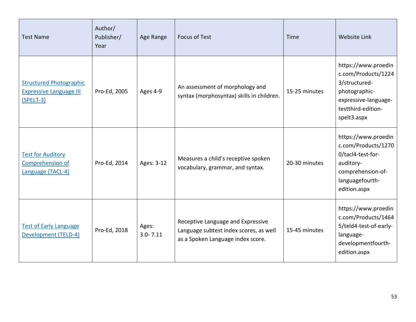| <b>Test Name</b>                                                                | Author/<br>Publisher/<br>Year | Age Range             | <b>Focus of Test</b>                                                                                             | Time          | Website Link                                                                                                                              |
|---------------------------------------------------------------------------------|-------------------------------|-----------------------|------------------------------------------------------------------------------------------------------------------|---------------|-------------------------------------------------------------------------------------------------------------------------------------------|
| <b>Structured Photographic</b><br><b>Expressive Language III</b><br>$(SPELT-3)$ | Pro-Ed, 2005                  | Ages 4-9              | An assessment of morphology and<br>syntax (morphosyntax) skills in children.                                     | 15-25 minutes | https://www.proedin<br>c.com/Products/1224<br>3/structured-<br>photographic-<br>expressive-language-<br>testthird-edition-<br>spelt3.aspx |
| <b>Test for Auditory</b><br>Comprehension of<br>Language (TACL-4)               | Pro-Ed, 2014                  | Ages: 3-12            | Measures a child's receptive spoken<br>vocabulary, grammar, and syntax.                                          | 20-30 minutes | https://www.proedin<br>c.com/Products/1270<br>0/tacl4-test-for-<br>auditory-<br>comprehension-of-<br>languagefourth-<br>edition.aspx      |
| <b>Test of Early Language</b><br><b>Development (TELD-4)</b>                    | Pro-Ed, 2018                  | Ages:<br>$3.0 - 7.11$ | Receptive Language and Expressive<br>Language subtest index scores, as well<br>as a Spoken Language index score. | 15-45 minutes | https://www.proedin<br>c.com/Products/1464<br>5/teld4-test-of-early-<br>language-<br>developmentfourth-<br>edition.aspx                   |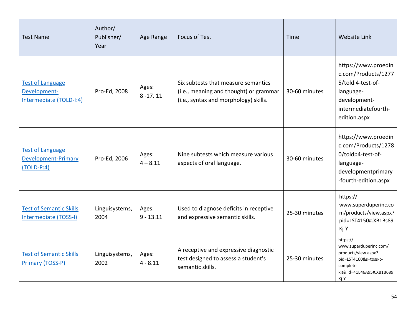| <b>Test Name</b>                                                      | Author/<br>Publisher/<br>Year | Age Range            | <b>Focus of Test</b>                                                                                                   | Time          | Website Link                                                                                                                         |
|-----------------------------------------------------------------------|-------------------------------|----------------------|------------------------------------------------------------------------------------------------------------------------|---------------|--------------------------------------------------------------------------------------------------------------------------------------|
| <b>Test of Language</b><br>Development-<br>Intermediate (TOLD-I:4)    | Pro-Ed, 2008                  | Ages:<br>$8 - 17.11$ | Six subtests that measure semantics<br>(i.e., meaning and thought) or grammar<br>(i.e., syntax and morphology) skills. | 30-60 minutes | https://www.proedin<br>c.com/Products/1277<br>5/toldi4-test-of-<br>language-<br>development-<br>intermediatefourth-<br>edition.aspx  |
| <b>Test of Language</b><br><b>Development-Primary</b><br>$(TOLD-P:4)$ | Pro-Ed, 2006                  | Ages:<br>$4 - 8.11$  | Nine subtests which measure various<br>aspects of oral language.                                                       | 30-60 minutes | https://www.proedin<br>c.com/Products/1278<br>0/toldp4-test-of-<br>language-<br>developmentprimary<br>-fourth-edition.aspx           |
| <b>Test of Semantic Skills</b><br>Intermediate (TOSS-I)               | Linguisystems,<br>2004        | Ages:<br>$9 - 13.11$ | Used to diagnose deficits in receptive<br>and expressive semantic skills.                                              | 25-30 minutes | https://<br>www.superduperinc.co<br>m/products/view.aspx?<br>pid=LST4150#.XB1Bs89<br>Kj-Y                                            |
| <b>Test of Semantic Skills</b><br>Primary (TOSS-P)                    | Linguisystems,<br>2002        | Ages:<br>$4 - 8.11$  | A receptive and expressive diagnostic<br>test designed to assess a student's<br>semantic skills.                       | 25-30 minutes | https://<br>www.superduperinc.com/<br>products/view.aspx?<br>pid=LST4160&s=toss-p-<br>complete-<br>kit&lid=41E46A95#.XB1B689<br>Kj-Y |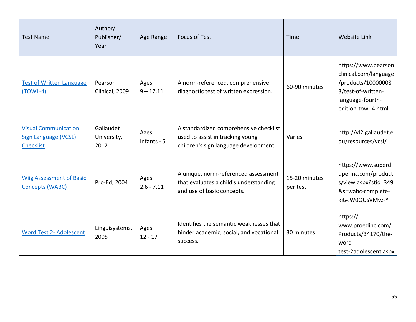| <b>Test Name</b>                                                               | Author/<br>Publisher/<br>Year    | Age Range             | <b>Focus of Test</b>                                                                                               | Time                      | <b>Website Link</b>                                                                                                                 |
|--------------------------------------------------------------------------------|----------------------------------|-----------------------|--------------------------------------------------------------------------------------------------------------------|---------------------------|-------------------------------------------------------------------------------------------------------------------------------------|
| <b>Test of Written Language</b><br>$(TOWL-4)$                                  | Pearson<br>Clinical, 2009        | Ages:<br>$9 - 17.11$  | A norm-referenced, comprehensive<br>diagnostic test of written expression.                                         | 60-90 minutes             | https://www.pearson<br>clinical.com/language<br>/products/10000008<br>3/test-of-written-<br>language-fourth-<br>edition-towl-4.html |
| <b>Visual Communication</b><br><b>Sign Language (VCSL)</b><br><b>Checklist</b> | Gallaudet<br>University,<br>2012 | Ages:<br>Infants - 5  | A standardized comprehensive checklist<br>used to assist in tracking young<br>children's sign language development | Varies                    | http://vl2.gallaudet.e<br>du/resources/vcsl/                                                                                        |
| <b>Wiig Assessment of Basic</b><br><b>Concepts (WABC)</b>                      | Pro-Ed, 2004                     | Ages:<br>$2.6 - 7.11$ | A unique, norm-referenced assessment<br>that evaluates a child's understanding<br>and use of basic concepts.       | 15-20 minutes<br>per test | https://www.superd<br>uperinc.com/product<br>s/view.aspx?stid=349<br>&s=wabc-complete-<br>kit#.W0QUsVMvz-Y                          |
| <b>Word Test 2- Adolescent</b>                                                 | Linguisystems,<br>2005           | Ages:<br>$12 - 17$    | Identifies the semantic weaknesses that<br>hinder academic, social, and vocational<br>success.                     | 30 minutes                | https://<br>www.proedinc.com/<br>Products/34170/the-<br>word-<br>test-2adolescent.aspx                                              |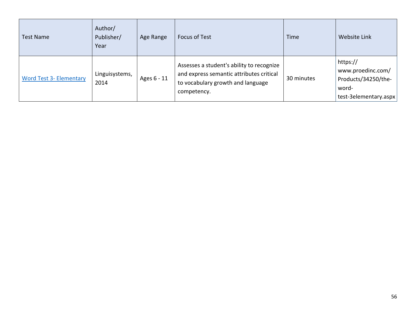| <b>Test Name</b>               | Author/<br>Publisher/<br>Year | Age Range   | <b>Focus of Test</b>                                                                                                                      | Time       | Website Link                                                                           |
|--------------------------------|-------------------------------|-------------|-------------------------------------------------------------------------------------------------------------------------------------------|------------|----------------------------------------------------------------------------------------|
| <b>Word Test 3- Elementary</b> | Linguisystems,<br>2014        | Ages 6 - 11 | Assesses a student's ability to recognize<br>and express semantic attributes critical<br>to vocabulary growth and language<br>competency. | 30 minutes | https://<br>www.proedinc.com/<br>Products/34250/the-<br>word-<br>test-3elementary.aspx |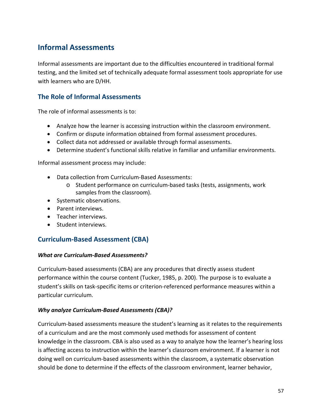# **Informal Assessments**

Informal assessments are important due to the difficulties encountered in traditional formal testing, and the limited set of technically adequate formal assessment tools appropriate for use with learners who are D/HH.

## **The Role of Informal Assessments**

The role of informal assessments is to:

- Analyze how the learner is accessing instruction within the classroom environment.
- Confirm or dispute information obtained from formal assessment procedures.
- Collect data not addressed or available through formal assessments.
- Determine student's functional skills relative in familiar and unfamiliar environments.

Informal assessment process may include:

- Data collection from Curriculum-Based Assessments:
	- o Student performance on curriculum-based tasks (tests, assignments, work samples from the classroom).
- Systematic observations.
- Parent interviews.
- Teacher interviews.
- Student interviews.

### **Curriculum-Based Assessment (CBA)**

#### *What are Curriculum-Based Assessments?*

Curriculum-based assessments (CBA) are any procedures that directly assess student performance within the course content (Tucker, 1985, p. 200). The purpose is to evaluate a student's skills on task-specific items or criterion-referenced performance measures within a particular curriculum.

#### *Why analyze Curriculum-Based Assessments (CBA)?*

Curriculum-based assessments measure the student's learning as it relates to the requirements of a curriculum and are the most commonly used methods for assessment of content knowledge in the classroom. CBA is also used as a way to analyze how the learner's hearing loss is affecting access to instruction within the learner's classroom environment. If a learner is not doing well on curriculum-based assessments within the classroom, a systematic observation should be done to determine if the effects of the classroom environment, learner behavior,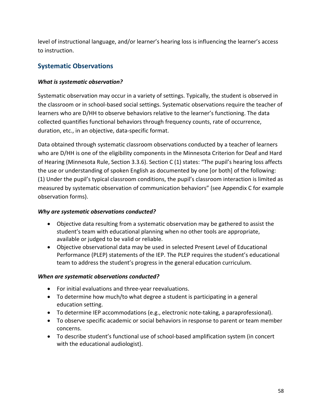level of instructional language, and/or learner's hearing loss is influencing the learner's access to instruction.

## **Systematic Observations**

#### *What is systematic observation?*

Systematic observation may occur in a variety of settings. Typically, the student is observed in the classroom or in school-based social settings. Systematic observations require the teacher of learners who are D/HH to observe behaviors relative to the learner's functioning. The data collected quantifies functional behaviors through frequency counts, rate of occurrence, duration, etc., in an objective, data-specific format.

Data obtained through systematic classroom observations conducted by a teacher of learners who are D/HH is one of the eligibility components in the Minnesota Criterion for Deaf and Hard of Hearing (Minnesota Rule, Section 3.3.6). Section C (1) states: "The pupil's hearing loss affects the use or understanding of spoken English as documented by one [or both] of the following: (1) Under the pupil's typical classroom conditions, the pupil's classroom interaction is limited as measured by systematic observation of communication behaviors" (see Appendix C for example observation forms).

#### *Why are systematic observations conducted?*

- Objective data resulting from a systematic observation may be gathered to assist the student's team with educational planning when no other tools are appropriate, available or judged to be valid or reliable.
- Objective observational data may be used in selected Present Level of Educational Performance (PLEP) statements of the IEP. The PLEP requires the student's educational team to address the student's progress in the general education curriculum.

#### *When are systematic observations conducted?*

- For initial evaluations and three-year reevaluations.
- To determine how much/to what degree a student is participating in a general education setting.
- To determine IEP accommodations (e.g., electronic note-taking, a paraprofessional).
- To observe specific academic or social behaviors in response to parent or team member concerns.
- To describe student's functional use of school-based amplification system (in concert with the educational audiologist).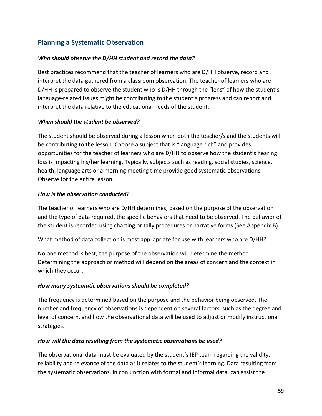## **Planning a Systematic Observation**

#### *Who should observe the D/HH student and record the data?*

Best practices recommend that the teacher of learners who are D/HH observe, record and interpret the data gathered from a classroom observation. The teacher of learners who are D/HH is prepared to observe the student who is D/HH through the "lens" of how the student's language-related issues might be contributing to the student's progress and can report and interpret the data relative to the educational needs of the student.

#### *When should the student be observed?*

The student should be observed during a lesson when both the teacher/s and the students will be contributing to the lesson. Choose a subject that is "language rich" and provides opportunities for the teacher of learners who are D/HH to observe how the student's hearing loss is impacting his/her learning. Typically, subjects such as reading, social studies, science, health, language arts or a morning meeting time provide good systematic observations. Observe for the entire lesson.

#### *How is the observation conducted?*

The teacher of learners who are D/HH determines, based on the purpose of the observation and the type of data required, the specific behaviors that need to be observed. The behavior of the student is recorded using charting or tally procedures or narrative forms (See Appendix B).

What method of data collection is most appropriate for use with learners who are D/HH?

No one method is best; the purpose of the observation will determine the method. Determining the approach or method will depend on the areas of concern and the context in which they occur.

#### *How many systematic observations should be completed?*

The frequency is determined based on the purpose and the behavior being observed. The number and frequency of observations is dependent on several factors, such as the degree and level of concern, and how the observational data will be used to adjust or modify instructional strategies.

#### *How will the data resulting from the systematic observations be used?*

The observational data must be evaluated by the student's IEP team regarding the validity, reliability and relevance of the data as it relates to the student's learning. Data resulting from the systematic observations, in conjunction with formal and informal data, can assist the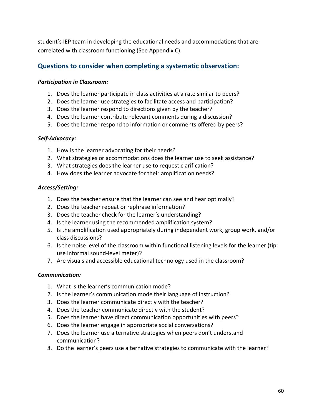student's IEP team in developing the educational needs and accommodations that are correlated with classroom functioning (See Appendix C).

## **Questions to consider when completing a systematic observation:**

#### *Participation in Classroom:*

- 1. Does the learner participate in class activities at a rate similar to peers?
- 2. Does the learner use strategies to facilitate access and participation?
- 3. Does the learner respond to directions given by the teacher?
- 4. Does the learner contribute relevant comments during a discussion?
- 5. Does the learner respond to information or comments offered by peers?

#### *Self-Advocacy:*

- 1. How is the learner advocating for their needs?
- 2. What strategies or accommodations does the learner use to seek assistance?
- 3. What strategies does the learner use to request clarification?
- 4. How does the learner advocate for their amplification needs?

#### *Access/Setting:*

- 1. Does the teacher ensure that the learner can see and hear optimally?
- 2. Does the teacher repeat or rephrase information?
- 3. Does the teacher check for the learner's understanding?
- 4. Is the learner using the recommended amplification system?
- 5. Is the amplification used appropriately during independent work, group work, and/or class discussions?
- 6. Is the noise level of the classroom within functional listening levels for the learner (tip: use informal sound-level meter)?
- 7. Are visuals and accessible educational technology used in the classroom?

#### *Communication:*

- 1. What is the learner's communication mode?
- 2. Is the learner's communication mode their language of instruction?
- 3. Does the learner communicate directly with the teacher?
- 4. Does the teacher communicate directly with the student?
- 5. Does the learner have direct communication opportunities with peers?
- 6. Does the learner engage in appropriate social conversations?
- 7. Does the learner use alternative strategies when peers don't understand communication?
- 8. Do the learner's peers use alternative strategies to communicate with the learner?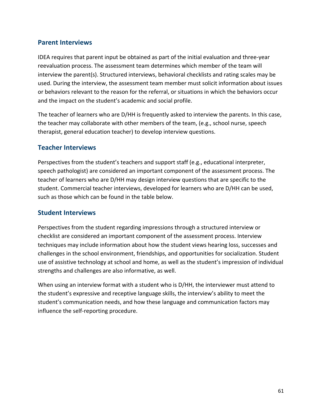### **Parent Interviews**

IDEA requires that parent input be obtained as part of the initial evaluation and three-year reevaluation process. The assessment team determines which member of the team will interview the parent(s). Structured interviews, behavioral checklists and rating scales may be used. During the interview, the assessment team member must solicit information about issues or behaviors relevant to the reason for the referral, or situations in which the behaviors occur and the impact on the student's academic and social profile.

The teacher of learners who are D/HH is frequently asked to interview the parents. In this case, the teacher may collaborate with other members of the team, (e.g., school nurse, speech therapist, general education teacher) to develop interview questions.

### **Teacher Interviews**

Perspectives from the student's teachers and support staff (e.g., educational interpreter, speech pathologist) are considered an important component of the assessment process. The teacher of learners who are D/HH may design interview questions that are specific to the student. Commercial teacher interviews, developed for learners who are D/HH can be used, such as those which can be found in the table below.

#### **Student Interviews**

Perspectives from the student regarding impressions through a structured interview or checklist are considered an important component of the assessment process. Interview techniques may include information about how the student views hearing loss, successes and challenges in the school environment, friendships, and opportunities for socialization. Student use of assistive technology at school and home, as well as the student's impression of individual strengths and challenges are also informative, as well.

When using an interview format with a student who is D/HH, the interviewer must attend to the student's expressive and receptive language skills, the interview's ability to meet the student's communication needs, and how these language and communication factors may influence the self-reporting procedure.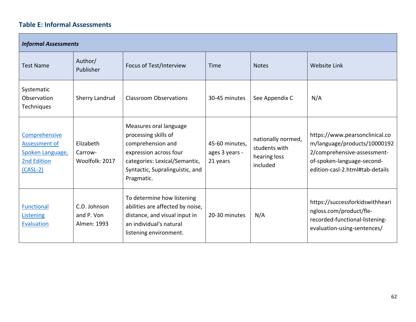# **Table E: Informal Assessments**

| <b>Informal Assessments</b>                                                     |                                           |                                                                                                                                                                                 |                                              |                                                                 |                                                                                                                                                                |  |  |  |  |
|---------------------------------------------------------------------------------|-------------------------------------------|---------------------------------------------------------------------------------------------------------------------------------------------------------------------------------|----------------------------------------------|-----------------------------------------------------------------|----------------------------------------------------------------------------------------------------------------------------------------------------------------|--|--|--|--|
| <b>Test Name</b>                                                                | Author/<br>Publisher                      | Focus of Test/Interview                                                                                                                                                         | Time                                         | <b>Notes</b>                                                    | <b>Website Link</b>                                                                                                                                            |  |  |  |  |
| Systematic<br>Observation<br>Techniques                                         | Sherry Landrud                            | <b>Classroom Observations</b>                                                                                                                                                   | 30-45 minutes                                | See Appendix C                                                  | N/A                                                                                                                                                            |  |  |  |  |
| Comprehensive<br>Assessment of<br>Spoken Language,<br>2nd Edition<br>$(CASL-2)$ | Elizabeth<br>Carrow-<br>Woolfolk: 2017    | Measures oral language<br>processing skills of<br>comprehension and<br>expression across four<br>categories: Lexical/Semantic,<br>Syntactic, Supralinguistic, and<br>Pragmatic. | 45-60 minutes,<br>ages 3 years -<br>21 years | nationally normed,<br>students with<br>hearing loss<br>included | https://www.pearsonclinical.co<br>m/language/products/10000192<br>2/comprehensive-assessment-<br>of-spoken-language-second-<br>edition-casl-2.html#tab-details |  |  |  |  |
| Functional<br>Listening<br>Evaluation                                           | C.D. Johnson<br>and P. Von<br>Almen: 1993 | To determine how listening<br>abilities are affected by noise,<br>distance, and visual input in<br>an individual's natural<br>listening environment.                            | 20-30 minutes                                | N/A                                                             | https://successforkidswithheari<br>ngloss.com/product/fle-<br>recorded-functional-listening-<br>evaluation-using-sentences/                                    |  |  |  |  |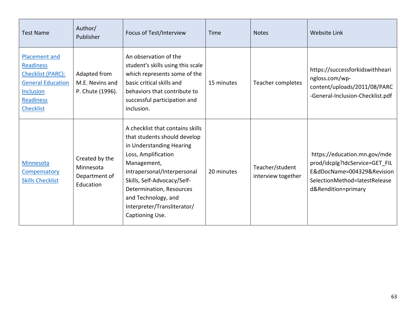| <b>Test Name</b>                                                                                                                               | Author/<br>Publisher                                      | Focus of Test/Interview                                                                                                                                                                                                                                                                               | Time       | <b>Notes</b>                          | <b>Website Link</b>                                                                                                                                  |
|------------------------------------------------------------------------------------------------------------------------------------------------|-----------------------------------------------------------|-------------------------------------------------------------------------------------------------------------------------------------------------------------------------------------------------------------------------------------------------------------------------------------------------------|------------|---------------------------------------|------------------------------------------------------------------------------------------------------------------------------------------------------|
| <b>Placement and</b><br><b>Readiness</b><br>Checklist (PARC):<br><b>General Education</b><br><b>Inclusion</b><br>Readiness<br><b>Checklist</b> | Adapted from<br>M.E. Nevins and<br>P. Chute (1996).       | An observation of the<br>student's skills using this scale<br>which represents some of the<br>basic critical skills and<br>behaviors that contribute to<br>successful participation and<br>inclusion.                                                                                                 | 15 minutes | Teacher completes                     | https://successforkidswithheari<br>ngloss.com/wp-<br>content/uploads/2011/08/PARC<br>-General-Inclusion-Checklist.pdf                                |
| Minnesota<br>Compensatory<br><b>Skills Checklist</b>                                                                                           | Created by the<br>Minnesota<br>Department of<br>Education | A checklist that contains skills<br>that students should develop<br>in Understanding Hearing<br>Loss, Amplification<br>Management,<br>Intrapersonal/Interpersonal<br>Skills, Self-Advocacy/Self-<br>Determination, Resources<br>and Technology, and<br>Interpreter/Transliterator/<br>Captioning Use. | 20 minutes | Teacher/student<br>interview together | https://education.mn.gov/mde<br>prod/idcplg?IdcService=GET_FIL<br>E&dDocName=004329&Revision<br>SelectionMethod=latestRelease<br>d&Rendition=primary |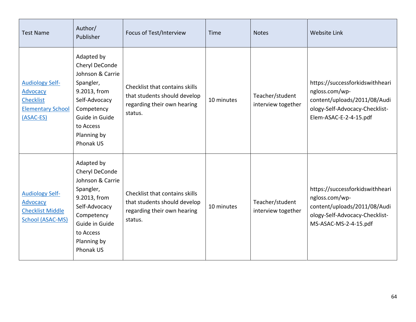| <b>Test Name</b>                                                                                | Author/<br>Publisher                                                                                                                                                    | Focus of Test/Interview                                                                                  | Time       | <b>Notes</b>                          | <b>Website Link</b>                                                                                                                           |
|-------------------------------------------------------------------------------------------------|-------------------------------------------------------------------------------------------------------------------------------------------------------------------------|----------------------------------------------------------------------------------------------------------|------------|---------------------------------------|-----------------------------------------------------------------------------------------------------------------------------------------------|
| <b>Audiology Self-</b><br>Advocacy<br><b>Checklist</b><br><b>Elementary School</b><br>(ASAC-ES) | Adapted by<br>Cheryl DeConde<br>Johnson & Carrie<br>Spangler,<br>9.2013, from<br>Self-Advocacy<br>Competency<br>Guide in Guide<br>to Access<br>Planning by<br>Phonak US | Checklist that contains skills<br>that students should develop<br>regarding their own hearing<br>status. | 10 minutes | Teacher/student<br>interview together | https://successforkidswithheari<br>ngloss.com/wp-<br>content/uploads/2011/08/Audi<br>ology-Self-Advocacy-Checklist-<br>Elem-ASAC-E-2-4-15.pdf |
| <b>Audiology Self-</b><br>Advocacy<br><b>Checklist Middle</b><br>School (ASAC-MS)               | Adapted by<br>Cheryl DeConde<br>Johnson & Carrie<br>Spangler,<br>9.2013, from<br>Self-Advocacy<br>Competency<br>Guide in Guide<br>to Access<br>Planning by<br>Phonak US | Checklist that contains skills<br>that students should develop<br>regarding their own hearing<br>status. | 10 minutes | Teacher/student<br>interview together | https://successforkidswithheari<br>ngloss.com/wp-<br>content/uploads/2011/08/Audi<br>ology-Self-Advocacy-Checklist-<br>MS-ASAC-MS-2-4-15.pdf  |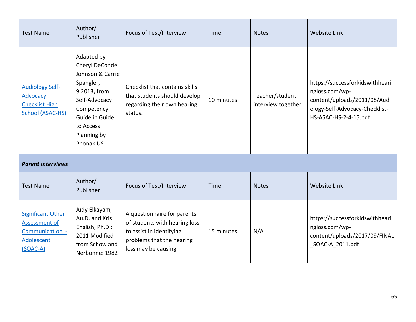| <b>Test Name</b>                                                                                | Author/<br>Publisher                                                                                                                                                    | Focus of Test/Interview                                                                                                                       | Time       | <b>Notes</b>                          | <b>Website Link</b>                                                                                                                          |
|-------------------------------------------------------------------------------------------------|-------------------------------------------------------------------------------------------------------------------------------------------------------------------------|-----------------------------------------------------------------------------------------------------------------------------------------------|------------|---------------------------------------|----------------------------------------------------------------------------------------------------------------------------------------------|
| <b>Audiology Self-</b><br><b>Advocacy</b><br><b>Checklist High</b><br><b>School (ASAC-HS)</b>   | Adapted by<br>Cheryl DeConde<br>Johnson & Carrie<br>Spangler,<br>9.2013, from<br>Self-Advocacy<br>Competency<br>Guide in Guide<br>to Access<br>Planning by<br>Phonak US | Checklist that contains skills<br>that students should develop<br>regarding their own hearing<br>status.                                      | 10 minutes | Teacher/student<br>interview together | https://successforkidswithheari<br>ngloss.com/wp-<br>content/uploads/2011/08/Audi<br>ology-Self-Advocacy-Checklist-<br>HS-ASAC-HS-2-4-15.pdf |
| <b>Parent Interviews</b>                                                                        |                                                                                                                                                                         |                                                                                                                                               |            |                                       |                                                                                                                                              |
| <b>Test Name</b>                                                                                | Author/<br>Publisher                                                                                                                                                    | Focus of Test/Interview                                                                                                                       | Time       | <b>Notes</b>                          | <b>Website Link</b>                                                                                                                          |
| <b>Significant Other</b><br>Assessment of<br>Communication -<br><b>Adolescent</b><br>$(SOAC-A)$ | Judy Elkayam,<br>Au.D. and Kris<br>English, Ph.D.:<br>2011 Modified<br>from Schow and<br>Nerbonne: 1982                                                                 | A questionnaire for parents<br>of students with hearing loss<br>to assist in identifying<br>problems that the hearing<br>loss may be causing. | 15 minutes | N/A                                   | https://successforkidswithheari<br>ngloss.com/wp-<br>content/uploads/2017/09/FINAL<br>SOAC-A 2011.pdf                                        |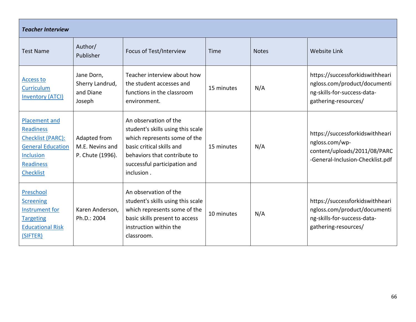| <b>Teacher Interview</b>                                                                                                                              |                                                      |                                                                                                                                                                                                       |            |              |                                                                                                                        |  |  |  |
|-------------------------------------------------------------------------------------------------------------------------------------------------------|------------------------------------------------------|-------------------------------------------------------------------------------------------------------------------------------------------------------------------------------------------------------|------------|--------------|------------------------------------------------------------------------------------------------------------------------|--|--|--|
| <b>Test Name</b>                                                                                                                                      | Author/<br>Publisher                                 | Focus of Test/Interview                                                                                                                                                                               | Time       | <b>Notes</b> | <b>Website Link</b>                                                                                                    |  |  |  |
| <b>Access to</b><br>Curriculum<br><b>Inventory (ATCI)</b>                                                                                             | Jane Dorn,<br>Sherry Landrud,<br>and Diane<br>Joseph | Teacher interview about how<br>the student accesses and<br>functions in the classroom<br>environment.                                                                                                 | 15 minutes | N/A          | https://successforkidswithheari<br>ngloss.com/product/documenti<br>ng-skills-for-success-data-<br>gathering-resources/ |  |  |  |
| <b>Placement and</b><br>Readiness<br><b>Checklist (PARC):</b><br><b>General Education</b><br><b>Inclusion</b><br><b>Readiness</b><br><b>Checklist</b> | Adapted from<br>M.E. Nevins and<br>P. Chute (1996).  | An observation of the<br>student's skills using this scale<br>which represents some of the<br>basic critical skills and<br>behaviors that contribute to<br>successful participation and<br>inclusion. | 15 minutes | N/A          | https://successforkidswithheari<br>ngloss.com/wp-<br>content/uploads/2011/08/PARC<br>-General-Inclusion-Checklist.pdf  |  |  |  |
| Preschool<br><b>Screening</b><br>Instrument for<br><b>Targeting</b><br><b>Educational Risk</b><br>(SIFTER)                                            | Karen Anderson,<br>Ph.D.: 2004                       | An observation of the<br>student's skills using this scale<br>which represents some of the<br>basic skills present to access<br>instruction within the<br>classroom.                                  | 10 minutes | N/A          | https://successforkidswithheari<br>ngloss.com/product/documenti<br>ng-skills-for-success-data-<br>gathering-resources/ |  |  |  |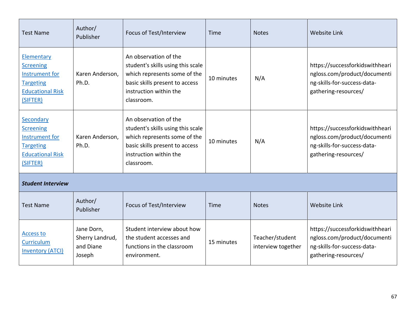| <b>Test Name</b>                                                                                                  | Author/<br>Publisher                                 | Focus of Test/Interview                                                                                                                                              | Time       | <b>Notes</b>                          | <b>Website Link</b>                                                                                                    |
|-------------------------------------------------------------------------------------------------------------------|------------------------------------------------------|----------------------------------------------------------------------------------------------------------------------------------------------------------------------|------------|---------------------------------------|------------------------------------------------------------------------------------------------------------------------|
| Elementary<br><b>Screening</b><br>Instrument for<br><b>Targeting</b><br><b>Educational Risk</b><br>(SIFTER)       | Karen Anderson,<br>Ph.D.                             | An observation of the<br>student's skills using this scale<br>which represents some of the<br>basic skills present to access<br>instruction within the<br>classroom. | 10 minutes | N/A                                   | https://successforkidswithheari<br>ngloss.com/product/documenti<br>ng-skills-for-success-data-<br>gathering-resources/ |
| Secondary<br><b>Screening</b><br><b>Instrument for</b><br><b>Targeting</b><br><b>Educational Risk</b><br>(SIFTER) | Karen Anderson,<br>Ph.D.                             | An observation of the<br>student's skills using this scale<br>which represents some of the<br>basic skills present to access<br>instruction within the<br>classroom. | 10 minutes | N/A                                   | https://successforkidswithheari<br>ngloss.com/product/documenti<br>ng-skills-for-success-data-<br>gathering-resources/ |
| <b>Student Interview</b>                                                                                          |                                                      |                                                                                                                                                                      |            |                                       |                                                                                                                        |
| <b>Test Name</b>                                                                                                  | Author/<br>Publisher                                 | Focus of Test/Interview                                                                                                                                              | Time       | <b>Notes</b>                          | <b>Website Link</b>                                                                                                    |
| <b>Access to</b><br>Curriculum<br><b>Inventory (ATCI)</b>                                                         | Jane Dorn,<br>Sherry Landrud,<br>and Diane<br>Joseph | Student interview about how<br>the student accesses and<br>functions in the classroom<br>environment.                                                                | 15 minutes | Teacher/student<br>interview together | https://successforkidswithheari<br>ngloss.com/product/documenti<br>ng-skills-for-success-data-<br>gathering-resources/ |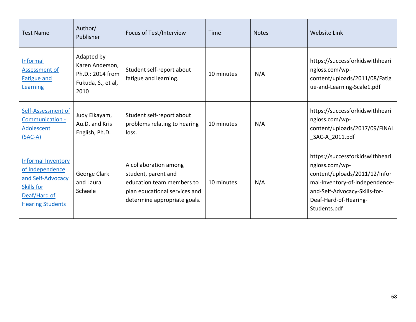| <b>Test Name</b>                                                                                                                  | Author/<br>Publisher                                                            | Focus of Test/Interview                                                                                                                    | Time       | <b>Notes</b> | <b>Website Link</b>                                                                                                                                                                            |
|-----------------------------------------------------------------------------------------------------------------------------------|---------------------------------------------------------------------------------|--------------------------------------------------------------------------------------------------------------------------------------------|------------|--------------|------------------------------------------------------------------------------------------------------------------------------------------------------------------------------------------------|
| <b>Informal</b><br>Assessment of<br><b>Fatigue and</b><br>Learning                                                                | Adapted by<br>Karen Anderson,<br>Ph.D.: 2014 from<br>Fukuda, S., et al,<br>2010 | Student self-report about<br>fatigue and learning.                                                                                         | 10 minutes | N/A          | https://successforkidswithheari<br>ngloss.com/wp-<br>content/uploads/2011/08/Fatig<br>ue-and-Learning-Scale1.pdf                                                                               |
| Self-Assessment of<br>Communication -<br>Adolescent<br>$(SAC-A)$                                                                  | Judy Elkayam,<br>Au.D. and Kris<br>English, Ph.D.                               | Student self-report about<br>problems relating to hearing<br>loss.                                                                         | 10 minutes | N/A          | https://successforkidswithheari<br>ngloss.com/wp-<br>content/uploads/2017/09/FINAL<br>_SAC-A_2011.pdf                                                                                          |
| <b>Informal Inventory</b><br>of Independence<br>and Self-Advocacy<br><b>Skills for</b><br>Deaf/Hard of<br><b>Hearing Students</b> | George Clark<br>and Laura<br>Scheele                                            | A collaboration among<br>student, parent and<br>education team members to<br>plan educational services and<br>determine appropriate goals. | 10 minutes | N/A          | https://successforkidswithheari<br>ngloss.com/wp-<br>content/uploads/2011/12/Infor<br>mal-Inventory-of-Independence-<br>and-Self-Advocacy-Skills-for-<br>Deaf-Hard-of-Hearing-<br>Students.pdf |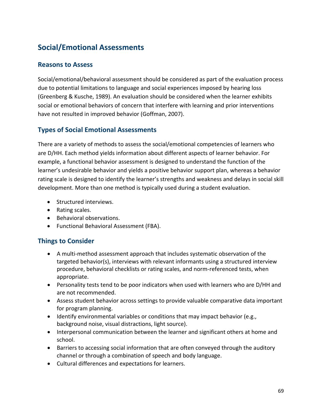# **Social/Emotional Assessments**

### **Reasons to Assess**

Social/emotional/behavioral assessment should be considered as part of the evaluation process due to potential limitations to language and social experiences imposed by hearing loss (Greenberg & Kusche, 1989). An evaluation should be considered when the learner exhibits social or emotional behaviors of concern that interfere with learning and prior interventions have not resulted in improved behavior (Goffman, 2007).

## **Types of Social Emotional Assessments**

There are a variety of methods to assess the social/emotional competencies of learners who are D/HH. Each method yields information about different aspects of learner behavior. For example, a functional behavior assessment is designed to understand the function of the learner's undesirable behavior and yields a positive behavior support plan, whereas a behavior rating scale is designed to identify the learner's strengths and weakness and delays in social skill development. More than one method is typically used during a student evaluation.

- Structured interviews.
- Rating scales.
- Behavioral observations.
- Functional Behavioral Assessment (FBA).

## **Things to Consider**

- A multi-method assessment approach that includes systematic observation of the targeted behavior(s), interviews with relevant informants using a structured interview procedure, behavioral checklists or rating scales, and norm-referenced tests, when appropriate.
- Personality tests tend to be poor indicators when used with learners who are D/HH and are not recommended.
- Assess student behavior across settings to provide valuable comparative data important for program planning.
- Identify environmental variables or conditions that may impact behavior (e.g., background noise, visual distractions, light source).
- Interpersonal communication between the learner and significant others at home and school.
- Barriers to accessing social information that are often conveyed through the auditory channel or through a combination of speech and body language.
- Cultural differences and expectations for learners.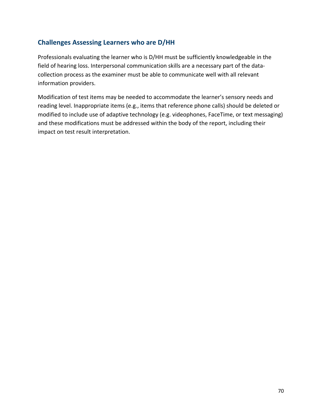## **Challenges Assessing Learners who are D/HH**

Professionals evaluating the learner who is D/HH must be sufficiently knowledgeable in the field of hearing loss. Interpersonal communication skills are a necessary part of the datacollection process as the examiner must be able to communicate well with all relevant information providers.

Modification of test items may be needed to accommodate the learner's sensory needs and reading level. Inappropriate items (e.g., items that reference phone calls) should be deleted or modified to include use of adaptive technology (e.g. videophones, FaceTime, or text messaging) and these modifications must be addressed within the body of the report, including their impact on test result interpretation.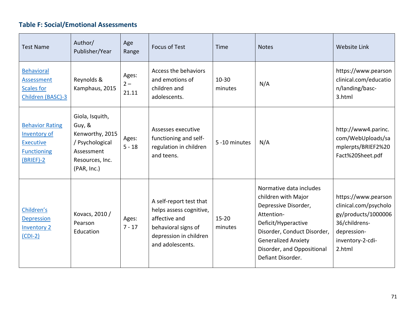# **Table F: Social/Emotional Assessments**

| <b>Test Name</b>                                                                                | Author/<br>Publisher/Year                                                                                       | Age<br>Range            | <b>Focus of Test</b>                                                                                                                     | Time                 | <b>Notes</b>                                                                                                                                                                                                                | <b>Website Link</b>                                                                                                               |
|-------------------------------------------------------------------------------------------------|-----------------------------------------------------------------------------------------------------------------|-------------------------|------------------------------------------------------------------------------------------------------------------------------------------|----------------------|-----------------------------------------------------------------------------------------------------------------------------------------------------------------------------------------------------------------------------|-----------------------------------------------------------------------------------------------------------------------------------|
| <b>Behavioral</b><br><b>Assessment</b><br><b>Scales for</b><br>Children (BASC)-3                | Reynolds &<br>Kamphaus, 2015                                                                                    | Ages:<br>$2 -$<br>21.11 | Access the behaviors<br>and emotions of<br>children and<br>adolescents.                                                                  | $10 - 30$<br>minutes | N/A                                                                                                                                                                                                                         | https://www.pearson<br>clinical.com/educatio<br>n/landing/basc-<br>3.html                                                         |
| <b>Behavior Rating</b><br>Inventory of<br><b>Executive</b><br><b>Functioning</b><br>$(BRIEF)-2$ | Giola, Isquith,<br>Guy, &<br>Kenworthy, 2015<br>/ Psychological<br>Assessment<br>Resources, Inc.<br>(PAR, Inc.) | Ages:<br>$5 - 18$       | Assesses executive<br>functioning and self-<br>regulation in children<br>and teens.                                                      | 5 -10 minutes        | N/A                                                                                                                                                                                                                         | http://www4.parinc.<br>com/WebUploads/sa<br>mplerpts/BRIEF2%20<br>Fact%20Sheet.pdf                                                |
| Children's<br><b>Depression</b><br><b>Inventory 2</b><br>$(CDI-2)$                              | Kovacs, 2010 /<br>Pearson<br>Education                                                                          | Ages:<br>$7 - 17$       | A self-report test that<br>helps assess cognitive,<br>affective and<br>behavioral signs of<br>depression in children<br>and adolescents. | $15 - 20$<br>minutes | Normative data includes<br>children with Major<br>Depressive Disorder,<br>Attention-<br>Deficit/Hyperactive<br>Disorder, Conduct Disorder,<br><b>Generalized Anxiety</b><br>Disorder, and Oppositional<br>Defiant Disorder. | https://www.pearson<br>clinical.com/psycholo<br>gy/products/1000006<br>36/childrens-<br>depression-<br>inventory-2-cdi-<br>2.html |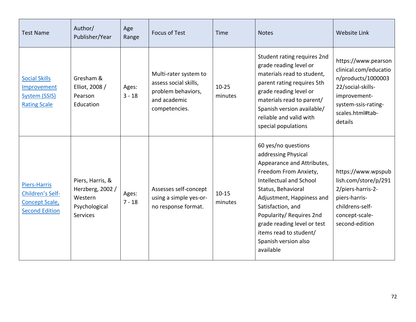| <b>Test Name</b>                                                                   | Author/<br>Publisher/Year                                                           | Age<br>Range      | <b>Focus of Test</b>                                                                                  | Time                 | <b>Notes</b>                                                                                                                                                                                                                                                                                                                   | <b>Website Link</b>                                                                                                                                           |
|------------------------------------------------------------------------------------|-------------------------------------------------------------------------------------|-------------------|-------------------------------------------------------------------------------------------------------|----------------------|--------------------------------------------------------------------------------------------------------------------------------------------------------------------------------------------------------------------------------------------------------------------------------------------------------------------------------|---------------------------------------------------------------------------------------------------------------------------------------------------------------|
| <b>Social Skills</b><br>Improvement<br><b>System (SSIS)</b><br><b>Rating Scale</b> | Gresham &<br>Elliot, 2008 /<br>Pearson<br>Education                                 | Ages:<br>$3 - 18$ | Multi-rater system to<br>assess social skills,<br>problem behaviors,<br>and academic<br>competencies. | $10 - 25$<br>minutes | Student rating requires 2nd<br>grade reading level or<br>materials read to student,<br>parent rating requires 5th<br>grade reading level or<br>materials read to parent/<br>Spanish version available/<br>reliable and valid with<br>special populations                                                                       | https://www.pearson<br>clinical.com/educatio<br>n/products/1000003<br>22/social-skills-<br>improvement-<br>system-ssis-rating-<br>scales.html#tab-<br>details |
| Piers-Harris<br>Children's Self-<br><b>Concept Scale,</b><br><b>Second Edition</b> | Piers, Harris, &<br>Herzberg, 2002 /<br>Western<br>Psychological<br><b>Services</b> | Ages:<br>$7 - 18$ | Assesses self-concept<br>using a simple yes-or-<br>no response format.                                | $10 - 15$<br>minutes | 60 yes/no questions<br>addressing Physical<br>Appearance and Attributes,<br>Freedom From Anxiety,<br>Intellectual and School<br>Status, Behavioral<br>Adjustment, Happiness and<br>Satisfaction, and<br>Popularity/ Requires 2nd<br>grade reading level or test<br>items read to student/<br>Spanish version also<br>available | https://www.wpspub<br>lish.com/store/p/291<br>2/piers-harris-2-<br>piers-harris-<br>childrens-self-<br>concept-scale-<br>second-edition                       |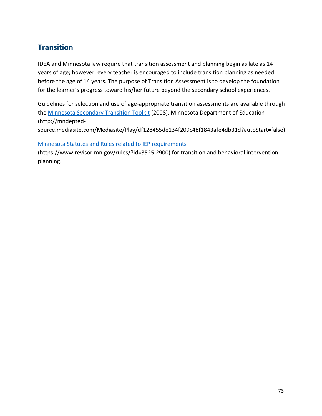# **Transition**

IDEA and Minnesota law require that transition assessment and planning begin as late as 14 years of age; however, every teacher is encouraged to include transition planning as needed before the age of 14 years. The purpose of Transition Assessment is to develop the foundation for the learner's progress toward his/her future beyond the secondary school experiences.

Guidelines for selection and use of age-appropriate transition assessments are available through the [Minnesota Secondary Transition Toolkit](https://mndepted-source.mediasite.com/Mediasite/Play/df128455de134f209c48f1843afe4db31d?autoStart=false) (2008), Minnesota Department of Education (http://mndepted-

source.mediasite.com/Mediasite/Play/df128455de134f209c48f1843afe4db31d?autoStart=false).

[Minnesota Statutes and Rules related to IEP requirements](https://www.revisor.mn.gov/rules/?id=3525.2900)

(https://www.revisor.mn.gov/rules/?id=3525.2900) for transition and behavioral intervention planning.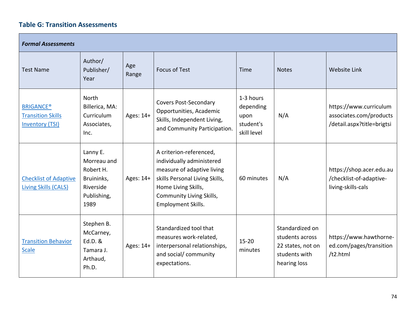#### **Table G: Transition Assessments**

| <b>Formal Assessments</b>                                              |                                                                                        |              |                                                                                                                                                                                                             |                                                            |                                                                                          |                                                                                 |  |
|------------------------------------------------------------------------|----------------------------------------------------------------------------------------|--------------|-------------------------------------------------------------------------------------------------------------------------------------------------------------------------------------------------------------|------------------------------------------------------------|------------------------------------------------------------------------------------------|---------------------------------------------------------------------------------|--|
| <b>Test Name</b>                                                       | Author/<br>Publisher/<br>Year                                                          | Age<br>Range | <b>Focus of Test</b>                                                                                                                                                                                        | Time                                                       | <b>Notes</b>                                                                             | <b>Website Link</b>                                                             |  |
| <b>BRIGANCE®</b><br><b>Transition Skills</b><br><b>Inventory (TSI)</b> | <b>North</b><br>Billerica, MA:<br>Curriculum<br>Associates,<br>Inc.                    | Ages: 14+    | <b>Covers Post-Secondary</b><br>Opportunities, Academic<br>Skills, Independent Living,<br>and Community Participation.                                                                                      | 1-3 hours<br>depending<br>upon<br>student's<br>skill level | N/A                                                                                      | https://www.curriculum<br>associates.com/products<br>/detail.aspx?title=brigtsi |  |
| <b>Checklist of Adaptive</b><br><b>Living Skills (CALS)</b>            | Lanny E.<br>Morreau and<br>Robert H.<br>Bruininks,<br>Riverside<br>Publishing,<br>1989 | Ages: 14+    | A criterion-referenced,<br>individually administered<br>measure of adaptive living<br>skills Personal Living Skills,<br>Home Living Skills,<br><b>Community Living Skills,</b><br><b>Employment Skills.</b> | 60 minutes                                                 | N/A                                                                                      | https://shop.acer.edu.au<br>/checklist-of-adaptive-<br>living-skills-cals       |  |
| <b>Transition Behavior</b><br><b>Scale</b>                             | Stephen B.<br>McCarney,<br>Ed.D. &<br>Tamara J.<br>Arthaud,<br>Ph.D.                   | Ages: 14+    | Standardized tool that<br>measures work-related,<br>interpersonal relationships,<br>and social/ community<br>expectations.                                                                                  | $15 - 20$<br>minutes                                       | Standardized on<br>students across<br>22 states, not on<br>students with<br>hearing loss | https://www.hawthorne-<br>ed.com/pages/transition<br>/t2.html                   |  |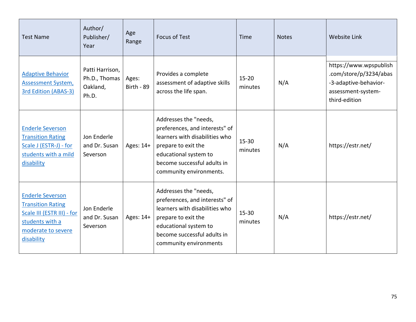| <b>Test Name</b>                                                                                                                         | Author/<br>Publisher/<br>Year                         | Age<br>Range        | <b>Focus of Test</b>                                                                                                                                                                                | Time                 | <b>Notes</b> | <b>Website Link</b>                                                                                              |
|------------------------------------------------------------------------------------------------------------------------------------------|-------------------------------------------------------|---------------------|-----------------------------------------------------------------------------------------------------------------------------------------------------------------------------------------------------|----------------------|--------------|------------------------------------------------------------------------------------------------------------------|
| <b>Adaptive Behavior</b><br><b>Assessment System,</b><br><b>3rd Edition (ABAS-3)</b>                                                     | Patti Harrison,<br>Ph.D., Thomas<br>Oakland,<br>Ph.D. | Ages:<br>Birth - 89 | Provides a complete<br>assessment of adaptive skills<br>across the life span.                                                                                                                       | $15 - 20$<br>minutes | N/A          | https://www.wpspublish<br>.com/store/p/3234/abas<br>-3-adaptive-behavior-<br>assessment-system-<br>third-edition |
| <b>Enderle Severson</b><br><b>Transition Rating</b><br>Scale J (ESTR-J) - for<br>students with a mild<br>disability                      | Jon Enderle<br>and Dr. Susan<br>Severson              | Ages: 14+           | Addresses the "needs,<br>preferences, and interests" of<br>learners with disabilities who<br>prepare to exit the<br>educational system to<br>become successful adults in<br>community environments. | 15-30<br>minutes     | N/A          | https://estr.net/                                                                                                |
| <b>Enderle Severson</b><br><b>Transition Rating</b><br>Scale III (ESTR III) - for<br>students with a<br>moderate to severe<br>disability | Jon Enderle<br>and Dr. Susan<br>Severson              | Ages: 14+           | Addresses the "needs,<br>preferences, and interests" of<br>learners with disabilities who<br>prepare to exit the<br>educational system to<br>become successful adults in<br>community environments  | $15 - 30$<br>minutes | N/A          | https://estr.net/                                                                                                |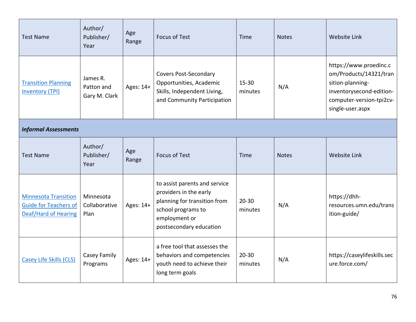| <b>Test Name</b>                                                                           | Author/<br>Publisher/<br>Year           | Age<br>Range | <b>Focus of Test</b>                                                                                                                                      | Time                 | <b>Notes</b> | <b>Website Link</b>                                                                                                                              |  |  |
|--------------------------------------------------------------------------------------------|-----------------------------------------|--------------|-----------------------------------------------------------------------------------------------------------------------------------------------------------|----------------------|--------------|--------------------------------------------------------------------------------------------------------------------------------------------------|--|--|
| <b>Transition Planning</b><br><b>Inventory (TPI)</b>                                       | James R.<br>Patton and<br>Gary M. Clark | Ages: 14+    | <b>Covers Post-Secondary</b><br>Opportunities, Academic<br>Skills, Independent Living,<br>and Community Participation                                     | 15-30<br>minutes     | N/A          | https://www.proedinc.c<br>om/Products/14321/tran<br>sition-planning-<br>inventorysecond-edition-<br>computer-version-tpi2cv-<br>single-user.aspx |  |  |
| <b>Informal Assessments</b>                                                                |                                         |              |                                                                                                                                                           |                      |              |                                                                                                                                                  |  |  |
| <b>Test Name</b>                                                                           | Author/<br>Publisher/<br>Year           | Age<br>Range | <b>Focus of Test</b>                                                                                                                                      | Time                 | <b>Notes</b> | <b>Website Link</b>                                                                                                                              |  |  |
| <b>Minnesota Transition</b><br><b>Guide for Teachers of</b><br><b>Deaf/Hard of Hearing</b> | Minnesota<br>Collaborative<br>Plan      | Ages: 14+    | to assist parents and service<br>providers in the early<br>planning for transition from<br>school programs to<br>employment or<br>postsecondary education | $20 - 30$<br>minutes | N/A          | https://dhh-<br>resources.umn.edu/trans<br>ition-guide/                                                                                          |  |  |
| <b>Casey Life Skills (CLS)</b>                                                             | Casey Family<br>Programs                | Ages: 14+    | a free tool that assesses the<br>behaviors and competencies<br>youth need to achieve their<br>long term goals                                             | $20 - 30$<br>minutes | N/A          | https://caseylifeskills.sec<br>ure.force.com/                                                                                                    |  |  |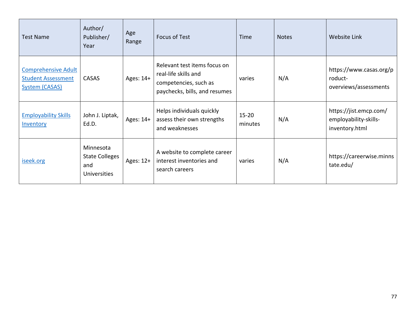| <b>Test Name</b>                                                                 | Author/<br>Publisher/<br>Year                                    | Age<br>Range | <b>Focus of Test</b>                                                                                           | Time                 | <b>Notes</b> | Website Link                                                      |
|----------------------------------------------------------------------------------|------------------------------------------------------------------|--------------|----------------------------------------------------------------------------------------------------------------|----------------------|--------------|-------------------------------------------------------------------|
| <b>Comprehensive Adult</b><br><b>Student Assessment</b><br><b>System (CASAS)</b> | CASAS                                                            | Ages: 14+    | Relevant test items focus on<br>real-life skills and<br>competencies, such as<br>paychecks, bills, and resumes | varies               | N/A          | https://www.casas.org/p<br>roduct-<br>overviews/assessments       |
| <b>Employability Skills</b><br>Inventory                                         | John J. Liptak,<br>Ed.D.                                         | Ages: 14+    | Helps individuals quickly<br>assess their own strengths<br>and weaknesses                                      | $15 - 20$<br>minutes | N/A          | https://jist.emcp.com/<br>employability-skills-<br>inventory.html |
| iseek.org                                                                        | Minnesota<br><b>State Colleges</b><br>and<br><b>Universities</b> | Ages: 12+    | A website to complete career<br>interest inventories and<br>search careers                                     | varies               | N/A          | https://careerwise.minns<br>tate.edu/                             |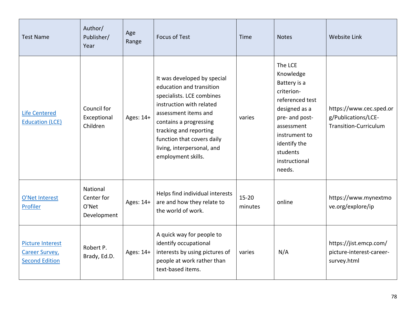| <b>Test Name</b>                                                          | Author/<br>Publisher/<br>Year                  | Age<br>Range | <b>Focus of Test</b>                                                                                                                                                                                                                                                           | Time                 | <b>Notes</b>                                                                                                                                                                                   | Website Link                                                            |
|---------------------------------------------------------------------------|------------------------------------------------|--------------|--------------------------------------------------------------------------------------------------------------------------------------------------------------------------------------------------------------------------------------------------------------------------------|----------------------|------------------------------------------------------------------------------------------------------------------------------------------------------------------------------------------------|-------------------------------------------------------------------------|
| <b>Life Centered</b><br><b>Education (LCE)</b>                            | Council for<br>Exceptional<br>Children         | Ages: 14+    | It was developed by special<br>education and transition<br>specialists. LCE combines<br>instruction with related<br>assessment items and<br>contains a progressing<br>tracking and reporting<br>function that covers daily<br>living, interpersonal, and<br>employment skills. | varies               | The LCE<br>Knowledge<br>Battery is a<br>criterion-<br>referenced test<br>designed as a<br>pre- and post-<br>assessment<br>instrument to<br>identify the<br>students<br>instructional<br>needs. | https://www.cec.sped.or<br>g/Publications/LCE-<br>Transition-Curriculum |
| O'Net Interest<br>Profiler                                                | National<br>Center for<br>O'Net<br>Development | Ages: 14+    | Helps find individual interests<br>are and how they relate to<br>the world of work.                                                                                                                                                                                            | $15 - 20$<br>minutes | online                                                                                                                                                                                         | https://www.mynextmo<br>ve.org/explore/ip                               |
| <b>Picture Interest</b><br><b>Career Survey,</b><br><b>Second Edition</b> | Robert P.<br>Brady, Ed.D.                      | Ages: 14+    | A quick way for people to<br>identify occupational<br>interests by using pictures of<br>people at work rather than<br>text-based items.                                                                                                                                        | varies               | N/A                                                                                                                                                                                            | https://jist.emcp.com/<br>picture-interest-career-<br>survey.html       |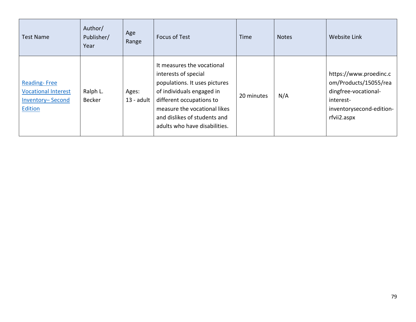| <b>Test Name</b>                                                                 | Author/<br>Publisher/<br>Year | Age<br>Range          | <b>Focus of Test</b>                                                                                                                                                                                                                          | Time       | <b>Notes</b> | <b>Website Link</b>                                                                                                             |
|----------------------------------------------------------------------------------|-------------------------------|-----------------------|-----------------------------------------------------------------------------------------------------------------------------------------------------------------------------------------------------------------------------------------------|------------|--------------|---------------------------------------------------------------------------------------------------------------------------------|
| <b>Reading-Free</b><br><b>Vocational Interest</b><br>Inventory-Second<br>Edition | Ralph L.<br><b>Becker</b>     | Ages:<br>$13$ - adult | It measures the vocational<br>interests of special<br>populations. It uses pictures<br>of individuals engaged in<br>different occupations to<br>measure the vocational likes<br>and dislikes of students and<br>adults who have disabilities. | 20 minutes | N/A          | https://www.proedinc.c<br>om/Products/15055/rea<br>dingfree-vocational-<br>interest-<br>inventorysecond-edition-<br>rfvii2.aspx |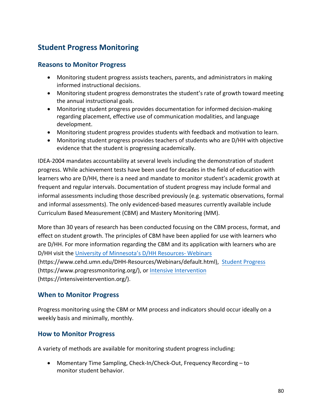## **Student Progress Monitoring**

#### **Reasons to Monitor Progress**

- Monitoring student progress assists teachers, parents, and administrators in making informed instructional decisions.
- Monitoring student progress demonstrates the student's rate of growth toward meeting the annual instructional goals.
- Monitoring student progress provides documentation for informed decision-making regarding placement, effective use of communication modalities, and language development.
- Monitoring student progress provides students with feedback and motivation to learn.
- Monitoring student progress provides teachers of students who are D/HH with objective evidence that the student is progressing academically.

IDEA-2004 mandates accountability at several levels including the demonstration of student progress. While achievement tests have been used for decades in the field of education with learners who are D/HH, there is a need and mandate to monitor student's academic growth at frequent and regular intervals. Documentation of student progress may include formal and informal assessments including those described previously (e.g. systematic observations, formal and informal assessments). The only evidenced-based measures currently available include Curriculum Based Measurement (CBM) and Mastery Monitoring (MM).

More than 30 years of research has been conducted focusing on the CBM process, format, and effect on student growth. The principles of CBM have been applied for use with learners who are D/HH. For more information regarding the CBM and its application with learners who are D/HH visit the [University of Minnesota's D/HH Resources- Webinars](https://www.cehd.umn.edu/DHH-Resources/Webinars/default.html) (https://www.cehd.umn.edu/DHH-Resources/Webinars/default.html), [Student Progress](https://www.progressmonitoring.org) (https://www.progressmonitoring.org/), o[r Intensive Intervention](https://intensiveintervention.org/) (https://intensiveintervention.org/).

#### **When to Monitor Progress**

Progress monitoring using the CBM or MM process and indicators should occur ideally on a weekly basis and minimally, monthly.

#### **How to Monitor Progress**

A variety of methods are available for monitoring student progress including:

• Momentary Time Sampling, Check-In/Check-Out, Frequency Recording – to monitor student behavior.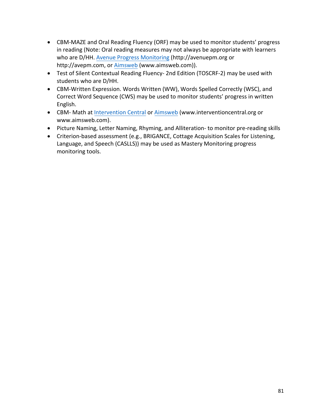- CBM-MAZE and Oral Reading Fluency (ORF) may be used to monitor students' progress in reading (Note: Oral reading measures may not always be appropriate with learners who are D/HH. [Avenue Progress Monitoring](http://avenuepm.org/) (http://avenuepm.org or http://avepm.com, or [Aimsweb](http://www.aimsweb.com/) (www.aimsweb.com)).
- Test of Silent Contextual Reading Fluency- 2nd Edition (TOSCRF-2) may be used with students who are D/HH.
- CBM-Written Expression. Words Written (WW), Words Spelled Correctly (WSC), and Correct Word Sequence (CWS) may be used to monitor students' progress in written English.
- CBM- Math a[t Intervention Central](http://www.interventioncentral.org/) or [Aimsweb](http://www.aimsweb.com/) (www.interventioncentral.org or www.aimsweb.com).
- Picture Naming, Letter Naming, Rhyming, and Alliteration- to monitor pre-reading skills
- Criterion-based assessment (e.g., BRIGANCE, Cottage Acquisition Scales for Listening, Language, and Speech (CASLLS)) may be used as Mastery Monitoring progress monitoring tools.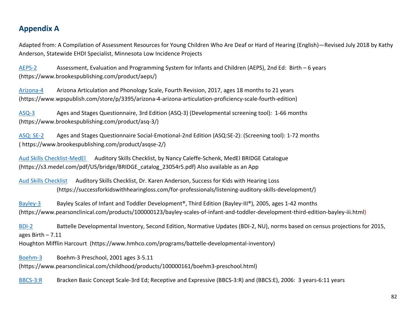### **Appendix A**

Adapted from: A Compilation of Assessment Resources for Young Children Who Are Deaf or Hard of Hearing (English)—Revised July 2018 by Kathy Anderson, Statewide EHDI Specialist, Minnesota Low Incidence Projects

[AEPS-2](https://www.brookespublishing.com/product/aeps/) Assessment, Evaluation and Programming System for Infants and Children (AEPS), 2nd Ed: Birth – 6 years (https://www.brookespublishing.com/product/aeps/)

[Arizona-4](https://www.wpspublish.com/store/p/3395/arizona-4-arizona-articulation-proficiency-scale-fourth-edition) Arizona Articulation and Phonology Scale, Fourth Revision, 2017, ages 18 months to 21 years (https://www.wpspublish.com/store/p/3395/arizona-4-arizona-articulation-proficiency-scale-fourth-edition)

[ASQ-3](http://www.brookespublishing.com/resource-center/screening-and-assessment/asq/) Ages and Stages Questionnaire, 3rd Edition (ASQ-3) (Developmental screening tool): 1-66 months (https://www.brookespublishing.com/product/asq-3/)

[ASQ: SE-2](https://agesandstages.com/products-services/asqse-2/) Ages and Stages Questionnaire Social-Emotional-2nd Edition (ASQ:SE-2): (Screening tool): 1-72 months ( https://www.brookespublishing.com/product/asqse-2/)

[Aud Skills Checklist-MedEl](https://s3.medel.com/pdf/US/bridge/BRIDGE_catalog_23054r5.pdf) Auditory Skills Checklist, by Nancy Caleffe-Schenk, MedEl BRIDGE Catalogue (https://s3.medel.com/pdf/US/bridge/BRIDGE\_catalog\_23054r5.pdf) Also available as an App

[Aud Skills Checklist](https://successforkidswithhearingloss.com/for-professionals/listening-auditory-skills-development/) Auditory Skills Checklist, Dr. Karen Anderson, Success for Kids with Hearing Loss (https://successforkidswithhearingloss.com/for-professionals/listening-auditory-skills-development/)

[Bayley-3](https://www.pearsonclinical.com/products/100000123/bayley-scales-of-infant-and-toddler-development-third-edition-bayley-iii.html) Bayley Scales of Infant and Toddler Development®, Third Edition (Bayley-III®), 2005, ages 1-42 months (https://www.pearsonclinical.com/products/100000123/bayley-scales-of-infant-and-toddler-development-third-edition-bayley-iii.html)

[BDI-2](https://www.hmhco.com/programs/battelle-developmental-inventory) Battelle Developmental Inventory, Second Edition, Normative Updates (BDI-2, NU), norms based on census projections for 2015, ages Birth – 7.11

Houghton Mifflin Harcourt (https://www.hmhco.com/programs/battelle-developmental-inventory)

[Boehm-3](https://www.pearsonclinical.com/childhood/products/100000161/boehm3-preschool.html) Boehm-3 Preschool, 2001 ages 3-5.11

(https://www.pearsonclinical.com/childhood/products/100000161/boehm3-preschool.html)

[BBCS-3:R](https://www.pearsonclinical.com/childhood/products/100000225/bracken-basic-concept-scale--third-edition-receptive-bbcs-3r.html) Bracken Basic Concept Scale-3rd Ed; Receptive and Expressive (BBCS-3:R) and (BBCS:E), 2006: 3 years-6:11 years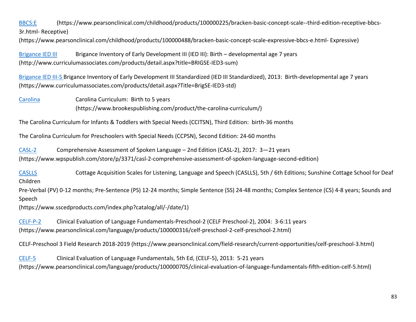[BBCS:E](https://www.pearsonclinical.com/childhood/products/100000488/bracken-basic-concept-scale-expressive-bbcs-e.html) (https://www.pearsonclinical.com/childhood/products/100000225/bracken-basic-concept-scale--third-edition-receptive-bbcs-3r.html- Receptive)

(https://www.pearsonclinical.com/childhood/products/100000488/bracken-basic-concept-scale-expressive-bbcs-e.html- Expressive)

[Brigance IED III](http://www.curriculumassociates.com/products/detail.aspx?title=BRIGSE-IED3-sum) Brigance Inventory of Early Development III (IED III): Birth – developmental age 7 years (http://www.curriculumassociates.com/products/detail.aspx?title=BRIGSE-IED3-sum)

[Brigance IED III-S](https://www.curriculumassociates.com/products/detail.aspx?Title=BrigSE-IED3-std) Brigance Inventory of Early Development III Standardized (IED III Standardized), 2013: Birth-developmental age 7 years (https://www.curriculumassociates.com/products/detail.aspx?Title=BrigSE-IED3-std)

[Carolina](https://www.brookespublishing.com/product/the-carolina-curriculum/) Carolina Curriculum: Birth to 5 years (https://www.brookespublishing.com/product/the-carolina-curriculum/)

The Carolina Curriculum for Infants & Toddlers with Special Needs (CCITSN), Third Edition: birth-36 months

The Carolina Curriculum for Preschoolers with Special Needs (CCPSN), Second Edition: 24-60 months

[CASL-2](https://www.wpspublish.com/store/p/3371/casl-2-comprehensive-assessment-of-spoken-language-second-edition) Comprehensive Assessment of Spoken Language – 2nd Edition (CASL-2), 2017: 3—21 years (https://www.wpspublish.com/store/p/3371/casl-2-comprehensive-assessment-of-spoken-language-second-edition)

[CASLLS](https://www.sscedproducts.com/index.php?catalog/all/-/date/1) Cottage Acquisition Scales for Listening, Language and Speech (CASLLS), 5th / 6th Editions; Sunshine Cottage School for Deaf Children

Pre-Verbal (PV) 0-12 months; Pre-Sentence (PS) 12-24 months; Simple Sentence (SS) 24-48 months; Complex Sentence (CS) 4-8 years; Sounds and Speech

(https://www.sscedproducts.com/index.php?catalog/all/-/date/1)

[CELF-P-2](https://www.pearsonclinical.com/language/products/100000316/celf-preschool-2-celf-preschool-2.html) Clinical Evaluation of Language Fundamentals-Preschool-2 (CELF Preschool-2), 2004: 3-6:11 years (https://www.pearsonclinical.com/language/products/100000316/celf-preschool-2-celf-preschool-2.html)

CELF-Preschool 3 Field Research 2018-2019 (https://www.pearsonclinical.com/field-research/current-opportunities/celf-preschool-3.html)

[CELF-5](https://www.pearsonclinical.com/language/products/100000705/clinical-evaluation-of-language-fundamentals-fifth-edition-celf-5.html) Clinical Evaluation of Language Fundamentals, 5th Ed, (CELF-5), 2013: 5-21 years (https://www.pearsonclinical.com/language/products/100000705/clinical-evaluation-of-language-fundamentals-fifth-edition-celf-5.html)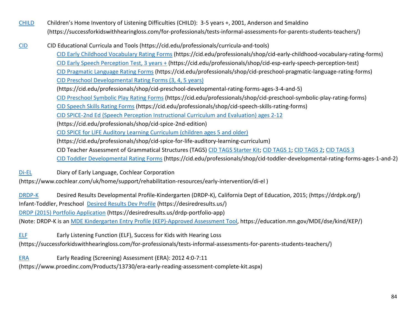- [CHILD](https://successforkidswithhearingloss.com/for-professionals/tests-informal-assessments-for-parents-students-teachers/) Children's Home Inventory of Listening Difficulties (CHILD): 3-5 years +, 2001, Anderson and Smaldino (https://successforkidswithhearingloss.com/for-professionals/tests-informal-assessments-for-parents-students-teachers/)
- [CID](https://cid.edu/professionals/curricula-and-tools/) CID Educational Curricula and Tools (https://cid.edu/professionals/curricula-and-tools) [CID Early Childhood Vocabulary Rating Forms](https://cid.edu/professionals/shop/cid-early-childhood-vocabulary-rating-forms) (https://cid.edu/professionals/shop/cid-early-childhood-vocabulary-rating-forms) [CID Early Speech Perception Test, 3 years +](https://cid.edu/professionals/shop/cid-esp-early-speech-perception-test) (https://cid.edu/professionals/shop/cid-esp-early-speech-perception-test) [CID Pragmatic Language Rating Forms](https://cid.edu/professionals/shop/cid-preschool-pragmatic-language-rating-forms) (https://cid.edu/professionals/shop/cid-preschool-pragmatic-language-rating-forms) [CID Preschool Developmental Rating Forms \(3, 4, 5 years\)](https://cid.edu/professionals/shop/cid-preschool-developmental-rating-forms-ages-3-4-and-5) (https://cid.edu/professionals/shop/cid-preschool-developmental-rating-forms-ages-3-4-and-5) [CID Preschool Symbolic Play Rating Forms](https://cid.edu/professionals/shop/cid-preschool-symbolic-play-rating-forms) (https://cid.edu/professionals/shop/cid-preschool-symbolic-play-rating-forms) [CID Speech Skills Rating Forms](https://cid.edu/professionals/shop/cid-speech-skills-rating-forms) (https://cid.edu/professionals/shop/cid-speech-skills-rating-forms) [CID SPICE-2nd Ed \(Speech Perception Instructional Curriculum and Evaluation\) ages 2-12](https://cid.edu/professionals/shop/cid-spice-2nd-edition) (https://cid.edu/professionals/shop/cid-spice-2nd-edition) [CID SPICE for LIFE Auditory Learning Curriculum \(children ages 5 and older\)](https://cid.edu/professionals/shop/cid-spice-for-life-auditory-learning-curriculum) (https://cid.edu/professionals/shop/cid-spice-for-life-auditory-learning-curriculum) CID Teacher Assessment of Grammatical Structures (TAGS[\) CID TAGS Starter Kit;](https://cid.edu/professionals/shop/cid-tags-teacher-assessment-of-grammatical-structures-starter-kit) [CID TAGS 1;](https://cid.edu/professionals/shop/tags-1-rating-forms) [CID TAGS 2;](https://cid.edu/professionals/shop/tags-2-rating-forms) [CID TAGS 3](https://cid.edu/professionals/shop/tags-3-rating-forms) [CID Toddler Developmental Rating Forms](https://cid.edu/professionals/shop/cid-toddler-developmental-rating-forms-ages-1-and-2) (https://cid.edu/professionals/shop/cid-toddler-developmental-rating-forms-ages-1-and-2)

[Di-EL](https://www.cochlear.com/uk/home/support/rehabilitation-resources/early-intervention/di-el) Diary of Early Language, Cochlear Corporation

(https://www.cochlear.com/uk/home/support/rehabilitation-resources/early-intervention/di-el )

[DRDP-K](https://drdpk.org/) Desired Results Developmental Profile-Kindergarten (DRDP-K), California Dept of Education, 2015; (https://drdpk.org/)

Infant-Toddler, Preschool [Desired Results Dev Profile](https://desiredresults.us/) (https://desiredresults.us/)

[DRDP \(2015\) Portfolio Application](https://desiredresults.us/drdp-portfolio-app) (https://desiredresults.us/drdp-portfolio-app)

(Note: DRDP-K is a[n MDE Kindergarten Entry Profile \(KEP\)-Approved Assessment Tool,](https://education.mn.gov/MDE/dse/kind/KEP/) https://education.mn.gov/MDE/dse/kind/KEP/)

[ELF](https://successforkidswithhearingloss.com/for-professionals/tests-informal-assessments-for-parents-students-teachers/) Early Listening Function (ELF), Success for Kids with Hearing Loss

(https://successforkidswithhearingloss.com/for-professionals/tests-informal-assessments-for-parents-students-teachers/)

[ERA](https://www.proedinc.com/Products/13730/era-early-reading-assessment-complete-kit.aspx) Early Reading (Screening) Assessment (ERA): 2012 4:0-7:11

(https://www.proedinc.com/Products/13730/era-early-reading-assessment-complete-kit.aspx)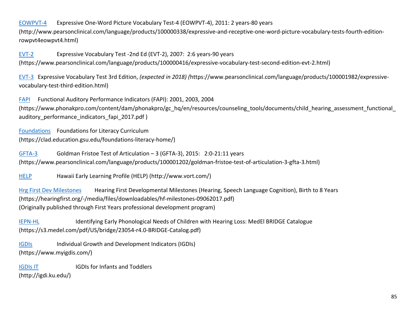#### [EOWPVT-4](http://www.pearsonclinical.com/language/products/100000338/expressive-and-receptive-one-word-picture-vocabulary-tests-fourth-edition-rowpvt4eowpvt4.html) Expressive One-Word Picture Vocabulary Test-4 (EOWPVT-4), 2011: 2 years-80 years

(http://www.pearsonclinical.com/language/products/100000338/expressive-and-receptive-one-word-picture-vocabulary-tests-fourth-editionrowpvt4eowpvt4.html)

[EVT-2](https://www.pearsonclinical.com/language/products/100000416/expressive-vocabulary-test-second-edition-evt-2.html) Expressive Vocabulary Test -2nd Ed (EVT-2), 2007: 2:6 years-90 years (https://www.pearsonclinical.com/language/products/100000416/expressive-vocabulary-test-second-edition-evt-2.html)

[EVT-3](https://www.pearsonclinical.com/language/products/100001982/expressive-vocabulary-test-third-edition.html) Expressive Vocabulary Test 3rd Edition, *(expected in 2018) (*https://www.pearsonclinical.com/language/products/100001982/expressivevocabulary-test-third-edition.html)

[FAPI](https://www.phonakpro.com/content/dam/phonakpro/gc_hq/en/resources/counseling_tools/documents/child_hearing_assessment_functional_auditory_performance_indicators_fapi_2017.pdf) Functional Auditory Performance Indicators (FAPI): 2001, 2003, 2004 (https://www.phonakpro.com/content/dam/phonakpro/gc\_hq/en/resources/counseling\_tools/documents/child hearing assessment functional auditory performance indicators fapi 2017.pdf )

[Foundations](https://clad.education.gsu.edu/foundations-literacy-home/) Foundations for Literacy Curriculum (https://clad.education.gsu.edu/foundations-literacy-home/)

[GFTA-3](https://www.pearsonclinical.com/language/products/100001202/goldman-fristoe-test-of-articulation-3-gfta-3.html) Goldman Fristoe Test of Articulation – 3 (GFTA-3), 2015: 2:0-21:11 years (https://www.pearsonclinical.com/language/products/100001202/goldman-fristoe-test-of-articulation-3-gfta-3.html)

[HELP](http://www.vort.com/) Hawaii Early Learning Profile (HELP) (http://www.vort.com/)

[Hrg First Dev Milestones](https://hearingfirst.org/-/media/files/downloadables/hf-milestones-09062017.pdf) Hearing First Developmental Milestones (Hearing, Speech Language Cognition), Birth to 8 Years (https://hearingfirst.org/-/media/files/downloadables/hf-milestones-09062017.pdf) (Originally published through First Years professional development program)

**[IEPN-HL](https://s3.medel.com/pdf/US/bridge/23054-r4.0-BRIDGE-Catalog.pdf) Identifying Early Phonological Needs of Children with Hearing Loss: MedEl BRIDGE Catalogue** (https://s3.medel.com/pdf/US/bridge/23054-r4.0-BRIDGE-Catalog.pdf)

[IGDIs](https://www.myigdis.com/) Individual Growth and Development Indicators (IGDIs) (https://www.myigdis.com/)

[IGDIs IT](http://igdi.ku.edu/) **IGDIS IGDIS** for Infants and Toddlers

(http://igdi.ku.edu/)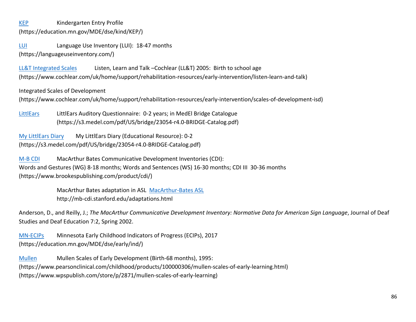[KEP](http://education.state.mn.us/MDE/dse/kind/KEP/) Kindergarten Entry Profile (https://education.mn.gov/MDE/dse/kind/KEP/)

[LUI](https://languageuseinventory.com/) Language Use Inventory (LUI): 18-47 months (https://languageuseinventory.com/)

[LL&T Integrated Scales](https://www.cochlear.com/uk/home/support/rehabilitation-resources/early-intervention/scales-of-development-isd) Listen, Learn and Talk –Cochlear (LL&T) 2005: Birth to school age (https://www.cochlear.com/uk/home/support/rehabilitation-resources/early-intervention/listen-learn-and-talk)

Integrated Scales of Development

(https://www.cochlear.com/uk/home/support/rehabilitation-resources/early-intervention/scales-of-development-isd)

[LittlEars](http://s3.medel.com/pdf/US/bridge/BRIDGE_catalog_23054r5.pdf) LittlEars Auditory Questionnaire: 0-2 years; in MedEl Bridge Catalogue (https://s3.medel.com/pdf/US/bridge/23054-r4.0-BRIDGE-Catalog.pdf)

[My LittlEars Diary](http://s3.medel.com/pdf/US/bridge/BRIDGE_catalog_23054r5.pdf) My LittlEars Diary (Educational Resource): 0-2 (https://s3.medel.com/pdf/US/bridge/23054-r4.0-BRIDGE-Catalog.pdf)

[M-B CDI](https://www.brookespublishing.com/product/cdi/) MacArthur Bates Communicative Development Inventories (CDI): Words and Gestures (WG) 8-18 months; Words and Sentences (WS) 16-30 months; CDI III 30-36 months (https://www.brookespublishing.com/product/cdi/)

> MacArthur Bates adaptation in ASL [MacArthur-Bates ASL](http://mb-cdi.stanford.edu/adaptations.html) http://mb-cdi.stanford.edu/adaptations.html

Anderson, D., and Reilly, J.; *The MacArthur Communicative Development Inventory: Normative Data for American Sign Language*, Journal of Deaf Studies and Deaf Education 7:2, Spring 2002.

[MN-ECIPs](https://education.mn.gov/MDE/dse/early/ind/) Minnesota Early Childhood Indicators of Progress (ECIPs), 2017 (https://education.mn.gov/MDE/dse/early/ind/)

[Mullen](https://www.pearsonclinical.com/childhood/products/100000306/mullen-scales-of-early-learning.html) Mullen Scales of Early Development (Birth-68 months), 1995: (https://www.pearsonclinical.com/childhood/products/100000306/mullen-scales-of-early-learning.html) (https://www.wpspublish.com/store/p/2871/mullen-scales-of-early-learning)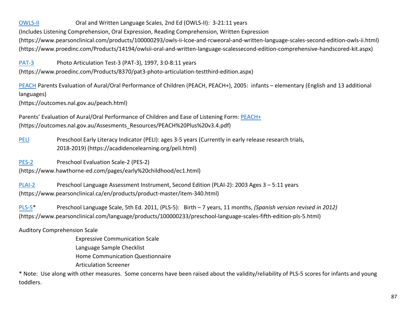[OWLS-II](https://www.pearsonclinical.com/products/100000293/owls-ii-lcoe-and-rcweoral-and-written-language-scales-second-edition-owls-ii.html) Oral and Written Language Scales, 2nd Ed (OWLS-II): 3-21:11 years (Includes Listening Comprehension, Oral Expression, Reading Comprehension, Written Expression (https://www.pearsonclinical.com/products/100000293/owls-ii-lcoe-and-rcweoral-and-written-language-scales-second-edition-owls-ii.html) (https://www.proedinc.com/Products/14194/owlsii-oral-and-written-language-scalessecond-edition-comprehensive-handscored-kit.aspx)

[PAT-3](https://www.proedinc.com/Products/8370/pat3-photo-articulation-testthird-edition.aspx) Photo Articulation Test-3 (PAT-3), 1997, 3:0-8:11 years

(https://www.proedinc.com/Products/8370/pat3-photo-articulation-testthird-edition.aspx)

[PEACH](https://outcomes.nal.gov.au/peach.html) Parents Evaluation of Aural/Oral Performance of Children (PEACH, PEACH+), 2005: infants – elementary (English and 13 additional languages)

(https://outcomes.nal.gov.au/peach.html)

Parents' Evaluation of Aural/Oral Performance of Children and Ease of Listening Form: [PEACH+](https://outcomes.nal.gov.au/Assesments_Resources/PEACH%20Plus%20v3.4.pdf) (https://outcomes.nal.gov.au/Assesments\_Resources/PEACH%20Plus%20v3.4.pdf)

[PELI](https://acadiencelearning.org/peli.html) Preschool Early Literacy Indicator (PELI): ages 3-5 years (Currently in early release research trials, 2018-2019) (https://acadidencelearning.org/peli.html)

[PES-2](https://www.hawthorne-ed.com/pages/early%20childhood/ec1.html) Preschool Evaluation Scale-2 (PES-2) (https://www.hawthorne-ed.com/pages/early%20childhood/ec1.html)

[PLAI-2](https://www.pearsonclinical.ca/en/products/product-master/item-340.html) Preschool Language Assessment Instrument, Second Edition (PLAI-2): 2003 Ages 3 – 5:11 years (https://www.pearsonclinical.ca/en/products/product-master/item-340.html)

[PLS-5](https://www.pearsonclinical.com/language/products/100000233/preschool-language-scales-fifth-edition-pls-5.html)\* Preschool Language Scale, 5th Ed. 2011, (PLS-5): Birth – 7 years, 11 months, *(Spanish version revised in 2012)*  (https://www.pearsonclinical.com/language/products/100000233/preschool-language-scales-fifth-edition-pls-5.html)

Auditory Comprehension Scale

Expressive Communication Scale Language Sample Checklist Home Communication Questionnaire Articulation Screener

\* Note: Use along with other measures. Some concerns have been raised about the validity/reliability of PLS-5 scores for infants and young toddlers.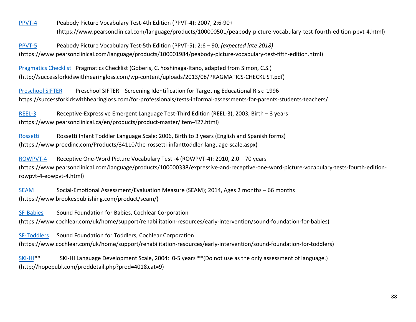[PPVT-4](https://www.pearsonclinical.com/language/products/100000501/peabody-picture-vocabulary-test-fourth-edition-ppvt-4.html) Peabody Picture Vocabulary Test-4th Edition (PPVT-4): 2007, 2:6-90+ (https://www.pearsonclinical.com/language/products/100000501/peabody-picture-vocabulary-test-fourth-edition-ppvt-4.html)

[PPVT-5](https://www.pearsonclinical.com/language/products/100001984/peabody-picture-vocabulary-test-fifth-edition.html) Peabody Picture Vocabulary Test-5th Edition (PPVT-5): 2:6 – 90, *(expected late 2018)* (https://www.pearsonclinical.com/language/products/100001984/peabody-picture-vocabulary-test-fifth-edition.html)

[Pragmatics Checklist](http://successforkidswithhearingloss.com/wp-content/uploads/2013/08/PRAGMATICS-CHECKLIST.pdf) Pragmatics Checklist (Goberis, C. Yoshinaga-Itano, adapted from Simon, C.S.) (http://successforkidswithhearingloss.com/wp-content/uploads/2013/08/PRAGMATICS-CHECKLIST.pdf)

[Preschool SIFTER](https://successforkidswithhearingloss.com/wp-content/uploads/2017/09/Preschool_SIFTER.pdf) Preschool SIFTER—Screening Identification for Targeting Educational Risk: 1996 https://successforkidswithhearingloss.com/for-professionals/tests-informal-assessments-for-parents-students-teachers/

[REEL-3](https://www.pearsonclinical.ca/en/products/product-master/item-427.html) Receptive-Expressive Emergent Language Test-Third Edition (REEL-3), 2003, Birth - 3 years (https://www.pearsonclinical.ca/en/products/product-master/item-427.html)

[Rossetti](https://www.proedinc.com/Products/34110/the-rossetti-infanttoddler-language-scale.aspx) Rossetti Infant Toddler Language Scale: 2006, Birth to 3 years (English and Spanish forms) (https://www.proedinc.com/Products/34110/the-rossetti-infanttoddler-language-scale.aspx)

[ROWPVT-4](https://www.pearsonclinical.com/language/products/100000338/expressive-and-receptive-one-word-picture-vocabulary-tests-fourth-edition-rowpvt-4-eowpvt-4.html) Receptive One-Word Picture Vocabulary Test -4 (ROWPVT-4): 2010, 2.0 – 70 years (https://www.pearsonclinical.com/language/products/100000338/expressive-and-receptive-one-word-picture-vocabulary-tests-fourth-editionrowpvt-4-eowpvt-4.html)

[SEAM](https://products.brookespublishing.com/Social-Emotional-AssessmentEvaluation-https:/www.brookespublishing.com/product/seam/Measure-SEAM-Research-Edition-P717.aspx) Social-Emotional Assessment/Evaluation Measure (SEAM); 2014, Ages 2 months – 66 months (https://www.brookespublishing.com/product/seam/)

[SF-Babies](https://www.cochlear.com/uk/home/support/rehabilitation-resources/early-intervention/sound-foundation-for-babies) Sound Foundation for Babies, Cochlear Corporation (https://www.cochlear.com/uk/home/support/rehabilitation-resources/early-intervention/sound-foundation-for-babies)

[SF-Toddlers](https://www.cochlear.com/uk/home/support/rehabilitation-resources/early-intervention/sound-foundation-for-toddlers) Sound Foundation for Toddlers, Cochlear Corporation (https://www.cochlear.com/uk/home/support/rehabilitation-resources/early-intervention/sound-foundation-for-toddlers)

[SKI](http://hopepubl.com/proddetail.php?prod=401&cat=9)-HI\*\* SKI-HI Language Development Scale, 2004: 0-5 years \*\*(Do not use as the only assessment of language.) (http://hopepubl.com/proddetail.php?prod=401&cat=9)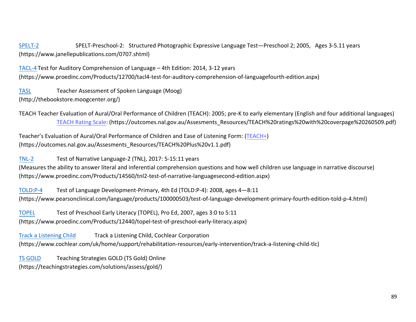[SPELT-2](https://www.janellepublications.com/0707.shtml) SPELT-Preschool-2: Structured Photographic Expressive Language Test—Preschool 2; 2005, Ages 3-5.11 years (https://www.janellepublications.com/0707.shtml)

[TACL-4](https://www.proedinc.com/Products/12700/tacl4-test-for-auditory-comprehension-of-languagefourth-edition.aspx) Test for Auditory Comprehension of Language – 4th Edition: 2014, 3-12 years (https://www.proedinc.com/Products/12700/tacl4-test-for-auditory-comprehension-of-languagefourth-edition.aspx)

[TASL](http://thebookstore.moogcenter.org/) Teacher Assessment of Spoken Language (Moog) (http://thebookstore.moogcenter.org/)

TEACH Teacher Evaluation of Aural/Oral Performance of Children (TEACH): 2005; pre-K to early elementary (English and four additional languages) [TEACH Rating Scale:](https://outcomes.nal.gov.au/Assesments_Resources/TEACH%20ratings%20with%20coverpage%20260509.pdf) (https://outcomes.nal.gov.au/Assesments\_Resources/TEACH%20ratings%20with%20coverpage%20260509.pdf)

Teacher's Evaluation of Aural/Oral Performance of Children and Ease of Listening Form: [\(TEACH+\)](https://outcomes.nal.gov.au/Assesments_Resources/TEACH%20Plus%20v1.1.pdf)  (https://outcomes.nal.gov.au/Assesments\_Resources/TEACH%20Plus%20v1.1.pdf)

[TNL-2](https://www.proedinc.com/Products/14560/tnl2-test-of-narrative-languagesecond-edition.aspx) Test of Narrative Language-2 (TNL), 2017: 5-15:11 years

(Measures the ability to answer literal and inferential comprehension questions and how well children use language in narrative discourse) (https://www.proedinc.com/Products/14560/tnl2-test-of-narrative-languagesecond-edition.aspx)

[TOLD:P-4](https://www.pearsonclinical.com/language/products/100000503/test-of-language-development-primary-fourth-edition-told-p-4.html) Test of Language Development-Primary, 4th Ed (TOLD:P-4): 2008, ages 4—8:11 (https://www.pearsonclinical.com/language/products/100000503/test-of-language-development-primary-fourth-edition-told-p-4.html)

[TOPEL](https://www.proedinc.com/Products/12440/topel-test-of-preschool-early-literacy.aspx) Test of Preschool Early Literacy (TOPEL), Pro Ed, 2007, ages 3:0 to 5:11 (https://www.proedinc.com/Products/12440/topel-test-of-preschool-early-literacy.aspx)

Track [a Listening Child](https://www.cochlear.com/uk/home/support/rehabilitation-resources/early-intervention/track-a-listening-child-tlc) Track a Listening Child, Cochlear Corporation (https://www.cochlear.com/uk/home/support/rehabilitation-resources/early-intervention/track-a-listening-child-tlc)

[TS GOLD](https://teachingstrategies.com/solutions/assess/gold/) Teaching Strategies GOLD (TS Gold) Online (https://teachingstrategies.com/solutions/assess/gold/)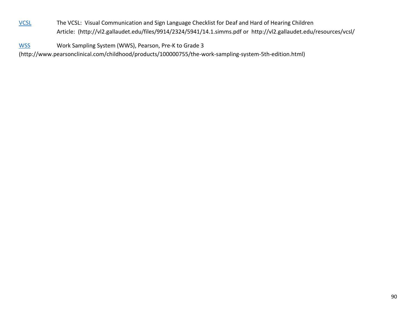[VCSL](http://vl2.gallaudet.edu/resources/vcsl/) The VCSL: Visual Communication and Sign Language Checklist for Deaf and Hard of Hearing Children Article: (http://vl2.gallaudet.edu/files/9914/2324/5941/14.1.simms.pdf or http://vl2.gallaudet.edu/resources/vcsl/

[WSS](http://www.pearsonclinical.com/childhood/products/100000755/the-work-sampling-system-5th-edition.html) Work Sampling System (WWS), Pearson, Pre-K to Grade 3 (http://www.pearsonclinical.com/childhood/products/100000755/the-work-sampling-system-5th-edition.html)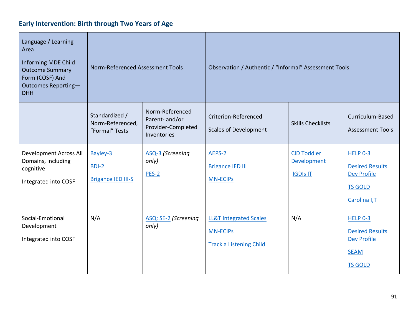# **Early Intervention: Birth through Two Years of Age**

| Language / Learning<br>Area<br>Informing MDE Child<br><b>Outcome Summary</b><br>Form (COSF) And<br>Outcomes Reporting-<br><b>DHH</b> | Norm-Referenced Assessment Tools                     |                                                                        | Observation / Authentic / "Informal" Assessment Tools                                  |                                                      |                                                                                                   |
|--------------------------------------------------------------------------------------------------------------------------------------|------------------------------------------------------|------------------------------------------------------------------------|----------------------------------------------------------------------------------------|------------------------------------------------------|---------------------------------------------------------------------------------------------------|
|                                                                                                                                      | Standardized /<br>Norm-Referenced,<br>"Formal" Tests | Norm-Referenced<br>Parent- and/or<br>Provider-Completed<br>Inventories | Criterion-Referenced<br><b>Scales of Development</b>                                   | <b>Skills Checklists</b>                             | Curriculum-Based<br><b>Assessment Tools</b>                                                       |
| <b>Development Across All</b><br>Domains, including<br>cognitive<br>Integrated into COSF                                             | Bayley-3<br>BDI-2<br><b>Brigance IED III-S</b>       | ASQ-3 (Screening<br>only)<br>$PES-2$                                   | AEPS-2<br><b>Brigance IED III</b><br><b>MN-ECIPS</b>                                   | <b>CID Toddler</b><br>Development<br><b>IGDIS IT</b> | <b>HELP 0-3</b><br><b>Desired Results</b><br><b>Dev Profile</b><br><b>TS GOLD</b><br>Carolina I,T |
| Social-Emotional<br>Development<br>Integrated into COSF                                                                              | N/A                                                  | ASQ: SE-2 (Screening<br>only)                                          | <b>LL&amp;T Integrated Scales</b><br><b>MN-ECIPS</b><br><b>Track a Listening Child</b> | N/A                                                  | HELP 0-3<br><b>Desired Results</b><br><b>Dev Profile</b><br><b>SEAM</b><br><b>TS GOLD</b>         |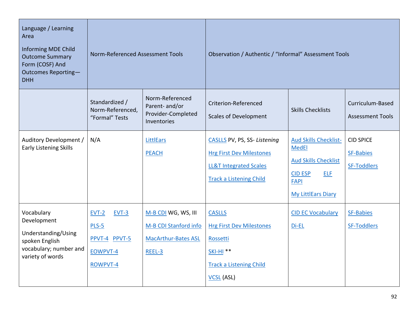| Language / Learning<br>Area<br>Informing MDE Child<br><b>Outcome Summary</b><br>Form (COSF) And<br>Outcomes Reporting-<br><b>DHH</b> | Norm-Referenced Assessment Tools                                     |                                                                                      | Observation / Authentic / "Informal" Assessment Tools                                                                                   |                                                                                                                                                         |                                                            |
|--------------------------------------------------------------------------------------------------------------------------------------|----------------------------------------------------------------------|--------------------------------------------------------------------------------------|-----------------------------------------------------------------------------------------------------------------------------------------|---------------------------------------------------------------------------------------------------------------------------------------------------------|------------------------------------------------------------|
|                                                                                                                                      | Standardized /<br>Norm-Referenced,<br>"Formal" Tests                 | Norm-Referenced<br>Parent-and/or<br>Provider-Completed<br>Inventories                | Criterion-Referenced<br><b>Scales of Development</b>                                                                                    | <b>Skills Checklists</b>                                                                                                                                | Curriculum-Based<br><b>Assessment Tools</b>                |
| Auditory Development /<br><b>Early Listening Skills</b>                                                                              | N/A                                                                  | <b>LittlEars</b><br><b>PEACH</b>                                                     | CASLLS PV, PS, SS-Listening<br><b>Hrg First Dev Milestones</b><br><b>LL&amp;T Integrated Scales</b><br><b>Track a Listening Child</b>   | <b>Aud Skills Checklist-</b><br><b>MedEl</b><br><b>Aud Skills Checklist</b><br><b>CID ESP</b><br><b>ELF</b><br><b>FAPI</b><br><b>My LittlEars Diary</b> | <b>CID SPICE</b><br><b>SF-Babies</b><br><b>SF-Toddlers</b> |
| Vocabulary<br>Development<br>Understanding/Using<br>spoken English<br>vocabulary; number and<br>variety of words                     | $EVT-2$<br>EVT-3<br>$PLS-5$<br>PPVT-4 PPVT-5<br>EOWPVT-4<br>ROWPVT-4 | M-B CDI WG, WS, III<br>M-B CDI Stanford info<br><b>MacArthur-Bates ASL</b><br>REEL-3 | <b>CASLLS</b><br><b>Hrg First Dev Milestones</b><br>Rossetti<br><b>SKI-HI **</b><br><b>Track a Listening Child</b><br><b>VCSL</b> (ASL) | <b>CID EC Vocabulary</b><br>Di-EL                                                                                                                       | <b>SF-Babies</b><br>SF-Toddlers                            |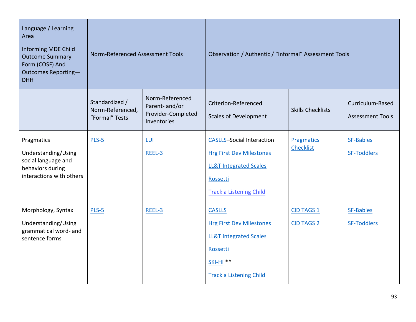| Language / Learning<br>Area<br>Informing MDE Child<br><b>Outcome Summary</b><br>Form (COSF) And<br>Outcomes Reporting-<br><b>DHH</b> | Norm-Referenced Assessment Tools                     |                                                                        | Observation / Authentic / "Informal" Assessment Tools                                                                                                  |                                        |                                             |
|--------------------------------------------------------------------------------------------------------------------------------------|------------------------------------------------------|------------------------------------------------------------------------|--------------------------------------------------------------------------------------------------------------------------------------------------------|----------------------------------------|---------------------------------------------|
|                                                                                                                                      | Standardized /<br>Norm-Referenced,<br>"Formal" Tests | Norm-Referenced<br>Parent- and/or<br>Provider-Completed<br>Inventories | Criterion-Referenced<br><b>Scales of Development</b>                                                                                                   | <b>Skills Checklists</b>               | Curriculum-Based<br><b>Assessment Tools</b> |
| Pragmatics<br>Understanding/Using<br>social language and<br>behaviors during<br>interactions with others                             | PLS-5                                                | LUI<br>REEL-3                                                          | <b>CASLLS-Social Interaction</b><br><b>Hrg First Dev Milestones</b><br><b>LL&amp;T Integrated Scales</b><br>Rossetti<br><b>Track a Listening Child</b> | <b>Pragmatics</b><br><b>Checklist</b>  | <b>SF-Babies</b><br>SF-Toddlers             |
| Morphology, Syntax<br>Understanding/Using<br>grammatical word- and<br>sentence forms                                                 | $PLS-5$                                              | REEL-3                                                                 | <b>CASLLS</b><br><b>Hrg First Dev Milestones</b><br><b>LL&amp;T Integrated Scales</b><br>Rossetti<br>$SKI-HI$ **<br><b>Track a Listening Child</b>     | <b>CID TAGS 1</b><br><b>CID TAGS 2</b> | <b>SF-Babies</b><br>SF-Toddlers             |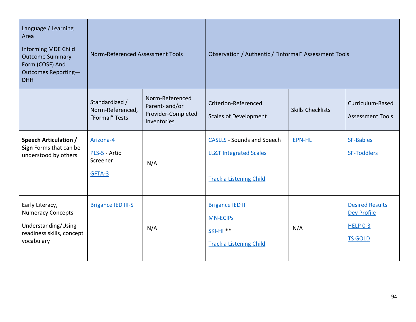| Language / Learning<br>Area<br>Informing MDE Child<br><b>Outcome Summary</b><br>Form (COSF) And<br>Outcomes Reporting-<br><b>DHH</b> | Norm-Referenced Assessment Tools                     |                                                                        | Observation / Authentic / "Informal" Assessment Tools                                                    |                          |                                                                                   |
|--------------------------------------------------------------------------------------------------------------------------------------|------------------------------------------------------|------------------------------------------------------------------------|----------------------------------------------------------------------------------------------------------|--------------------------|-----------------------------------------------------------------------------------|
|                                                                                                                                      | Standardized /<br>Norm-Referenced,<br>"Formal" Tests | Norm-Referenced<br>Parent- and/or<br>Provider-Completed<br>Inventories | Criterion-Referenced<br><b>Scales of Development</b>                                                     | <b>Skills Checklists</b> | Curriculum-Based<br><b>Assessment Tools</b>                                       |
| <b>Speech Articulation /</b><br>Sign Forms that can be<br>understood by others                                                       | Arizona-4<br>PLS-5 - Artic<br>Screener<br>GFTA-3     | N/A                                                                    | <b>CASLLS</b> - Sounds and Speech<br><b>LL&amp;T Integrated Scales</b><br><b>Track a Listening Child</b> | <b>IEPN-HL</b>           | <b>SF-Babies</b><br><b>SF-Toddlers</b>                                            |
| Early Literacy,<br><b>Numeracy Concepts</b><br>Understanding/Using<br>readiness skills, concept<br>vocabulary                        | <b>Brigance IED III-S</b>                            | N/A                                                                    | <b>Brigance IED III</b><br><b>MN-ECIPS</b><br><b>SKI-HI **</b><br><b>Track a Listening Child</b>         | N/A                      | <b>Desired Results</b><br><b>Dev Profile</b><br><b>HELP 0-3</b><br><b>TS GOLD</b> |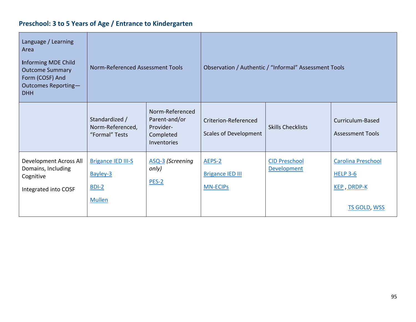# **Preschool: 3 to 5 Years of Age / Entrance to Kindergarten**

| Language / Learning<br>Area<br><b>Informing MDE Child</b><br><b>Outcome Summary</b><br>Form (COSF) And<br>Outcomes Reporting-<br><b>DHH</b> | Norm-Referenced Assessment Tools                                  |                                                                           | Observation / Authentic / "Informal" Assessment Tools |                                            |                                                                                    |
|---------------------------------------------------------------------------------------------------------------------------------------------|-------------------------------------------------------------------|---------------------------------------------------------------------------|-------------------------------------------------------|--------------------------------------------|------------------------------------------------------------------------------------|
|                                                                                                                                             | Standardized /<br>Norm-Referenced,<br>"Formal" Tests              | Norm-Referenced<br>Parent-and/or<br>Provider-<br>Completed<br>Inventories | Criterion-Referenced<br><b>Scales of Development</b>  | <b>Skills Checklists</b>                   | Curriculum-Based<br><b>Assessment Tools</b>                                        |
| Development Across All<br>Domains, Including<br>Cognitive<br>Integrated into COSF                                                           | <b>Brigance IED III-S</b><br>Bayley-3<br>$BDI-2$<br><b>Mullen</b> | ASQ-3 (Screening<br>only)<br>$PES-2$                                      | AEPS-2<br><b>Brigance IED III</b><br><b>MN-ECIPS</b>  | <b>CID Preschool</b><br><b>Development</b> | <b>Carolina Preschool</b><br><b>HELP 3-6</b><br>KEP, DRDP-K<br><b>TS GOLD, WSS</b> |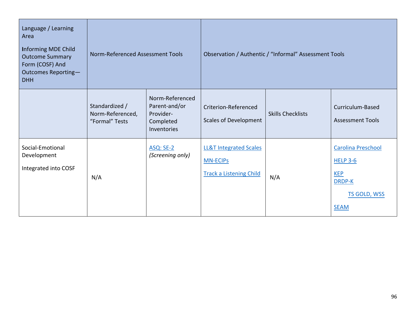| Language / Learning<br>Area<br><b>Informing MDE Child</b><br><b>Outcome Summary</b><br>Form (COSF) And<br>Outcomes Reporting-<br><b>DHH</b> | Norm-Referenced Assessment Tools                     |                                                                           | Observation / Authentic / "Informal" Assessment Tools                                  |                          |                                                                                              |
|---------------------------------------------------------------------------------------------------------------------------------------------|------------------------------------------------------|---------------------------------------------------------------------------|----------------------------------------------------------------------------------------|--------------------------|----------------------------------------------------------------------------------------------|
|                                                                                                                                             | Standardized /<br>Norm-Referenced,<br>"Formal" Tests | Norm-Referenced<br>Parent-and/or<br>Provider-<br>Completed<br>Inventories | Criterion-Referenced<br><b>Scales of Development</b>                                   | <b>Skills Checklists</b> | Curriculum-Based<br><b>Assessment Tools</b>                                                  |
| Social-Emotional<br>Development<br>Integrated into COSF                                                                                     | N/A                                                  | <b>ASQ: SE-2</b><br>(Screening only)                                      | <b>LL&amp;T Integrated Scales</b><br><b>MN-ECIPS</b><br><b>Track a Listening Child</b> | N/A                      | Carolina Preschool<br><b>HELP 3-6</b><br><b>KEP</b><br>DRDP-K<br>TS GOLD, WSS<br><b>SEAM</b> |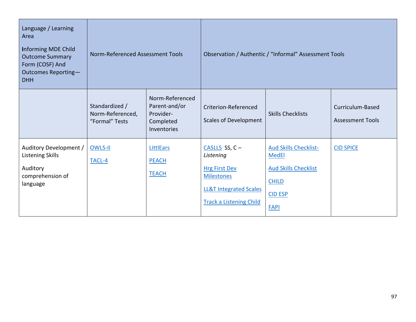| Language / Learning<br>Area<br><b>Informing MDE Child</b><br><b>Outcome Summary</b><br>Form (COSF) And<br>Outcomes Reporting-<br><b>DHH</b> | Norm-Referenced Assessment Tools                     |                                                                           | Observation / Authentic / "Informal" Assessment Tools                                                                                             |                                                                                                                              |                                             |
|---------------------------------------------------------------------------------------------------------------------------------------------|------------------------------------------------------|---------------------------------------------------------------------------|---------------------------------------------------------------------------------------------------------------------------------------------------|------------------------------------------------------------------------------------------------------------------------------|---------------------------------------------|
|                                                                                                                                             | Standardized /<br>Norm-Referenced,<br>"Formal" Tests | Norm-Referenced<br>Parent-and/or<br>Provider-<br>Completed<br>Inventories | Criterion-Referenced<br><b>Scales of Development</b>                                                                                              | <b>Skills Checklists</b>                                                                                                     | Curriculum-Based<br><b>Assessment Tools</b> |
| Auditory Development /<br><b>Listening Skills</b><br>Auditory<br>comprehension of<br>language                                               | OWLS-II<br>TACL-4                                    | <b>LittlEars</b><br><b>PEACH</b><br><b>TEACH</b>                          | CASLLS SS, $C -$<br>Listening<br><b>Hrg First Dev</b><br><b>Milestones</b><br><b>LL&amp;T Integrated Scales</b><br><b>Track a Listening Child</b> | <b>Aud Skills Checklist-</b><br><b>MedEl</b><br><b>Aud Skills Checklist</b><br><b>CHILD</b><br><b>CID ESP</b><br><b>FAPI</b> | <b>CID SPICE</b>                            |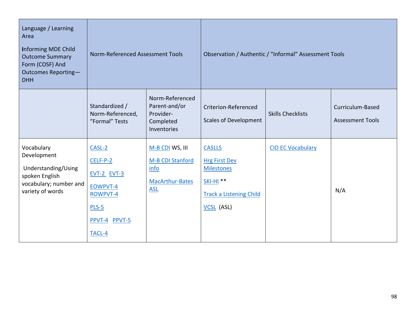| Language / Learning<br>Area<br>Informing MDE Child<br><b>Outcome Summary</b><br>Form (COSF) And<br>Outcomes Reporting-<br><b>DHH</b> | Norm-Referenced Assessment Tools                                                                                |                                                                              | Observation / Authentic / "Informal" Assessment Tools                                                                          |                          |                                             |
|--------------------------------------------------------------------------------------------------------------------------------------|-----------------------------------------------------------------------------------------------------------------|------------------------------------------------------------------------------|--------------------------------------------------------------------------------------------------------------------------------|--------------------------|---------------------------------------------|
|                                                                                                                                      | Standardized /<br>Norm-Referenced,<br>"Formal" Tests                                                            | Norm-Referenced<br>Parent-and/or<br>Provider-<br>Completed<br>Inventories    | Criterion-Referenced<br><b>Scales of Development</b>                                                                           | <b>Skills Checklists</b> | Curriculum-Based<br><b>Assessment Tools</b> |
| Vocabulary<br>Development<br>Understanding/Using<br>spoken English<br>vocabulary; number and<br>variety of words                     | CASL-2<br>$CELF-P-2$<br><b>EVT-2 EVT-3</b><br>EOWPVT-4<br><b>ROWPVT-4</b><br>$PLS-5$<br>PPVT-4 PPVT-5<br>TACL-4 | M-B CDI WS, III<br>M-B CDI Stanford<br>info<br>MacArthur-Bates<br><b>ASL</b> | <b>CASLLS</b><br><b>Hrg First Dev</b><br><b>Milestones</b><br><b>SKI-HI **</b><br><b>Track a Listening Child</b><br>VCSL (ASL) | <b>CID EC Vocabulary</b> | N/A                                         |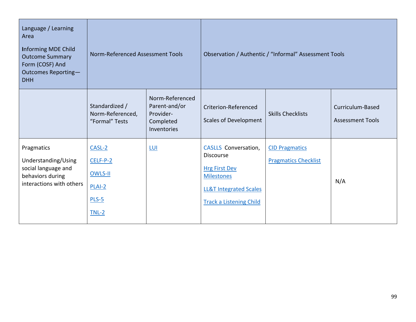| Language / Learning<br>Area<br><b>Informing MDE Child</b><br><b>Outcome Summary</b><br>Form (COSF) And<br>Outcomes Reporting-<br><b>DHH</b> | Norm-Referenced Assessment Tools                                  |                                                                           | Observation / Authentic / "Informal" Assessment Tools                                                                                                        |                                                      |                                             |
|---------------------------------------------------------------------------------------------------------------------------------------------|-------------------------------------------------------------------|---------------------------------------------------------------------------|--------------------------------------------------------------------------------------------------------------------------------------------------------------|------------------------------------------------------|---------------------------------------------|
|                                                                                                                                             | Standardized /<br>Norm-Referenced,<br>"Formal" Tests              | Norm-Referenced<br>Parent-and/or<br>Provider-<br>Completed<br>Inventories | Criterion-Referenced<br><b>Scales of Development</b>                                                                                                         | <b>Skills Checklists</b>                             | Curriculum-Based<br><b>Assessment Tools</b> |
| Pragmatics<br>Understanding/Using<br>social language and<br>behaviors during<br>interactions with others                                    | $CASL-2$<br>$CELF-P-2$<br>OWLS-II<br>$PLAI-2$<br>$PLS-5$<br>TNL-2 | <u>LUI</u>                                                                | CASLLS Conversation,<br><b>Discourse</b><br><b>Hrg First Dev</b><br><b>Milestones</b><br><b>LL&amp;T Integrated Scales</b><br><b>Track a Listening Child</b> | <b>CID Pragmatics</b><br><b>Pragmatics Checklist</b> | N/A                                         |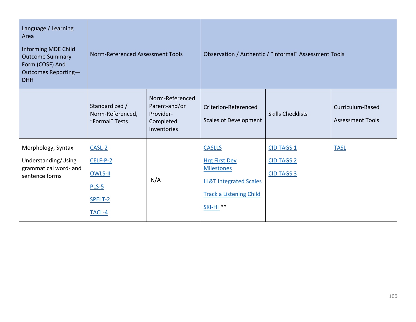| Language / Learning<br>Area<br>Informing MDE Child<br><b>Outcome Summary</b><br>Form (COSF) And<br>Outcomes Reporting-<br><b>DHH</b> | Norm-Referenced Assessment Tools                                |                                                                           | Observation / Authentic / "Informal" Assessment Tools                                                                                                           |                                                             |                                             |
|--------------------------------------------------------------------------------------------------------------------------------------|-----------------------------------------------------------------|---------------------------------------------------------------------------|-----------------------------------------------------------------------------------------------------------------------------------------------------------------|-------------------------------------------------------------|---------------------------------------------|
|                                                                                                                                      | Standardized /<br>Norm-Referenced,<br>"Formal" Tests            | Norm-Referenced<br>Parent-and/or<br>Provider-<br>Completed<br>Inventories | Criterion-Referenced<br><b>Scales of Development</b>                                                                                                            | <b>Skills Checklists</b>                                    | Curriculum-Based<br><b>Assessment Tools</b> |
| Morphology, Syntax<br>Understanding/Using<br>grammatical word- and<br>sentence forms                                                 | CASL-2<br>$CELF-P-2$<br>OWLS-II<br>$PLS-5$<br>SPELT-2<br>TACL-4 | N/A                                                                       | <b>CASLLS</b><br><b>Hrg First Dev</b><br><b>Milestones</b><br><b>LL&amp;T Integrated Scales</b><br><b>Track a Listening Child</b><br><b>SKI-HI<sup>**</sup></b> | <b>CID TAGS 1</b><br><b>CID TAGS 2</b><br><b>CID TAGS 3</b> | <b>TASL</b>                                 |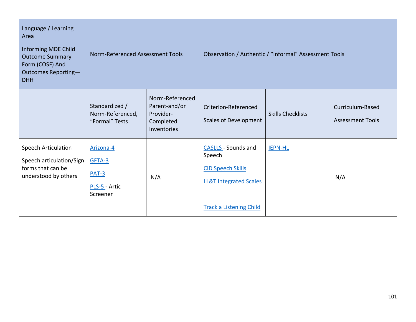| Language / Learning<br>Area<br><b>Informing MDE Child</b><br><b>Outcome Summary</b><br>Form (COSF) And<br>Outcomes Reporting-<br><b>DHH</b> | Norm-Referenced Assessment Tools                            |                                                                           | Observation / Authentic / "Informal" Assessment Tools                                                                                   |                          |                                             |
|---------------------------------------------------------------------------------------------------------------------------------------------|-------------------------------------------------------------|---------------------------------------------------------------------------|-----------------------------------------------------------------------------------------------------------------------------------------|--------------------------|---------------------------------------------|
|                                                                                                                                             | Standardized /<br>Norm-Referenced,<br>"Formal" Tests        | Norm-Referenced<br>Parent-and/or<br>Provider-<br>Completed<br>Inventories | Criterion-Referenced<br><b>Scales of Development</b>                                                                                    | <b>Skills Checklists</b> | Curriculum-Based<br><b>Assessment Tools</b> |
| Speech Articulation<br>Speech articulation/Sign<br>forms that can be<br>understood by others                                                | Arizona-4<br>GFTA-3<br>$PAT-3$<br>PLS-5 - Artic<br>Screener | N/A                                                                       | <b>CASLLS - Sounds and</b><br>Speech<br><b>CID Speech Skills</b><br><b>LL&amp;T Integrated Scales</b><br><b>Track a Listening Child</b> | <b>IEPN-HL</b>           | N/A                                         |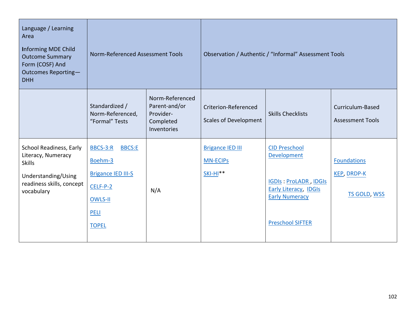| Language / Learning<br>Area<br><b>Informing MDE Child</b><br><b>Outcome Summary</b><br>Form (COSF) And<br>Outcomes Reporting-<br><b>DHH</b> | Norm-Referenced Assessment Tools                                                                                        |                                                                           | Observation / Authentic / "Informal" Assessment Tools    |                                                                                                                                                         |                                                                 |
|---------------------------------------------------------------------------------------------------------------------------------------------|-------------------------------------------------------------------------------------------------------------------------|---------------------------------------------------------------------------|----------------------------------------------------------|---------------------------------------------------------------------------------------------------------------------------------------------------------|-----------------------------------------------------------------|
|                                                                                                                                             | Standardized /<br>Norm-Referenced,<br>"Formal" Tests                                                                    | Norm-Referenced<br>Parent-and/or<br>Provider-<br>Completed<br>Inventories | Criterion-Referenced<br><b>Scales of Development</b>     | <b>Skills Checklists</b>                                                                                                                                | Curriculum-Based<br><b>Assessment Tools</b>                     |
| School Readiness, Early<br>Literacy, Numeracy<br><b>Skills</b><br>Understanding/Using<br>readiness skills, concept<br>vocabulary            | BBCS-3:R<br><b>BBCS:E</b><br>Boehm-3<br><b>Brigance IED III-S</b><br>CELF-P-2<br>OWLS-II<br><b>PELI</b><br><b>TOPEL</b> | N/A                                                                       | <b>Brigance IED III</b><br><b>MN-ECIPS</b><br>$SKI-HI**$ | <b>CID Preschool</b><br>Development<br><b>IGDIS: ProLADR, IDGIS</b><br><b>Early Literacy, IDGIs</b><br><b>Early Numeracy</b><br><b>Preschool SIFTER</b> | <b>Foundations</b><br><b>KEP, DRDP-K</b><br><b>TS GOLD, WSS</b> |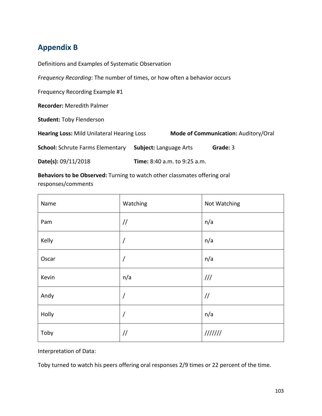## **Appendix B**

Definitions and Examples of Systematic Observation

*Frequency Recording*: The number of times, or how often a behavior occurs

Frequency Recording Example #1

**Recorder:** Meredith Palmer

**Student:** Toby Flenderson

**Hearing Loss:** Mild Unilateral Hearing Loss **Mode of Communication:** Auditory/Oral

**School:** Schrute Farms Elementary **Subject:** Language Arts **Grade:** 3

**Date(s):** 09/11/2018 **Time:** 8:40 a.m. to 9:25 a.m.

**Behaviors to be Observed:** Turning to watch other classmates offering oral responses/comments

| Name  | Watching      | Not Watching  |
|-------|---------------|---------------|
| Pam   | $\frac{1}{2}$ | n/a           |
| Kelly |               | n/a           |
| Oscar | $\prime$      | n/a           |
| Kevin | n/a           | 111           |
| Andy  | $\prime$      | $\frac{1}{2}$ |
| Holly | $\prime$      | n/a           |
| Toby  | $\frac{1}{2}$ | 1111111       |

Interpretation of Data:

Toby turned to watch his peers offering oral responses 2/9 times or 22 percent of the time.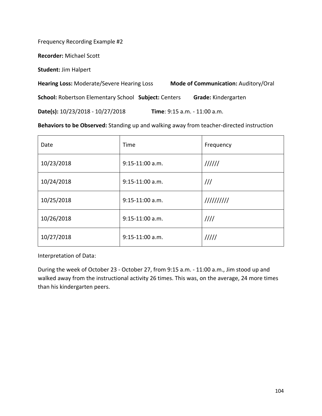Frequency Recording Example #2

**Recorder:** Michael Scott

**Student:** Jim Halpert

**Hearing Loss:** Moderate/Severe Hearing Loss **Mode of Communication:** Auditory/Oral **School:** Robertson Elementary School **Subject:** Centers **Grade:** Kindergarten

**Date(s):** 10/23/2018 - 10/27/2018 **Time**: 9:15 a.m. - 11:00 a.m.

**Behaviors to be Observed:** Standing up and walking away from teacher-directed instruction

| Date       | Time              | Frequency     |
|------------|-------------------|---------------|
| 10/23/2018 | $9:15-11:00$ a.m. | 111111        |
| 10/24/2018 | $9:15-11:00$ a.m. | $\frac{1}{1}$ |
| 10/25/2018 | $9:15-11:00$ a.m. | 1111111111    |
| 10/26/2018 | $9:15-11:00$ a.m. | 1111          |
| 10/27/2018 | $9:15-11:00$ a.m. | 11111         |

Interpretation of Data:

During the week of October 23 - October 27, from 9:15 a.m. - 11:00 a.m., Jim stood up and walked away from the instructional activity 26 times. This was, on the average, 24 more times than his kindergarten peers.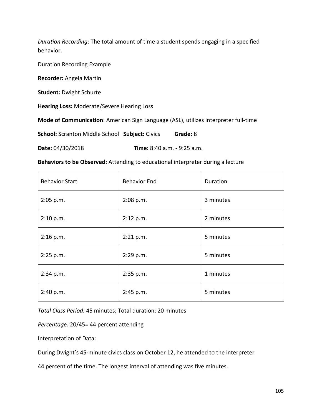*Duration Recording*: The total amount of time a student spends engaging in a specified behavior.

Duration Recording Example

**Recorder:** Angela Martin

**Student:** Dwight Schurte

**Hearing Loss:** Moderate/Severe Hearing Loss

**Mode of Communication**: American Sign Language (ASL), utilizes interpreter full-time

**School:** Scranton Middle School **Subject:** Civics **Grade:** 8

**Date:** 04/30/2018 **Time:** 8:40 a.m. - 9:25 a.m.

**Behaviors to be Observed:** Attending to educational interpreter during a lecture

| <b>Behavior Start</b><br><b>Behavior End</b> |           | Duration  |
|----------------------------------------------|-----------|-----------|
| 2:05 p.m.                                    | 2:08 p.m. | 3 minutes |
| 2:10 p.m.                                    | 2:12 p.m. | 2 minutes |
| 2:16 p.m.                                    | 2:21 p.m. | 5 minutes |
| 2:25 p.m.                                    | 2:29 p.m. | 5 minutes |
| 2:34 p.m.                                    | 2:35 p.m. | 1 minutes |
| 2:40 p.m.                                    | 2:45 p.m. | 5 minutes |

*Total Class Period:* 45 minutes; Total duration: 20 minutes

*Percentage:* 20/45= 44 percent attending

Interpretation of Data:

During Dwight's 45-minute civics class on October 12, he attended to the interpreter

44 percent of the time. The longest interval of attending was five minutes.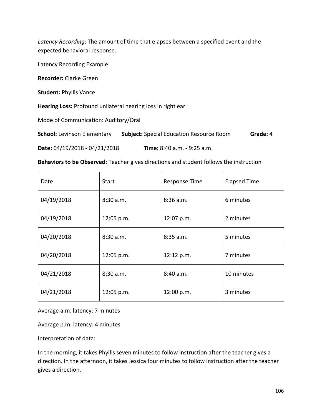*Latency Recording*: The amount of time that elapses between a specified event and the expected behavioral response.

Latency Recording Example

**Recorder:** Clarke Green

**Student:** Phyllis Vance

**Hearing Loss:** Profound unilateral hearing loss in right ear

Mode of Communication: Auditory/Oral

**School:** Levinson Elementary **Subject:** Special Education Resource Room **Grade:** 4

**Date:** 04/19/2018 - 04/21/2018 **Time:** 8:40 a.m. - 9:25 a.m.

**Behaviors to be Observed:** Teacher gives directions and student follows the instruction

| Date       | <b>Start</b> | <b>Response Time</b> | <b>Elapsed Time</b> |
|------------|--------------|----------------------|---------------------|
| 04/19/2018 | 8:30 a.m.    | $8:36$ a.m.          | 6 minutes           |
| 04/19/2018 | 12:05 p.m.   | 12:07 p.m.           | 2 minutes           |
| 04/20/2018 | 8:30a.m.     | $8:35$ a.m.          | 5 minutes           |
| 04/20/2018 | 12:05 p.m.   | 12:12 p.m.           | 7 minutes           |
| 04/21/2018 | 8:30a.m.     | 8:40 a.m.            | 10 minutes          |
| 04/21/2018 | 12:05 p.m.   | 12:00 p.m.           | 3 minutes           |

Average a.m. latency: 7 minutes

Average p.m. latency: 4 minutes

Interpretation of data:

In the morning, it takes Phyllis seven minutes to follow instruction after the teacher gives a direction. In the afternoon, it takes Jessica four minutes to follow instruction after the teacher gives a direction.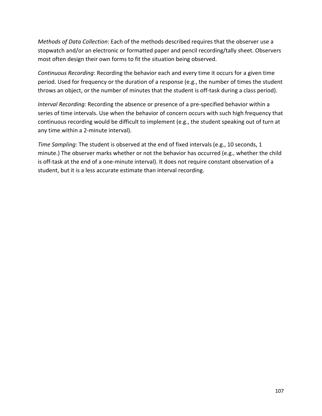*Methods of Data Collection*: Each of the methods described requires that the observer use a stopwatch and/or an electronic or formatted paper and pencil recording/tally sheet. Observers most often design their own forms to fit the situation being observed.

*Continuous Recording*: Recording the behavior each and every time it occurs for a given time period. Used for frequency or the duration of a response (e.g., the number of times the student throws an object, or the number of minutes that the student is off-task during a class period).

*Interval Recording:* Recording the absence or presence of a pre-specified behavior within a series of time intervals. Use when the behavior of concern occurs with such high frequency that continuous recording would be difficult to implement (e.g., the student speaking out of turn at any time within a 2-minute interval).

*Time Sampling:* The student is observed at the end of fixed intervals (e.g., 10 seconds, 1 minute.) The observer marks whether or not the behavior has occurred (e.g., whether the child is off-task at the end of a one-minute interval). It does not require constant observation of a student, but it is a less accurate estimate than interval recording.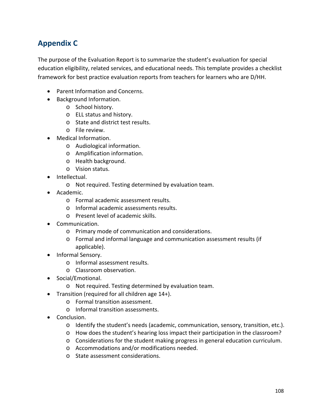## **Appendix C**

The purpose of the Evaluation Report is to summarize the student's evaluation for special education eligibility, related services, and educational needs. This template provides a checklist framework for best practice evaluation reports from teachers for learners who are D/HH.

- Parent Information and Concerns.
- Background Information.
	- o School history.
	- o ELL status and history.
	- o State and district test results.
	- o File review.
- Medical Information.
	- o Audiological information.
	- o Amplification information.
	- o Health background.
	- o Vision status.
- Intellectual.
	- o Not required. Testing determined by evaluation team.
- Academic.
	- o Formal academic assessment results.
	- o Informal academic assessments results.
	- o Present level of academic skills.
- Communication.
	- o Primary mode of communication and considerations.
	- o Formal and informal language and communication assessment results (if applicable).
- Informal Sensory.
	- o Informal assessment results.
	- o Classroom observation.
- Social/Emotional.
	- o Not required. Testing determined by evaluation team.
- Transition (required for all children age 14+).
	- o Formal transition assessment.
	- o Informal transition assessments.
- Conclusion.
	- o Identify the student's needs (academic, communication, sensory, transition, etc.).
	- o How does the student's hearing loss impact their participation in the classroom?
	- o Considerations for the student making progress in general education curriculum.
	- o Accommodations and/or modifications needed.
	- o State assessment considerations.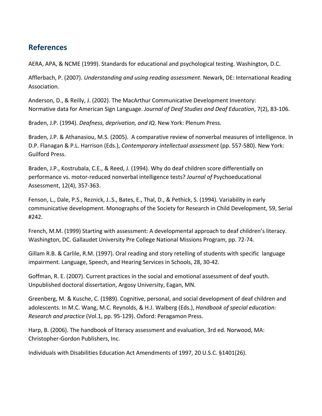## **References**

AERA, APA, & NCME (1999). Standards for educational and psychological testing. Washington, D.C.

Afflerbach, P. (2007). *Understanding and using reading assessment*. Newark, DE: International Reading Association.

Anderson, D., & Reilly, J. (2002). The MacArthur Communicative Development Inventory: Normative data for American Sign Language. *Journal of Deaf Studies and Deaf Education*, 7(2), 83-106.

Braden, J.P. (1994). *Deafness, deprivation, and IQ*. New York: Plenum Press.

Braden, J.P. & Athanasiou, M.S. (2005). A comparative review of nonverbal measures of intelligence. In D.P. Flanagan & P.L. Harrison (Eds.), *Contemporary intellectual assessment* (pp. 557-580). New York: Guilford Press.

Braden, J.P., Kostrubala, C.E., & Reed, J. (1994). Why do deaf children score differentially on performance vs. motor-reduced nonverbal intelligence tests? *Journal of* Psychoeducational Assessment, 12(4), 357-363.

Fenson, L., Dale, P.S., Reznick, J..S., Bates, E., Thal, D., & Pethick, S. (1994). Variability in early communicative development. Monographs of the Society for Research in Child Development, 59, Serial #242.

French, M.M. (1999) Starting with assessment: A developmental approach to deaf children's literacy. Washington, DC. Gallaudet University Pre College National Missions Program, pp. 72-74.

Gillam R.B. & Carlile, R.M. (1997). Oral reading and story retelling of students with specific language impairment. Language, Speech, and Hearing Services in Schools, 28, 30-42.

Goffman, R. E. (2007). Current practices in the social and emotional assessment of deaf youth. Unpublished doctoral dissertation, Argosy University, Eagan, MN.

Greenberg, M. & Kusche, C. (1989). Cognitive, personal, and social development of deaf children and adolescents. In M.C. Wang, M.C. Reynolds, & H.J. Walberg (Eds.), *Handbook of special education: Research and practice* (Vol.1, pp. 95-129). Oxford: Peragamon Press.

Harp, B. (2006). The handbook of literacy assessment and evaluation, 3rd ed. Norwood, MA: Christopher-Gordon Publishers, Inc.

Individuals with Disabilities Education Act Amendments of 1997, 20 U.S.C. §1401(26).